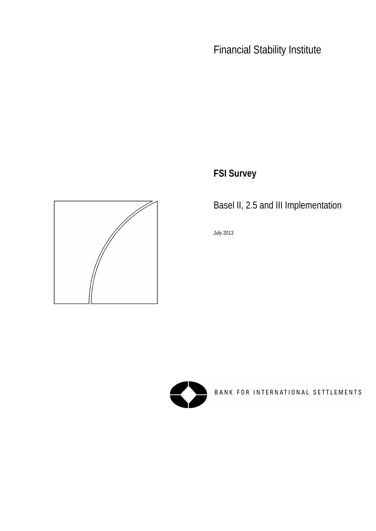**FSI Survey**



Basel II, 2.5 and III Implementation

July 2013

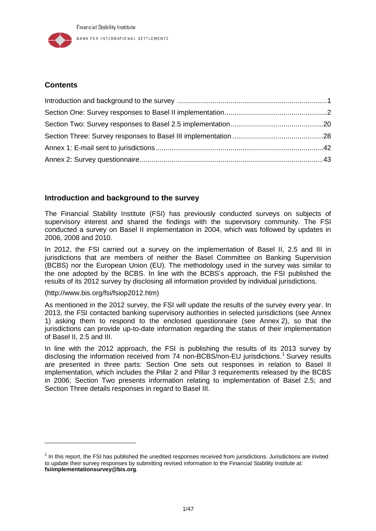### **Contents**

# <span id="page-1-0"></span>**Introduction and background to the survey**

The Financial Stability Institute (FSI) has previously conducted surveys on subjects of supervisory interest and shared the findings with the supervisory community. The FSI conducted a survey on Basel II implementation in 2004, which was followed by updates in 2006, 2008 and 2010.

In 2012, the FSI carried out a survey on the implementation of Basel II, 2.5 and III in jurisdictions that are members of neither the Basel Committee on Banking Supervision (BCBS) nor the European Union (EU). The methodology used in the survey was similar to the one adopted by the BCBS. In line with the BCBS's approach, the FSI published the results of its 2012 survey by disclosing all information provided by individual jurisdictions.

#### [\(http://www.bis.org/fsi/fsiop2012.htm\)](http://www.bis.org/fsi/fsiop2012.htm)

-

As mentioned in the 2012 survey, the FSI will update the results of the survey every year. In 2013, the FSI contacted banking supervisory authorities in selected jurisdictions (see Annex 1) asking them to respond to the enclosed questionnaire (see Annex 2), so that the jurisdictions can provide up-to-date information regarding the status of their implementation of Basel II, 2.5 and III.

In line with the 2012 approach, the FSI is publishing the results of its 2013 survey by disclosing the information received from 74 non-BCBS/non-EU jurisdictions.<sup>[1](#page-1-1)</sup> Survey results are presented in three parts: Section One sets out responses in relation to Basel II implementation, which includes the Pillar 2 and Pillar 3 requirements released by the BCBS in 2006; Section Two presents information relating to implementation of Basel 2.5; and Section Three details responses in regard to Basel III.

<span id="page-1-1"></span> $<sup>1</sup>$  In this report, the FSI has published the unedited responses received from jurisdictions. Jurisdictions are invited</sup> to update their survey responses by submitting revised information to the Financial Stability Institute at: **fsiimplementationsurvey@bis.org**.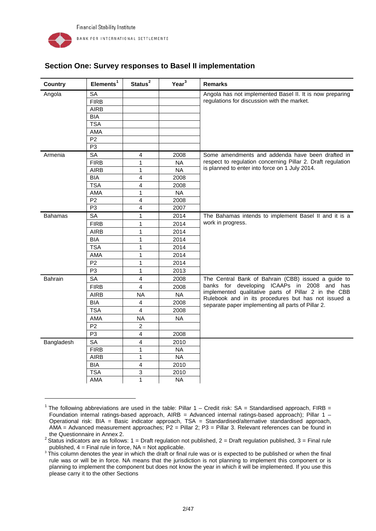-

| <b>Country</b> | Elements <sup>1</sup> | Status <sup>2</sup> | Year <sup>3</sup> | <b>Remarks</b>                                                                                            |
|----------------|-----------------------|---------------------|-------------------|-----------------------------------------------------------------------------------------------------------|
| Angola         | <b>SA</b>             |                     |                   | Angola has not implemented Basel II. It is now preparing                                                  |
|                | <b>FIRB</b>           |                     |                   | regulations for discussion with the market.                                                               |
|                | <b>AIRB</b>           |                     |                   |                                                                                                           |
|                | <b>BIA</b>            |                     |                   |                                                                                                           |
|                | <b>TSA</b>            |                     |                   |                                                                                                           |
|                | AMA                   |                     |                   |                                                                                                           |
|                | P <sub>2</sub>        |                     |                   |                                                                                                           |
|                | P <sub>3</sub>        |                     |                   |                                                                                                           |
| Armenia        | SA                    | 4                   | 2008              | Some amendments and addenda have been drafted in                                                          |
|                | <b>FIRB</b>           | 1                   | <b>NA</b>         | respect to regulation concerning Pillar 2. Draft regulation                                               |
|                | <b>AIRB</b>           | 1                   | <b>NA</b>         | is planned to enter into force on 1 July 2014.                                                            |
|                | <b>BIA</b>            | 4                   | 2008              |                                                                                                           |
|                | <b>TSA</b>            | 4                   | 2008              |                                                                                                           |
|                | AMA                   | 1                   | <b>NA</b>         |                                                                                                           |
|                | P <sub>2</sub>        | 4                   | 2008              |                                                                                                           |
|                | P <sub>3</sub>        | 4                   | 2007              |                                                                                                           |
| <b>Bahamas</b> | <b>SA</b>             | $\mathbf{1}$        | 2014              | The Bahamas intends to implement Basel II and it is a                                                     |
|                | <b>FIRB</b>           | 1                   | 2014              | work in progress.                                                                                         |
|                | <b>AIRB</b>           | 1                   | 2014              |                                                                                                           |
|                | <b>BIA</b>            | 1                   | 2014              |                                                                                                           |
|                | <b>TSA</b>            | 1                   | 2014              |                                                                                                           |
|                | AMA                   | 1                   | 2014              |                                                                                                           |
|                | P <sub>2</sub>        | 1                   | 2014              |                                                                                                           |
|                | P <sub>3</sub>        | $\mathbf{1}$        | 2013              |                                                                                                           |
| Bahrain        | <b>SA</b>             | 4                   | 2008              | The Central Bank of Bahrain (CBB) issued a guide to                                                       |
|                | <b>FIRB</b>           | 4                   | 2008              | banks for developing ICAAPs in 2008 and has                                                               |
|                | <b>AIRB</b>           | <b>NA</b>           | <b>NA</b>         | implemented qualitative parts of Pillar 2 in the CBB                                                      |
|                | <b>BIA</b>            | 4                   | 2008              | Rulebook and in its procedures but has not issued a<br>separate paper implementing all parts of Pillar 2. |
|                | <b>TSA</b>            | $\overline{4}$      | 2008              |                                                                                                           |
|                | AMA                   | <b>NA</b>           | <b>NA</b>         |                                                                                                           |
|                | P <sub>2</sub>        | $\overline{2}$      |                   |                                                                                                           |
|                | P <sub>3</sub>        | 4                   | 2008              |                                                                                                           |
| Bangladesh     | <b>SA</b>             | 4                   | 2010              |                                                                                                           |
|                | <b>FIRB</b>           | 1                   | <b>NA</b>         |                                                                                                           |
|                | <b>AIRB</b>           | 1                   | <b>NA</b>         |                                                                                                           |
|                | <b>BIA</b>            | 4                   | 2010              |                                                                                                           |
|                | <b>TSA</b>            | 3                   | 2010              |                                                                                                           |
|                | AMA                   | 1                   | <b>NA</b>         |                                                                                                           |

# <span id="page-2-0"></span>**Section One: Survey responses to Basel II implementation**

<span id="page-2-1"></span><sup>&</sup>lt;sup>1</sup> The following abbreviations are used in the table: Pillar  $1 -$  Credit risk: SA = Standardised approach, FIRB = Foundation internal ratings-based approach, AIRB = Advanced internal ratings-based approach); Pillar 1 -Operational risk: BIA = Basic indicator approach, TSA = Standardised/alternative standardised approach, AMA = Advanced measurement approaches; P2 = Pillar 2; P3 = Pillar 3. Relevant references can be found in the Questionnaire in Annex 2.<br><sup>2</sup> Status indicators are as follows: 1 = Draft regulation not published, 2 = Draft regulation published, 3 = Final rule

<span id="page-2-2"></span>published,  $4 =$  Final rule in force,  $NA = Not$  applicable.

<span id="page-2-3"></span><sup>&</sup>lt;sup>3</sup> This column denotes the year in which the draft or final rule was or is expected to be published or when the final rule was or will be in force. NA means that the jurisdiction is not planning to implement this component or is planning to implement the component but does not know the year in which it will be implemented. If you use this please carry it to the other Sections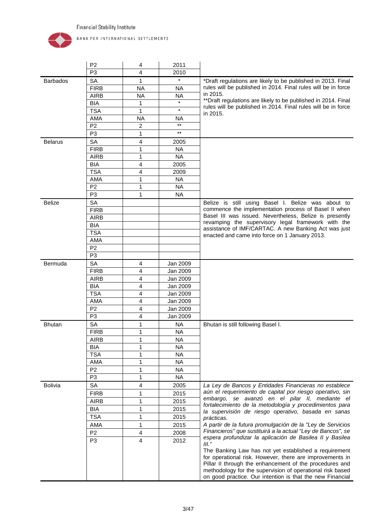

|                 | P <sub>2</sub> | 4         | 2011      |                                                                                                                                                                                                                                                                                                        |
|-----------------|----------------|-----------|-----------|--------------------------------------------------------------------------------------------------------------------------------------------------------------------------------------------------------------------------------------------------------------------------------------------------------|
|                 | P <sub>3</sub> | 4         | 2010      |                                                                                                                                                                                                                                                                                                        |
| <b>Barbados</b> | SA             | 1         | $\star$   | *Draft regulations are likely to be published in 2013. Final                                                                                                                                                                                                                                           |
|                 | <b>FIRB</b>    | <b>NA</b> | <b>NA</b> | rules will be published in 2014. Final rules will be in force                                                                                                                                                                                                                                          |
|                 | <b>AIRB</b>    | <b>NA</b> | <b>NA</b> | in 2015.                                                                                                                                                                                                                                                                                               |
|                 | <b>BIA</b>     | 1         |           | **Draft regulations are likely to be published in 2014. Final                                                                                                                                                                                                                                          |
|                 | <b>TSA</b>     | 1         | $\star$   | rules will be published in 2014. Final rules will be in force<br>in 2015.                                                                                                                                                                                                                              |
|                 | AMA            | <b>NA</b> | NA        |                                                                                                                                                                                                                                                                                                        |
|                 | P <sub>2</sub> | 2         | $***$     |                                                                                                                                                                                                                                                                                                        |
|                 | P <sub>3</sub> | 1         | $***$     |                                                                                                                                                                                                                                                                                                        |
| <b>Belarus</b>  | SA             | 4         | 2005      |                                                                                                                                                                                                                                                                                                        |
|                 | <b>FIRB</b>    | 1         | <b>NA</b> |                                                                                                                                                                                                                                                                                                        |
|                 | <b>AIRB</b>    | 1         | <b>NA</b> |                                                                                                                                                                                                                                                                                                        |
|                 | <b>BIA</b>     | 4         | 2005      |                                                                                                                                                                                                                                                                                                        |
|                 | <b>TSA</b>     | 4         | 2009      |                                                                                                                                                                                                                                                                                                        |
|                 | <b>AMA</b>     | 1         | <b>NA</b> |                                                                                                                                                                                                                                                                                                        |
|                 | P <sub>2</sub> | 1         | <b>NA</b> |                                                                                                                                                                                                                                                                                                        |
|                 | P <sub>3</sub> | 1         | <b>NA</b> |                                                                                                                                                                                                                                                                                                        |
| <b>Belize</b>   | <b>SA</b>      |           |           | Belize is still using Basel I. Belize was about to                                                                                                                                                                                                                                                     |
|                 | <b>FIRB</b>    |           |           | commence the implementation process of Basel II when                                                                                                                                                                                                                                                   |
|                 | <b>AIRB</b>    |           |           | Basel III was issued. Nevertheless, Belize is presently                                                                                                                                                                                                                                                |
|                 | <b>BIA</b>     |           |           | revamping the supervisory legal framework with the                                                                                                                                                                                                                                                     |
|                 | <b>TSA</b>     |           |           | assistance of IMF/CARTAC. A new Banking Act was just                                                                                                                                                                                                                                                   |
|                 | AMA            |           |           | enacted and came into force on 1 January 2013.                                                                                                                                                                                                                                                         |
|                 | P <sub>2</sub> |           |           |                                                                                                                                                                                                                                                                                                        |
|                 | P <sub>3</sub> |           |           |                                                                                                                                                                                                                                                                                                        |
| Bermuda         | <b>SA</b>      | 4         | Jan 2009  |                                                                                                                                                                                                                                                                                                        |
|                 | <b>FIRB</b>    | 4         | Jan 2009  |                                                                                                                                                                                                                                                                                                        |
|                 | <b>AIRB</b>    | 4         | Jan 2009  |                                                                                                                                                                                                                                                                                                        |
|                 | <b>BIA</b>     | 4         | Jan 2009  |                                                                                                                                                                                                                                                                                                        |
|                 | <b>TSA</b>     | 4         | Jan 2009  |                                                                                                                                                                                                                                                                                                        |
|                 | AMA            | 4         | Jan 2009  |                                                                                                                                                                                                                                                                                                        |
|                 | P <sub>2</sub> | 4         | Jan 2009  |                                                                                                                                                                                                                                                                                                        |
|                 | P <sub>3</sub> | 4         | Jan 2009  |                                                                                                                                                                                                                                                                                                        |
| <b>Bhutan</b>   | SA             | 1         | <b>NA</b> | Bhutan is still following Basel I.                                                                                                                                                                                                                                                                     |
|                 | <b>FIRB</b>    | 1         | <b>NA</b> |                                                                                                                                                                                                                                                                                                        |
|                 | <b>AIRB</b>    | 1         | <b>NA</b> |                                                                                                                                                                                                                                                                                                        |
|                 | <b>BIA</b>     | 1         | <b>NA</b> |                                                                                                                                                                                                                                                                                                        |
|                 | <b>TSA</b>     | 1         | <b>NA</b> |                                                                                                                                                                                                                                                                                                        |
|                 | AMA            | 1         | <b>NA</b> |                                                                                                                                                                                                                                                                                                        |
|                 | P <sub>2</sub> | 1         | <b>NA</b> |                                                                                                                                                                                                                                                                                                        |
|                 | P <sub>3</sub> | 1         | <b>NA</b> |                                                                                                                                                                                                                                                                                                        |
| <b>Bolivia</b>  | <b>SA</b>      | 4         | 2005      | La Ley de Bancos y Entidades Financieras no establece                                                                                                                                                                                                                                                  |
|                 | <b>FIRB</b>    | 1         | 2015      | aún el requerimiento de capital por riesgo operativo, sin                                                                                                                                                                                                                                              |
|                 | <b>AIRB</b>    |           |           | embargo, se avanzó en el pilar II, mediante el                                                                                                                                                                                                                                                         |
|                 | <b>BIA</b>     | 1         | 2015      | fortalecimiento de la metodología y procedimientos para                                                                                                                                                                                                                                                |
|                 |                | 1         | 2015      | la supervisión de riesgo operativo, basada en sanas                                                                                                                                                                                                                                                    |
|                 | <b>TSA</b>     | 1         | 2015      | prácticas.                                                                                                                                                                                                                                                                                             |
|                 | AMA            | 1         | 2015      | A partir de la futura promulgación de la "Ley de Servicios<br>Financieros" que sustituirá a la actual "Ley de Bancos", se                                                                                                                                                                              |
|                 | P <sub>2</sub> | 4         | 2008      | espera profundizar la aplicación de Basilea II y Basilea                                                                                                                                                                                                                                               |
|                 | P <sub>3</sub> | 4         | 2012      | $III.$ "                                                                                                                                                                                                                                                                                               |
|                 |                |           |           | The Banking Law has not yet established a requirement<br>for operational risk. However, there are improvements in<br>Pillar II through the enhancement of the procedures and<br>methodology for the supervision of operational risk based<br>on good practice. Our intention is that the new Financial |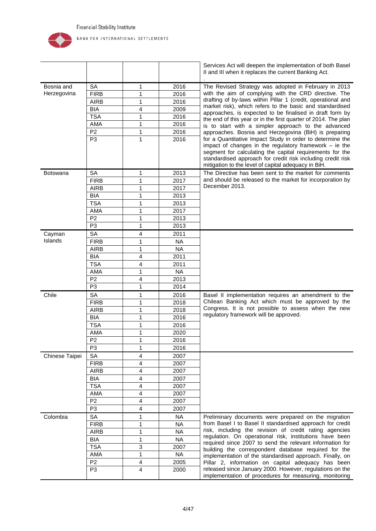

|                   |                   |        |           | Services Act will deepen the implementation of both Basel<br>II and III when it replaces the current Banking Act.                                                                                                                                                                                       |
|-------------------|-------------------|--------|-----------|---------------------------------------------------------------------------------------------------------------------------------------------------------------------------------------------------------------------------------------------------------------------------------------------------------|
| Bosnia and        | SA                | 1      | 2016      | The Revised Strategy was adopted in February in 2013                                                                                                                                                                                                                                                    |
| Herzegovina       | <b>FIRB</b>       | 1      | 2016      | with the aim of complying with the CRD directive. The                                                                                                                                                                                                                                                   |
|                   | <b>AIRB</b>       | 1      | 2016      | drafting of by-laws within Pillar 1 (credit, operational and                                                                                                                                                                                                                                            |
|                   | <b>BIA</b>        | 4      | 2009      | market risk), which refers to the basic and standardised                                                                                                                                                                                                                                                |
|                   | <b>TSA</b>        | 1      | 2016      | approaches, is expected to be finalised in draft form by                                                                                                                                                                                                                                                |
|                   | AMA               | 1      | 2016      | the end of this year or in the first quarter of 2014. The plan<br>is to start with a simpler approach to the advanced                                                                                                                                                                                   |
|                   | P <sub>2</sub>    | 1      | 2016      | approaches. Bosnia and Herzegovina (BiH) is preparing                                                                                                                                                                                                                                                   |
|                   | P <sub>3</sub>    | 1      | 2016      | for a Quantitative Impact Study in order to determine the<br>impact of changes in the regulatory framework $-$ ie the<br>segment for calculating the capital requirements for the<br>standardised approach for credit risk including credit risk<br>mitigation to the level of capital adequacy in BiH. |
| Botswana          | SA                | 1      | 2013      | The Directive has been sent to the market for comments                                                                                                                                                                                                                                                  |
|                   | <b>FIRB</b>       | 1      | 2017      | and should be released to the market for incorporation by                                                                                                                                                                                                                                               |
|                   | <b>AIRB</b>       | 1      | 2017      | December 2013.                                                                                                                                                                                                                                                                                          |
|                   |                   | 1      | 2013      |                                                                                                                                                                                                                                                                                                         |
|                   | <b>BIA</b>        |        | 2013      |                                                                                                                                                                                                                                                                                                         |
|                   | <b>TSA</b><br>AMA | 1<br>1 | 2017      |                                                                                                                                                                                                                                                                                                         |
|                   | P <sub>2</sub>    | 1      | 2013      |                                                                                                                                                                                                                                                                                                         |
|                   | P <sub>3</sub>    | 1      | 2013      |                                                                                                                                                                                                                                                                                                         |
|                   |                   |        |           |                                                                                                                                                                                                                                                                                                         |
| Cayman<br>Islands | SA                | 4      | 2011      |                                                                                                                                                                                                                                                                                                         |
|                   | <b>FIRB</b>       | 1      | <b>NA</b> |                                                                                                                                                                                                                                                                                                         |
|                   | <b>AIRB</b>       | 1      | <b>NA</b> |                                                                                                                                                                                                                                                                                                         |
|                   | <b>BIA</b>        | 4      | 2011      |                                                                                                                                                                                                                                                                                                         |
|                   | <b>TSA</b>        | 4      | 2011      |                                                                                                                                                                                                                                                                                                         |
|                   | AMA               | 1      | <b>NA</b> |                                                                                                                                                                                                                                                                                                         |
|                   | P <sub>2</sub>    | 4      | 2013      |                                                                                                                                                                                                                                                                                                         |
|                   | P <sub>3</sub>    | 1      | 2014      |                                                                                                                                                                                                                                                                                                         |
| Chile             | <b>SA</b>         | 1      | 2016      | Basel II implementation requires an amendment to the                                                                                                                                                                                                                                                    |
|                   | <b>FIRB</b>       | 1      | 2018      | Chilean Banking Act which must be approved by the<br>Congress. It is not possible to assess when the new                                                                                                                                                                                                |
|                   | <b>AIRB</b>       | 1      | 2018      | regulatory framework will be approved.                                                                                                                                                                                                                                                                  |
|                   | <b>BIA</b>        | 1      | 2016      |                                                                                                                                                                                                                                                                                                         |
|                   | <b>TSA</b>        | 1      | 2016      |                                                                                                                                                                                                                                                                                                         |
|                   | AMA               | 1      | 2020      |                                                                                                                                                                                                                                                                                                         |
|                   | P <sub>2</sub>    | 1      | 2016      |                                                                                                                                                                                                                                                                                                         |
|                   | P <sub>3</sub>    | 1      | 2016      |                                                                                                                                                                                                                                                                                                         |
| Chinese Taipei    | <b>SA</b>         | 4      | 2007      |                                                                                                                                                                                                                                                                                                         |
|                   | <b>FIRB</b>       | 4      | 2007      |                                                                                                                                                                                                                                                                                                         |
|                   | <b>AIRB</b>       | 4      | 2007      |                                                                                                                                                                                                                                                                                                         |
|                   | <b>BIA</b>        | 4      | 2007      |                                                                                                                                                                                                                                                                                                         |
|                   | <b>TSA</b>        | 4      | 2007      |                                                                                                                                                                                                                                                                                                         |
|                   | AMA               | 4      | 2007      |                                                                                                                                                                                                                                                                                                         |
|                   | P <sub>2</sub>    | 4      | 2007      |                                                                                                                                                                                                                                                                                                         |
|                   | P <sub>3</sub>    | 4      | 2007      |                                                                                                                                                                                                                                                                                                         |
| Colombia          | SA                | 1      | <b>NA</b> | Preliminary documents were prepared on the migration                                                                                                                                                                                                                                                    |
|                   | <b>FIRB</b>       | 1      | <b>NA</b> | from Basel I to Basel II standardised approach for credit                                                                                                                                                                                                                                               |
|                   | <b>AIRB</b>       | 1      | <b>NA</b> | risk, including the revision of credit rating agencies                                                                                                                                                                                                                                                  |
|                   | <b>BIA</b>        | 1      | <b>NA</b> | regulation. On operational risk, institutions have been<br>required since 2007 to send the relevant information for                                                                                                                                                                                     |
|                   | <b>TSA</b>        | 3      | 2007      | building the correspondent database required for the                                                                                                                                                                                                                                                    |
|                   | AMA               | 1      | <b>NA</b> | implementation of the standardised approach. Finally, on                                                                                                                                                                                                                                                |
|                   | P <sub>2</sub>    | 4      | 2005      | Pillar 2, information on capital adequacy has been                                                                                                                                                                                                                                                      |
|                   | P <sub>3</sub>    | 4      | 2000      | released since January 2000. However, regulations on the<br>implementation of procedures for measuring, monitoring                                                                                                                                                                                      |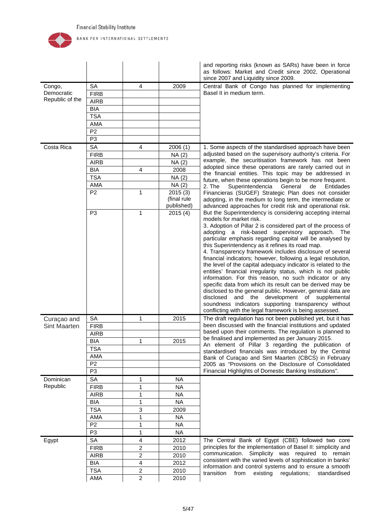

|                     |                 |                         |             | and reporting risks (known as SARs) have been in force<br>as follows: Market and Credit since 2002, Operational<br>since 2007 and Liquidity since 2009. |
|---------------------|-----------------|-------------------------|-------------|---------------------------------------------------------------------------------------------------------------------------------------------------------|
| Congo,              | <b>SA</b>       | 4                       | 2009        | Central Bank of Congo has planned for implementing                                                                                                      |
| Democratic          | <b>FIRB</b>     |                         |             | Basel II in medium term.                                                                                                                                |
| Republic of the     | <b>AIRB</b>     |                         |             |                                                                                                                                                         |
|                     | <b>BIA</b>      |                         |             |                                                                                                                                                         |
|                     | <b>TSA</b>      |                         |             |                                                                                                                                                         |
|                     | AMA             |                         |             |                                                                                                                                                         |
|                     | P <sub>2</sub>  |                         |             |                                                                                                                                                         |
|                     | P <sub>3</sub>  |                         |             |                                                                                                                                                         |
| Costa Rica          | <b>SA</b>       | 4                       | 2006(1)     | 1. Some aspects of the standardised approach have been                                                                                                  |
|                     | <b>FIRB</b>     |                         | NA(2)       | adjusted based on the supervisory authority's criteria. For                                                                                             |
|                     | <b>AIRB</b>     |                         | NA (2)      | example, the securitisation framework has not been                                                                                                      |
|                     | <b>BIA</b>      | 4                       | 2008        | adopted since these operations are rarely carried out in                                                                                                |
|                     | <b>TSA</b>      |                         | NA (2)      | the financial entities. This topic may be addressed in<br>future, when these operations begin to be more frequent.                                      |
|                     | AMA             |                         | NA (2)      | 2. The<br>Superintendencia<br>General<br>Entidades<br>de                                                                                                |
|                     | P <sub>2</sub>  | 1                       | 2015(3)     | Financieras (SUGEF) Strategic Plan does not consider                                                                                                    |
|                     |                 |                         | (final rule | adopting, in the medium to long term, the intermediate or                                                                                               |
|                     |                 |                         | published)  | advanced approaches for credit risk and operational risk.                                                                                               |
|                     | P <sub>3</sub>  | $\mathbf{1}$            | 2015(4)     | But the Superintendency is considering accepting internal                                                                                               |
|                     |                 |                         |             | models for market risk.<br>3. Adoption of Pillar 2 is considered part of the process of                                                                 |
|                     |                 |                         |             | adopting a risk-based supervisory approach. The                                                                                                         |
|                     |                 |                         |             | particular emphasis regarding capital will be analysed by                                                                                               |
|                     |                 |                         |             | this Superintendency as it refines its road map.                                                                                                        |
|                     |                 |                         |             | 4. Transparency framework includes disclosure of several                                                                                                |
|                     |                 |                         |             | financial indicators; however, following a legal resolution,                                                                                            |
|                     |                 |                         |             | the level of the capital adequacy indicator is related to the                                                                                           |
|                     |                 |                         |             | entities' financial irregularity status, which is not public<br>information. For this reason, no such indicator or any                                  |
|                     |                 |                         |             | specific data from which its result can be derived may be                                                                                               |
|                     |                 |                         |             | disclosed to the general public. However, general data are                                                                                              |
|                     |                 |                         |             | disclosed<br>and the<br>development of supplemental                                                                                                     |
|                     |                 |                         |             | soundness indicators supporting transparency without                                                                                                    |
|                     |                 |                         |             | conflicting with the legal framework is being assessed.                                                                                                 |
| Curaçao and         | <b>SA</b>       | 1                       | 2015        | The draft regulation has not been published yet, but it has                                                                                             |
| <b>Sint Maarten</b> | <b>FIRB</b>     |                         |             | been discussed with the financial institutions and updated                                                                                              |
|                     | <b>AIRB</b>     |                         |             | based upon their comments. The regulation is planned to<br>be finalised and implemented as per January 2015.                                            |
|                     | <b>BIA</b>      | 1                       | 2015        | An element of Pillar 3 regarding the publication of                                                                                                     |
|                     | <b>TSA</b>      |                         |             | standardised financials was introduced by the Central                                                                                                   |
|                     | AMA             |                         |             | Bank of Curaçao and Sint Maarten (CBCS) in February                                                                                                     |
|                     | P <sub>2</sub>  |                         |             | 2005 as "Provisions on the Disclosure of Consolidated                                                                                                   |
|                     | P <sub>3</sub>  |                         |             | Financial Highlights of Domestic Banking Institutions".                                                                                                 |
| Dominican           | SA              | 1                       | <b>NA</b>   |                                                                                                                                                         |
| Republic            | <b>FIRB</b>     | 1                       | <b>NA</b>   |                                                                                                                                                         |
|                     | <b>AIRB</b>     | 1                       | <b>NA</b>   |                                                                                                                                                         |
|                     | <b>BIA</b>      | 1                       | <b>NA</b>   |                                                                                                                                                         |
|                     | <b>TSA</b>      | 3                       | 2009        |                                                                                                                                                         |
|                     | AMA             | 1                       | <b>NA</b>   |                                                                                                                                                         |
|                     | $P\overline{2}$ | 1                       | <b>NA</b>   |                                                                                                                                                         |
|                     | P <sub>3</sub>  | 1                       | <b>NA</b>   |                                                                                                                                                         |
| Egypt               | SA              | 4                       | 2012        | The Central Bank of Egypt (CBE) followed two core                                                                                                       |
|                     | <b>FIRB</b>     | $\overline{2}$          | 2010        | principles for the implementation of Basel II: simplicity and                                                                                           |
|                     | <b>AIRB</b>     | $\overline{c}$          | 2010        | communication. Simplicity was required to remain                                                                                                        |
|                     | <b>BIA</b>      | $\overline{\mathbf{4}}$ | 2012        | consistent with the varied levels of sophistication in banks'                                                                                           |
|                     | <b>TSA</b>      | $\overline{2}$          | 2010        | information and control systems and to ensure a smooth                                                                                                  |
|                     | AMA             | $\overline{2}$          | 2010        | regulations; standardised<br>transition<br>from<br>existing                                                                                             |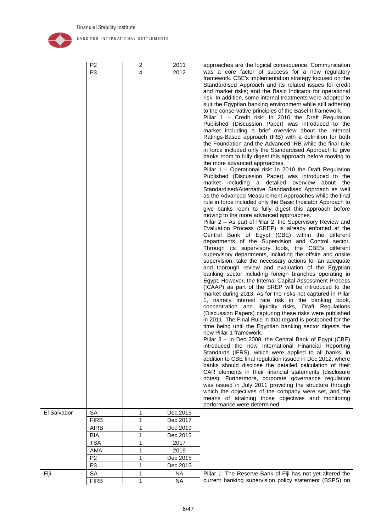

Fiji

|             | P <sub>2</sub><br>P <sub>3</sub> | 2<br>4 | 2011<br>2012           | approaches are the logical consequence. Communication<br>was a core factor of success for a new regulatory<br>framework. CBE's implementation strategy focused on the<br>Standardised Approach and its related issues for credit<br>and market risks; and the Basic Indicator for operational<br>risk. In addition, some internal treatments were adopted to<br>suit the Egyptian banking environment while still adhering<br>to the conservative principles of the Basel II framework.<br>Pillar 1 – Credit risk: In 2010 the Draft Regulation<br>Published (Discussion Paper) was introduced to the<br>market including a brief overview about the Internal<br>Ratings-Based approach (IRB) with a definition for both<br>the Foundation and the Advanced IRB while the final rule<br>in force included only the Standardised Approach to give<br>banks room to fully digest this approach before moving to<br>the more advanced approaches.<br>Pillar 1 - Operational risk: In 2010 the Draft Regulation<br>Published (Discussion Paper) was introduced to the<br>market including a detailed overview about the<br>Standardised/Alternative Standardised Approach as well<br>as the Advanced Measurement Approaches while the final<br>rule in force included only the Basic Indicator Approach to<br>give banks room to fully digest this approach before<br>moving to the more advanced approaches.<br>Pillar 2 - As part of Pillar 2, the Supervisory Review and<br>Evaluation Process (SREP) is already enforced at the<br>Central Bank of Egypt (CBE) within the different<br>departments of the Supervision and Control sector.<br>Through its supervisory tools, the CBE's different<br>supervisory departments, including the offsite and onsite<br>supervision, take the necessary actions for an adequate<br>and thorough review and evaluation of the Egyptian<br>banking sector including foreign branches operating in<br>Egypt. However, the Internal Capital Assessment Process<br>(ICAAP) as part of the SREP will be introduced to the<br>market during 2013. As for the risks not captured in Pillar<br>1, namely interest rate risk in the banking book,<br>concentration and liquidity risks, Draft Regulations<br>(Discussion Papers) capturing these risks were published<br>in 2011. The Final Rule in that regard is postponed for the<br>time being until the Egyptian banking sector digests the<br>new Pillar 1 framework.<br>Pillar 3 – In Dec 2008, the Central Bank of Egypt (CBE)<br>introduced the new International Financial Reporting<br>Standards (IFRS), which were applied to all banks, in<br>addition to CBE final regulation issued in Dec 2012, where<br>banks should disclose the detailed calculation of their<br>CAR elements in their financial statements (disclosure<br>notes). Furthermore, corporate governance regulation<br>was issued in July 2011 providing the structure through |
|-------------|----------------------------------|--------|------------------------|---------------------------------------------------------------------------------------------------------------------------------------------------------------------------------------------------------------------------------------------------------------------------------------------------------------------------------------------------------------------------------------------------------------------------------------------------------------------------------------------------------------------------------------------------------------------------------------------------------------------------------------------------------------------------------------------------------------------------------------------------------------------------------------------------------------------------------------------------------------------------------------------------------------------------------------------------------------------------------------------------------------------------------------------------------------------------------------------------------------------------------------------------------------------------------------------------------------------------------------------------------------------------------------------------------------------------------------------------------------------------------------------------------------------------------------------------------------------------------------------------------------------------------------------------------------------------------------------------------------------------------------------------------------------------------------------------------------------------------------------------------------------------------------------------------------------------------------------------------------------------------------------------------------------------------------------------------------------------------------------------------------------------------------------------------------------------------------------------------------------------------------------------------------------------------------------------------------------------------------------------------------------------------------------------------------------------------------------------------------------------------------------------------------------------------------------------------------------------------------------------------------------------------------------------------------------------------------------------------------------------------------------------------------------------------------------------------------------------------------------------------------------------------------------------------------------------------------------------------------------------------------------------------------------------------------------|
|             |                                  |        |                        | which the objectives of the company were set, and the<br>means of attaining those objectives and monitoring<br>performance were determined.                                                                                                                                                                                                                                                                                                                                                                                                                                                                                                                                                                                                                                                                                                                                                                                                                                                                                                                                                                                                                                                                                                                                                                                                                                                                                                                                                                                                                                                                                                                                                                                                                                                                                                                                                                                                                                                                                                                                                                                                                                                                                                                                                                                                                                                                                                                                                                                                                                                                                                                                                                                                                                                                                                                                                                                                 |
| El Salvador | <b>SA</b>                        | 1      | Dec.2015               |                                                                                                                                                                                                                                                                                                                                                                                                                                                                                                                                                                                                                                                                                                                                                                                                                                                                                                                                                                                                                                                                                                                                                                                                                                                                                                                                                                                                                                                                                                                                                                                                                                                                                                                                                                                                                                                                                                                                                                                                                                                                                                                                                                                                                                                                                                                                                                                                                                                                                                                                                                                                                                                                                                                                                                                                                                                                                                                                             |
|             | <b>FIRB</b>                      | 1      | Dec 2017               |                                                                                                                                                                                                                                                                                                                                                                                                                                                                                                                                                                                                                                                                                                                                                                                                                                                                                                                                                                                                                                                                                                                                                                                                                                                                                                                                                                                                                                                                                                                                                                                                                                                                                                                                                                                                                                                                                                                                                                                                                                                                                                                                                                                                                                                                                                                                                                                                                                                                                                                                                                                                                                                                                                                                                                                                                                                                                                                                             |
|             | <b>AIRB</b>                      | 1      | Dec 2019               |                                                                                                                                                                                                                                                                                                                                                                                                                                                                                                                                                                                                                                                                                                                                                                                                                                                                                                                                                                                                                                                                                                                                                                                                                                                                                                                                                                                                                                                                                                                                                                                                                                                                                                                                                                                                                                                                                                                                                                                                                                                                                                                                                                                                                                                                                                                                                                                                                                                                                                                                                                                                                                                                                                                                                                                                                                                                                                                                             |
|             | BIA                              | 1      | Dec 2015               |                                                                                                                                                                                                                                                                                                                                                                                                                                                                                                                                                                                                                                                                                                                                                                                                                                                                                                                                                                                                                                                                                                                                                                                                                                                                                                                                                                                                                                                                                                                                                                                                                                                                                                                                                                                                                                                                                                                                                                                                                                                                                                                                                                                                                                                                                                                                                                                                                                                                                                                                                                                                                                                                                                                                                                                                                                                                                                                                             |
|             | <b>TSA</b>                       | 1      | 2017                   |                                                                                                                                                                                                                                                                                                                                                                                                                                                                                                                                                                                                                                                                                                                                                                                                                                                                                                                                                                                                                                                                                                                                                                                                                                                                                                                                                                                                                                                                                                                                                                                                                                                                                                                                                                                                                                                                                                                                                                                                                                                                                                                                                                                                                                                                                                                                                                                                                                                                                                                                                                                                                                                                                                                                                                                                                                                                                                                                             |
|             | AMA                              | 1      | 2019                   |                                                                                                                                                                                                                                                                                                                                                                                                                                                                                                                                                                                                                                                                                                                                                                                                                                                                                                                                                                                                                                                                                                                                                                                                                                                                                                                                                                                                                                                                                                                                                                                                                                                                                                                                                                                                                                                                                                                                                                                                                                                                                                                                                                                                                                                                                                                                                                                                                                                                                                                                                                                                                                                                                                                                                                                                                                                                                                                                             |
|             | P <sub>2</sub>                   | 1      | Dec 2015               |                                                                                                                                                                                                                                                                                                                                                                                                                                                                                                                                                                                                                                                                                                                                                                                                                                                                                                                                                                                                                                                                                                                                                                                                                                                                                                                                                                                                                                                                                                                                                                                                                                                                                                                                                                                                                                                                                                                                                                                                                                                                                                                                                                                                                                                                                                                                                                                                                                                                                                                                                                                                                                                                                                                                                                                                                                                                                                                                             |
|             |                                  |        |                        |                                                                                                                                                                                                                                                                                                                                                                                                                                                                                                                                                                                                                                                                                                                                                                                                                                                                                                                                                                                                                                                                                                                                                                                                                                                                                                                                                                                                                                                                                                                                                                                                                                                                                                                                                                                                                                                                                                                                                                                                                                                                                                                                                                                                                                                                                                                                                                                                                                                                                                                                                                                                                                                                                                                                                                                                                                                                                                                                             |
|             | P <sub>3</sub>                   | 1      | Dec 2015               |                                                                                                                                                                                                                                                                                                                                                                                                                                                                                                                                                                                                                                                                                                                                                                                                                                                                                                                                                                                                                                                                                                                                                                                                                                                                                                                                                                                                                                                                                                                                                                                                                                                                                                                                                                                                                                                                                                                                                                                                                                                                                                                                                                                                                                                                                                                                                                                                                                                                                                                                                                                                                                                                                                                                                                                                                                                                                                                                             |
| Fiji        | SA<br><b>FIRB</b>                | 1<br>1 | <b>NA</b><br><b>NA</b> | Pillar 1: The Reserve Bank of Fiji has not yet altered the<br>current banking supervision policy statement (BSPS) on                                                                                                                                                                                                                                                                                                                                                                                                                                                                                                                                                                                                                                                                                                                                                                                                                                                                                                                                                                                                                                                                                                                                                                                                                                                                                                                                                                                                                                                                                                                                                                                                                                                                                                                                                                                                                                                                                                                                                                                                                                                                                                                                                                                                                                                                                                                                                                                                                                                                                                                                                                                                                                                                                                                                                                                                                        |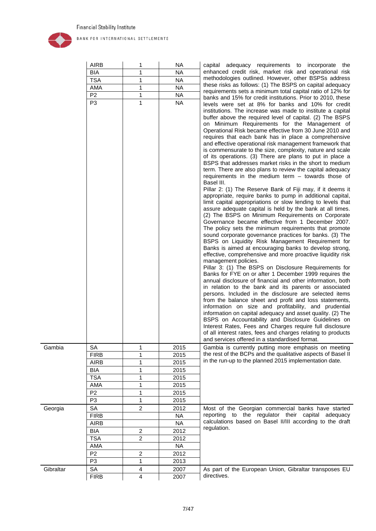

|           | <b>AIRB</b>    | 1              | NA.       | capital adequacy requirements to incorporate<br>the                                                                                                                                                                                                                                                                                                                                                                                                                                                                                                                                                                                                                                                                                                                                                                                                                                                                                                                                                                                                                                                                                                                                                                                                                                                                                                                                                                                                                                                                                                                                                                                                                                                                                                                                                                                                                                                                                                                                                                                                                                                                                                     |
|-----------|----------------|----------------|-----------|---------------------------------------------------------------------------------------------------------------------------------------------------------------------------------------------------------------------------------------------------------------------------------------------------------------------------------------------------------------------------------------------------------------------------------------------------------------------------------------------------------------------------------------------------------------------------------------------------------------------------------------------------------------------------------------------------------------------------------------------------------------------------------------------------------------------------------------------------------------------------------------------------------------------------------------------------------------------------------------------------------------------------------------------------------------------------------------------------------------------------------------------------------------------------------------------------------------------------------------------------------------------------------------------------------------------------------------------------------------------------------------------------------------------------------------------------------------------------------------------------------------------------------------------------------------------------------------------------------------------------------------------------------------------------------------------------------------------------------------------------------------------------------------------------------------------------------------------------------------------------------------------------------------------------------------------------------------------------------------------------------------------------------------------------------------------------------------------------------------------------------------------------------|
|           | BIA            | 1              | <b>NA</b> | enhanced credit risk, market risk and operational risk                                                                                                                                                                                                                                                                                                                                                                                                                                                                                                                                                                                                                                                                                                                                                                                                                                                                                                                                                                                                                                                                                                                                                                                                                                                                                                                                                                                                                                                                                                                                                                                                                                                                                                                                                                                                                                                                                                                                                                                                                                                                                                  |
|           | <b>TSA</b>     | $\mathbf{1}$   | <b>NA</b> | methodologies outlined. However, other BSPSs address                                                                                                                                                                                                                                                                                                                                                                                                                                                                                                                                                                                                                                                                                                                                                                                                                                                                                                                                                                                                                                                                                                                                                                                                                                                                                                                                                                                                                                                                                                                                                                                                                                                                                                                                                                                                                                                                                                                                                                                                                                                                                                    |
|           | AMA            | 1              | <b>NA</b> | these risks as follows: (1) The BSPS on capital adequacy                                                                                                                                                                                                                                                                                                                                                                                                                                                                                                                                                                                                                                                                                                                                                                                                                                                                                                                                                                                                                                                                                                                                                                                                                                                                                                                                                                                                                                                                                                                                                                                                                                                                                                                                                                                                                                                                                                                                                                                                                                                                                                |
|           | P <sub>2</sub> | $\mathbf 1$    | NA.       | requirements sets a minimum total capital ratio of 12% for                                                                                                                                                                                                                                                                                                                                                                                                                                                                                                                                                                                                                                                                                                                                                                                                                                                                                                                                                                                                                                                                                                                                                                                                                                                                                                                                                                                                                                                                                                                                                                                                                                                                                                                                                                                                                                                                                                                                                                                                                                                                                              |
|           | P <sub>3</sub> | $\mathbf{1}$   | <b>NA</b> | banks and 15% for credit institutions. Prior to 2010, these                                                                                                                                                                                                                                                                                                                                                                                                                                                                                                                                                                                                                                                                                                                                                                                                                                                                                                                                                                                                                                                                                                                                                                                                                                                                                                                                                                                                                                                                                                                                                                                                                                                                                                                                                                                                                                                                                                                                                                                                                                                                                             |
|           |                |                |           | levels were set at 8% for banks and 10% for credit<br>institutions. The increase was made to institute a capital<br>buffer above the required level of capital. (2) The BSPS<br>on Minimum Requirements for the Management of<br>Operational Risk became effective from 30 June 2010 and<br>requires that each bank has in place a comprehensive<br>and effective operational risk management framework that<br>is commensurate to the size, complexity, nature and scale<br>of its operations. (3) There are plans to put in place a<br>BSPS that addresses market risks in the short to medium<br>term. There are also plans to review the capital adequacy<br>requirements in the medium term $-$ towards those of<br>Basel III.<br>Pillar 2: (1) The Reserve Bank of Fiji may, if it deems it<br>appropriate, require banks to pump in additional capital,<br>limit capital appropriations or slow lending to levels that<br>assure adequate capital is held by the bank at all times.<br>(2) The BSPS on Minimum Requirements on Corporate<br>Governance became effective from 1 December 2007.<br>The policy sets the minimum requirements that promote<br>sound corporate governance practices for banks. (3) The<br>BSPS on Liquidity Risk Management Requirement for<br>Banks is aimed at encouraging banks to develop strong,<br>effective, comprehensive and more proactive liquidity risk<br>management policies.<br>Pillar 3: (1) The BSPS on Disclosure Requirements for<br>Banks for FYE on or after 1 December 1999 requires the<br>annual disclosure of financial and other information, both<br>in relation to the bank and its parents or associated<br>persons. Included in the disclosure are selected items<br>from the balance sheet and profit and loss statements,<br>information on size and profitability, and prudential<br>information on capital adequacy and asset quality. (2) The<br>BSPS on Accountability and Disclosure Guidelines on<br>Interest Rates, Fees and Charges require full disclosure<br>of all interest rates, fees and charges relating to products<br>and services offered in a standardised format. |
| Gambia    | <b>SA</b>      | 1              | 2015      | Gambia is currently putting more emphasis on meeting                                                                                                                                                                                                                                                                                                                                                                                                                                                                                                                                                                                                                                                                                                                                                                                                                                                                                                                                                                                                                                                                                                                                                                                                                                                                                                                                                                                                                                                                                                                                                                                                                                                                                                                                                                                                                                                                                                                                                                                                                                                                                                    |
|           | <b>FIRB</b>    | 1              | 2015      | the rest of the BCPs and the qualitative aspects of Basel II                                                                                                                                                                                                                                                                                                                                                                                                                                                                                                                                                                                                                                                                                                                                                                                                                                                                                                                                                                                                                                                                                                                                                                                                                                                                                                                                                                                                                                                                                                                                                                                                                                                                                                                                                                                                                                                                                                                                                                                                                                                                                            |
|           | <b>AIRB</b>    | 1              | 2015      | in the run-up to the planned 2015 implementation date.                                                                                                                                                                                                                                                                                                                                                                                                                                                                                                                                                                                                                                                                                                                                                                                                                                                                                                                                                                                                                                                                                                                                                                                                                                                                                                                                                                                                                                                                                                                                                                                                                                                                                                                                                                                                                                                                                                                                                                                                                                                                                                  |
|           | <b>BIA</b>     | 1              | 2015      |                                                                                                                                                                                                                                                                                                                                                                                                                                                                                                                                                                                                                                                                                                                                                                                                                                                                                                                                                                                                                                                                                                                                                                                                                                                                                                                                                                                                                                                                                                                                                                                                                                                                                                                                                                                                                                                                                                                                                                                                                                                                                                                                                         |
|           | <b>TSA</b>     | 1              | 2015      |                                                                                                                                                                                                                                                                                                                                                                                                                                                                                                                                                                                                                                                                                                                                                                                                                                                                                                                                                                                                                                                                                                                                                                                                                                                                                                                                                                                                                                                                                                                                                                                                                                                                                                                                                                                                                                                                                                                                                                                                                                                                                                                                                         |
|           | AMA            | 1              | 2015      |                                                                                                                                                                                                                                                                                                                                                                                                                                                                                                                                                                                                                                                                                                                                                                                                                                                                                                                                                                                                                                                                                                                                                                                                                                                                                                                                                                                                                                                                                                                                                                                                                                                                                                                                                                                                                                                                                                                                                                                                                                                                                                                                                         |
|           | P <sub>2</sub> | 1              | 2015      |                                                                                                                                                                                                                                                                                                                                                                                                                                                                                                                                                                                                                                                                                                                                                                                                                                                                                                                                                                                                                                                                                                                                                                                                                                                                                                                                                                                                                                                                                                                                                                                                                                                                                                                                                                                                                                                                                                                                                                                                                                                                                                                                                         |
|           | P <sub>3</sub> | $\mathbf{1}$   | 2015      |                                                                                                                                                                                                                                                                                                                                                                                                                                                                                                                                                                                                                                                                                                                                                                                                                                                                                                                                                                                                                                                                                                                                                                                                                                                                                                                                                                                                                                                                                                                                                                                                                                                                                                                                                                                                                                                                                                                                                                                                                                                                                                                                                         |
| Georgia   | <b>SA</b>      | $\overline{2}$ | 2012      | Most of the Georgian commercial banks have started                                                                                                                                                                                                                                                                                                                                                                                                                                                                                                                                                                                                                                                                                                                                                                                                                                                                                                                                                                                                                                                                                                                                                                                                                                                                                                                                                                                                                                                                                                                                                                                                                                                                                                                                                                                                                                                                                                                                                                                                                                                                                                      |
|           | <b>FIRB</b>    |                | <b>NA</b> | reporting to the regulator their capital adequacy                                                                                                                                                                                                                                                                                                                                                                                                                                                                                                                                                                                                                                                                                                                                                                                                                                                                                                                                                                                                                                                                                                                                                                                                                                                                                                                                                                                                                                                                                                                                                                                                                                                                                                                                                                                                                                                                                                                                                                                                                                                                                                       |
|           | <b>AIRB</b>    |                | <b>NA</b> | calculations based on Basel II/III according to the draft                                                                                                                                                                                                                                                                                                                                                                                                                                                                                                                                                                                                                                                                                                                                                                                                                                                                                                                                                                                                                                                                                                                                                                                                                                                                                                                                                                                                                                                                                                                                                                                                                                                                                                                                                                                                                                                                                                                                                                                                                                                                                               |
|           | <b>BIA</b>     | $\overline{c}$ | 2012      | regulation.                                                                                                                                                                                                                                                                                                                                                                                                                                                                                                                                                                                                                                                                                                                                                                                                                                                                                                                                                                                                                                                                                                                                                                                                                                                                                                                                                                                                                                                                                                                                                                                                                                                                                                                                                                                                                                                                                                                                                                                                                                                                                                                                             |
|           | <b>TSA</b>     | $\overline{2}$ | 2012      |                                                                                                                                                                                                                                                                                                                                                                                                                                                                                                                                                                                                                                                                                                                                                                                                                                                                                                                                                                                                                                                                                                                                                                                                                                                                                                                                                                                                                                                                                                                                                                                                                                                                                                                                                                                                                                                                                                                                                                                                                                                                                                                                                         |
|           | AMA            |                | <b>NA</b> |                                                                                                                                                                                                                                                                                                                                                                                                                                                                                                                                                                                                                                                                                                                                                                                                                                                                                                                                                                                                                                                                                                                                                                                                                                                                                                                                                                                                                                                                                                                                                                                                                                                                                                                                                                                                                                                                                                                                                                                                                                                                                                                                                         |
|           | P <sub>2</sub> | $\overline{c}$ | 2012      |                                                                                                                                                                                                                                                                                                                                                                                                                                                                                                                                                                                                                                                                                                                                                                                                                                                                                                                                                                                                                                                                                                                                                                                                                                                                                                                                                                                                                                                                                                                                                                                                                                                                                                                                                                                                                                                                                                                                                                                                                                                                                                                                                         |
|           | P <sub>3</sub> | 1              | 2013      |                                                                                                                                                                                                                                                                                                                                                                                                                                                                                                                                                                                                                                                                                                                                                                                                                                                                                                                                                                                                                                                                                                                                                                                                                                                                                                                                                                                                                                                                                                                                                                                                                                                                                                                                                                                                                                                                                                                                                                                                                                                                                                                                                         |
| Gibraltar | SA             | $\overline{4}$ | 2007      | As part of the European Union, Gibraltar transposes EU                                                                                                                                                                                                                                                                                                                                                                                                                                                                                                                                                                                                                                                                                                                                                                                                                                                                                                                                                                                                                                                                                                                                                                                                                                                                                                                                                                                                                                                                                                                                                                                                                                                                                                                                                                                                                                                                                                                                                                                                                                                                                                  |

FIRB 4 2007 directives.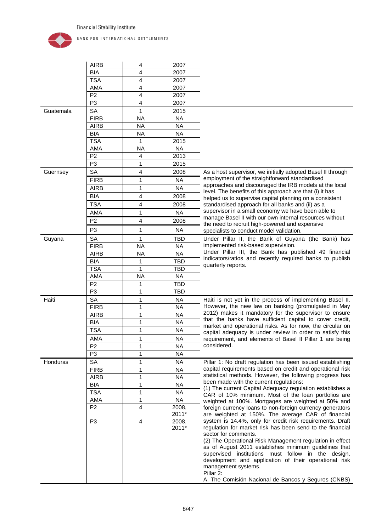

|                 | <b>AIRB</b>    | 4                       | 2007           |                                                                                                                                                                                                                                                                                                                                                                                                           |
|-----------------|----------------|-------------------------|----------------|-----------------------------------------------------------------------------------------------------------------------------------------------------------------------------------------------------------------------------------------------------------------------------------------------------------------------------------------------------------------------------------------------------------|
|                 | <b>BIA</b>     | 4                       | 2007           |                                                                                                                                                                                                                                                                                                                                                                                                           |
|                 | <b>TSA</b>     | 4                       | 2007           |                                                                                                                                                                                                                                                                                                                                                                                                           |
|                 | <b>AMA</b>     | 4                       | 2007           |                                                                                                                                                                                                                                                                                                                                                                                                           |
|                 | P <sub>2</sub> | 4                       | 2007           |                                                                                                                                                                                                                                                                                                                                                                                                           |
|                 | P <sub>3</sub> | 4                       | 2007           |                                                                                                                                                                                                                                                                                                                                                                                                           |
| Guatemala       | <b>SA</b>      | 1                       | 2015           |                                                                                                                                                                                                                                                                                                                                                                                                           |
|                 | <b>FIRB</b>    | <b>NA</b>               | <b>NA</b>      |                                                                                                                                                                                                                                                                                                                                                                                                           |
|                 | <b>AIRB</b>    | <b>NA</b>               | <b>NA</b>      |                                                                                                                                                                                                                                                                                                                                                                                                           |
|                 | <b>BIA</b>     | <b>NA</b>               | <b>NA</b>      |                                                                                                                                                                                                                                                                                                                                                                                                           |
|                 | <b>TSA</b>     | 1                       | 2015           |                                                                                                                                                                                                                                                                                                                                                                                                           |
|                 | AMA            | <b>NA</b>               | <b>NA</b>      |                                                                                                                                                                                                                                                                                                                                                                                                           |
|                 | P <sub>2</sub> | 4                       | 2013           |                                                                                                                                                                                                                                                                                                                                                                                                           |
|                 | P <sub>3</sub> | 1                       | 2015           |                                                                                                                                                                                                                                                                                                                                                                                                           |
| Guernsey        | <b>SA</b>      | $\overline{\mathbf{4}}$ | 2008           | As a host supervisor, we initially adopted Basel II through                                                                                                                                                                                                                                                                                                                                               |
|                 | <b>FIRB</b>    | 1                       | <b>NA</b>      | employment of the straightforward standardised                                                                                                                                                                                                                                                                                                                                                            |
|                 | <b>AIRB</b>    | 1                       | <b>NA</b>      | approaches and discouraged the IRB models at the local                                                                                                                                                                                                                                                                                                                                                    |
|                 | <b>BIA</b>     | 4                       | 2008           | level. The benefits of this approach are that (i) it has<br>helped us to supervise capital planning on a consistent                                                                                                                                                                                                                                                                                       |
|                 | <b>TSA</b>     | $\overline{4}$          | 2008           | standardised approach for all banks and (ii) as a                                                                                                                                                                                                                                                                                                                                                         |
|                 | AMA            | $\mathbf{1}$            | <b>NA</b>      | supervisor in a small economy we have been able to                                                                                                                                                                                                                                                                                                                                                        |
|                 |                |                         |                | manage Basel II with our own internal resources without                                                                                                                                                                                                                                                                                                                                                   |
|                 | P <sub>2</sub> | 4                       | 2008           | the need to recruit high-powered and expensive                                                                                                                                                                                                                                                                                                                                                            |
|                 | P <sub>3</sub> | 1                       | <b>NA</b>      | specialists to conduct model validation.                                                                                                                                                                                                                                                                                                                                                                  |
| Guyana          | <b>SA</b>      | 1                       | <b>TBD</b>     | Under Pillar II, the Bank of Guyana (the Bank) has                                                                                                                                                                                                                                                                                                                                                        |
|                 | <b>FIRB</b>    | <b>NA</b>               | <b>NA</b>      | implemented risk-based supervision.                                                                                                                                                                                                                                                                                                                                                                       |
|                 | <b>AIRB</b>    | <b>NA</b>               | <b>NA</b>      | Under Pillar III, the Bank has published 49 financial<br>indicators/ratios and recently required banks to publish                                                                                                                                                                                                                                                                                         |
|                 | <b>BIA</b>     | 1                       | <b>TBD</b>     | quarterly reports.                                                                                                                                                                                                                                                                                                                                                                                        |
|                 | <b>TSA</b>     | 1                       | TBD            |                                                                                                                                                                                                                                                                                                                                                                                                           |
|                 | <b>AMA</b>     | <b>NA</b>               | <b>NA</b>      |                                                                                                                                                                                                                                                                                                                                                                                                           |
|                 | P <sub>2</sub> | 1                       | <b>TBD</b>     |                                                                                                                                                                                                                                                                                                                                                                                                           |
|                 | P <sub>3</sub> | 1                       | <b>TBD</b>     |                                                                                                                                                                                                                                                                                                                                                                                                           |
| Haiti           | <b>SA</b>      | 1                       | <b>NA</b>      | Haiti is not yet in the process of implementing Basel II.                                                                                                                                                                                                                                                                                                                                                 |
|                 | <b>FIRB</b>    | 1                       | <b>NA</b>      | However, the new law on banking (promulgated in May                                                                                                                                                                                                                                                                                                                                                       |
|                 | <b>AIRB</b>    | 1                       | <b>NA</b>      | 2012) makes it mandatory for the supervisor to ensure<br>that the banks have sufficient capital to cover credit,                                                                                                                                                                                                                                                                                          |
|                 | <b>BIA</b>     | 1                       | <b>NA</b>      | market and operational risks. As for now, the circular on                                                                                                                                                                                                                                                                                                                                                 |
|                 | <b>TSA</b>     | 1                       | <b>NA</b>      | capital adequacy is under review in order to satisfy this                                                                                                                                                                                                                                                                                                                                                 |
|                 | AMA            | $\mathbf{1}$            | <b>NA</b>      | requirement, and elements of Basel II Pillar 1 are being                                                                                                                                                                                                                                                                                                                                                  |
|                 | P <sub>2</sub> | 1                       | NA             | considered.                                                                                                                                                                                                                                                                                                                                                                                               |
|                 | P <sub>3</sub> | 1                       | <b>NA</b>      |                                                                                                                                                                                                                                                                                                                                                                                                           |
| <b>Honduras</b> | SA             | 1                       | <b>NA</b>      | Pillar 1: No draft regulation has been issued establishing                                                                                                                                                                                                                                                                                                                                                |
|                 | <b>FIRB</b>    | 1                       | <b>NA</b>      | capital requirements based on credit and operational risk                                                                                                                                                                                                                                                                                                                                                 |
|                 | <b>AIRB</b>    | 1                       | <b>NA</b>      | statistical methods. However, the following progress has                                                                                                                                                                                                                                                                                                                                                  |
|                 | <b>BIA</b>     | 1                       | <b>NA</b>      | been made with the current regulations:                                                                                                                                                                                                                                                                                                                                                                   |
|                 | <b>TSA</b>     | 1                       | <b>NA</b>      | (1) The current Capital Adequacy regulation establishes a<br>CAR of 10% minimum. Most of the loan portfolios are                                                                                                                                                                                                                                                                                          |
|                 | AMA            | 1                       | <b>NA</b>      | weighted at 100%. Mortgages are weighted at 50% and                                                                                                                                                                                                                                                                                                                                                       |
|                 | P <sub>2</sub> | $\overline{4}$          | 2008,<br>2011* | foreign currency loans to non-foreign currency generators<br>are weighted at 150%. The average CAR of financial                                                                                                                                                                                                                                                                                           |
|                 | P <sub>3</sub> | $\overline{4}$          | 2008,<br>2011* | system is 14.4%, only for credit risk requirements. Draft<br>regulation for market risk has been send to the financial<br>sector for comments.<br>(2) The Operational Risk Management regulation in effect<br>as of August 2011 establishes minimum guidelines that<br>supervised institutions must follow in the design,<br>development and application of their operational risk<br>management systems. |
|                 |                |                         |                | Pillar 2:<br>A. The Comisión Nacional de Bancos y Seguros (CNBS)                                                                                                                                                                                                                                                                                                                                          |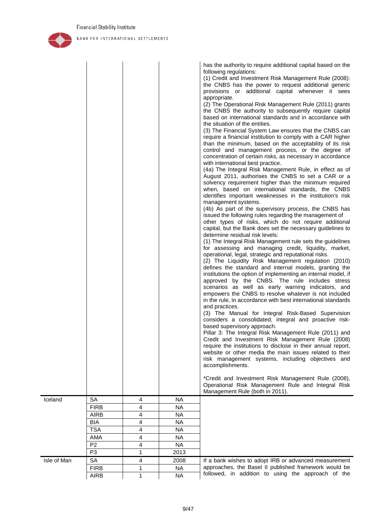

|             |                |   |                        | has the authority to require additional capital based on the<br>following regulations:<br>(1) Credit and Investment Risk Management Rule (2008):<br>the CNBS has the power to request additional generic<br>provisions or additional capital whenever it sees<br>appropriate.<br>(2) The Operational Risk Management Rule (2011) grants<br>the CNBS the authority to subsequently require capital<br>based on international standards and in accordance with<br>the situation of the entities.<br>(3) The Financial System Law ensures that the CNBS can<br>require a financial institution to comply with a CAR higher<br>than the minimum, based on the acceptability of its risk<br>control and management process, or the degree of<br>concentration of certain risks, as necessary in accordance<br>with international best practice.<br>(4a) The Integral Risk Management Rule, in effect as of<br>August 2011, authorises the CNBS to set a CAR or a<br>solvency requirement higher than the minimum required<br>when, based on international standards, the CNBS<br>identifies important weaknesses in the institution's risk<br>management systems.<br>(4b) As part of the supervisory process, the CNBS has<br>issued the following rules regarding the management of<br>other types of risks, which do not require additional<br>capital, but the Bank does set the necessary guidelines to<br>determine residual risk levels:<br>(1) The Integral Risk Management rule sets the guidelines<br>for assessing and managing credit, liquidity, market,<br>operational, legal, strategic and reputational risks.<br>(2) The Liquidity Risk Management regulation (2010)<br>defines the standard and internal models, granting the<br>institutions the option of implementing an internal model, if<br>approved by the CNBS. The rule includes stress<br>scenarios as well as early warning indicators, and<br>empowers the CNBS to resolve whatever is not included<br>in the rule, in accordance with best international standards<br>and practices.<br>(3) The Manual for Integral Risk-Based Supervision<br>considers a consolidated, integral and proactive risk-<br>based supervisory approach.<br>Pillar 3: The Integral Risk Management Rule (2011) and<br>Credit and Investment Risk Management Rule (2008)<br>require the institutions to disclose in their annual report,<br>website or other media the main issues related to their<br>risk management systems, including objectives and<br>accomplishments.<br>*Credit and Investment Risk Management Rule (2008),<br>Operational Risk Management Rule and Integral Risk<br>Management Rule (both in 2011). |
|-------------|----------------|---|------------------------|---------------------------------------------------------------------------------------------------------------------------------------------------------------------------------------------------------------------------------------------------------------------------------------------------------------------------------------------------------------------------------------------------------------------------------------------------------------------------------------------------------------------------------------------------------------------------------------------------------------------------------------------------------------------------------------------------------------------------------------------------------------------------------------------------------------------------------------------------------------------------------------------------------------------------------------------------------------------------------------------------------------------------------------------------------------------------------------------------------------------------------------------------------------------------------------------------------------------------------------------------------------------------------------------------------------------------------------------------------------------------------------------------------------------------------------------------------------------------------------------------------------------------------------------------------------------------------------------------------------------------------------------------------------------------------------------------------------------------------------------------------------------------------------------------------------------------------------------------------------------------------------------------------------------------------------------------------------------------------------------------------------------------------------------------------------------------------------------------------------------------------------------------------------------------------------------------------------------------------------------------------------------------------------------------------------------------------------------------------------------------------------------------------------------------------------------------------------------------------------------------------------------------------------------------------------------------------------------------------------------------------------------------------------------------------|
| Iceland     | SA             | 4 | <b>NA</b>              |                                                                                                                                                                                                                                                                                                                                                                                                                                                                                                                                                                                                                                                                                                                                                                                                                                                                                                                                                                                                                                                                                                                                                                                                                                                                                                                                                                                                                                                                                                                                                                                                                                                                                                                                                                                                                                                                                                                                                                                                                                                                                                                                                                                                                                                                                                                                                                                                                                                                                                                                                                                                                                                                                 |
|             | <b>FIRB</b>    | 4 | <b>NA</b><br><b>NA</b> |                                                                                                                                                                                                                                                                                                                                                                                                                                                                                                                                                                                                                                                                                                                                                                                                                                                                                                                                                                                                                                                                                                                                                                                                                                                                                                                                                                                                                                                                                                                                                                                                                                                                                                                                                                                                                                                                                                                                                                                                                                                                                                                                                                                                                                                                                                                                                                                                                                                                                                                                                                                                                                                                                 |
|             | <b>AIRB</b>    | 4 | <b>NA</b>              |                                                                                                                                                                                                                                                                                                                                                                                                                                                                                                                                                                                                                                                                                                                                                                                                                                                                                                                                                                                                                                                                                                                                                                                                                                                                                                                                                                                                                                                                                                                                                                                                                                                                                                                                                                                                                                                                                                                                                                                                                                                                                                                                                                                                                                                                                                                                                                                                                                                                                                                                                                                                                                                                                 |
|             | <b>BIA</b>     | 4 |                        |                                                                                                                                                                                                                                                                                                                                                                                                                                                                                                                                                                                                                                                                                                                                                                                                                                                                                                                                                                                                                                                                                                                                                                                                                                                                                                                                                                                                                                                                                                                                                                                                                                                                                                                                                                                                                                                                                                                                                                                                                                                                                                                                                                                                                                                                                                                                                                                                                                                                                                                                                                                                                                                                                 |
|             | <b>TSA</b>     | 4 | <b>NA</b>              |                                                                                                                                                                                                                                                                                                                                                                                                                                                                                                                                                                                                                                                                                                                                                                                                                                                                                                                                                                                                                                                                                                                                                                                                                                                                                                                                                                                                                                                                                                                                                                                                                                                                                                                                                                                                                                                                                                                                                                                                                                                                                                                                                                                                                                                                                                                                                                                                                                                                                                                                                                                                                                                                                 |
|             | AMA            | 4 | <b>NA</b>              |                                                                                                                                                                                                                                                                                                                                                                                                                                                                                                                                                                                                                                                                                                                                                                                                                                                                                                                                                                                                                                                                                                                                                                                                                                                                                                                                                                                                                                                                                                                                                                                                                                                                                                                                                                                                                                                                                                                                                                                                                                                                                                                                                                                                                                                                                                                                                                                                                                                                                                                                                                                                                                                                                 |
|             | P <sub>2</sub> | 4 | <b>NA</b>              |                                                                                                                                                                                                                                                                                                                                                                                                                                                                                                                                                                                                                                                                                                                                                                                                                                                                                                                                                                                                                                                                                                                                                                                                                                                                                                                                                                                                                                                                                                                                                                                                                                                                                                                                                                                                                                                                                                                                                                                                                                                                                                                                                                                                                                                                                                                                                                                                                                                                                                                                                                                                                                                                                 |
|             | P <sub>3</sub> | 1 | 2013                   |                                                                                                                                                                                                                                                                                                                                                                                                                                                                                                                                                                                                                                                                                                                                                                                                                                                                                                                                                                                                                                                                                                                                                                                                                                                                                                                                                                                                                                                                                                                                                                                                                                                                                                                                                                                                                                                                                                                                                                                                                                                                                                                                                                                                                                                                                                                                                                                                                                                                                                                                                                                                                                                                                 |
| Isle of Man | SA             | 4 | 2008                   | If a bank wishes to adopt IRB or advanced measurement                                                                                                                                                                                                                                                                                                                                                                                                                                                                                                                                                                                                                                                                                                                                                                                                                                                                                                                                                                                                                                                                                                                                                                                                                                                                                                                                                                                                                                                                                                                                                                                                                                                                                                                                                                                                                                                                                                                                                                                                                                                                                                                                                                                                                                                                                                                                                                                                                                                                                                                                                                                                                           |
|             | <b>FIRB</b>    | 1 | <b>NA</b>              | approaches, the Basel II published framework would be                                                                                                                                                                                                                                                                                                                                                                                                                                                                                                                                                                                                                                                                                                                                                                                                                                                                                                                                                                                                                                                                                                                                                                                                                                                                                                                                                                                                                                                                                                                                                                                                                                                                                                                                                                                                                                                                                                                                                                                                                                                                                                                                                                                                                                                                                                                                                                                                                                                                                                                                                                                                                           |
|             | <b>AIRB</b>    | 1 | <b>NA</b>              | followed, in addition to using the approach of the                                                                                                                                                                                                                                                                                                                                                                                                                                                                                                                                                                                                                                                                                                                                                                                                                                                                                                                                                                                                                                                                                                                                                                                                                                                                                                                                                                                                                                                                                                                                                                                                                                                                                                                                                                                                                                                                                                                                                                                                                                                                                                                                                                                                                                                                                                                                                                                                                                                                                                                                                                                                                              |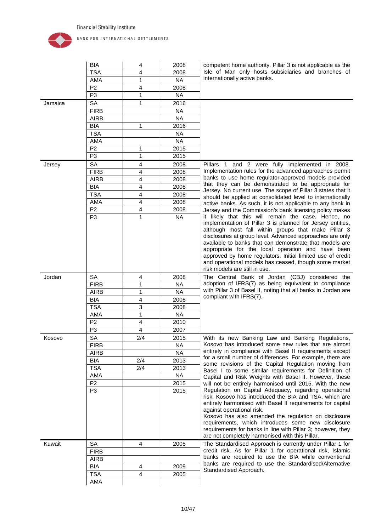

| Isle of Man only hosts subsidiaries and branches of<br><b>TSA</b><br>4<br>2008<br>internationally active banks.<br><b>NA</b><br>AMA<br>1<br>4<br>P <sub>2</sub><br>2008<br><b>NA</b><br>P <sub>3</sub><br>1<br>$\mathbf{1}$<br>Jamaica<br><b>SA</b><br>2016<br><b>FIRB</b><br><b>NA</b><br><b>AIRB</b><br><b>NA</b><br><b>BIA</b><br>1<br>2016<br><b>TSA</b><br><b>NA</b><br><b>AMA</b><br><b>NA</b><br>P <sub>2</sub><br>1<br>2015<br>P <sub>3</sub><br>$\mathbf{1}$<br>2015<br><b>SA</b><br>4<br>2008<br>Pillars 1 and 2 were fully implemented in 2008.<br>Jersey<br>Implementation rules for the advanced approaches permit<br><b>FIRB</b><br>4<br>2008<br>banks to use home regulator-approved models provided<br><b>AIRB</b><br>4<br>2008<br>that they can be demonstrated to be appropriate for<br><b>BIA</b><br>4<br>2008<br>Jersey. No current use. The scope of Pillar 3 states that it<br><b>TSA</b><br>4<br>2008<br>should be applied at consolidated level to internationally<br>AMA<br>4<br>2008<br>active banks. As such, it is not applicable to any bank in<br>P <sub>2</sub><br>4<br>2008<br>Jersey and the Commission's bank licensing policy makes<br>P <sub>3</sub><br>1<br>it likely that this will remain the case. Hence, no<br><b>NA</b><br>implementation of Pillar 3 is planned for Jersey entities,<br>although most fall within groups that make Pillar 3<br>disclosures at group level. Advanced approaches are only<br>available to banks that can demonstrate that models are<br>appropriate for the local operation and have been<br>approved by home regulators. Initial limited use of credit<br>and operational models has ceased, though some market<br>risk models are still in use.<br><b>SA</b><br>Jordan<br>4<br>2008<br>The Central Bank of Jordan (CBJ) considered the<br>adoption of IFRS(7) as being equivalent to compliance<br><b>FIRB</b><br>1<br><b>NA</b><br>with Pillar 3 of Basel II, noting that all banks in Jordan are<br>$\mathbf{1}$<br><b>NA</b><br><b>AIRB</b><br>compliant with IFRS(7).<br><b>BIA</b><br>4<br>2008<br><b>TSA</b><br>3<br>2008<br>$\mathbf{1}$<br><b>NA</b><br>AMA<br>P <sub>2</sub><br>$\overline{\mathbf{4}}$<br>2010<br>$\overline{4}$<br>P <sub>3</sub><br>2007<br>SA<br>2/4<br>With its new Banking Law and Banking Regulations,<br>Kosovo<br>2015<br>Kosovo has introduced some new rules that are almost<br><b>FIRB</b><br>NA.<br>entirely in compliance with Basel II requirements except<br><b>AIRB</b><br><b>NA</b><br>for a small number of differences. For example, there are<br><b>BIA</b><br>2/4<br>2013<br>some revisions of the Capital Regulation moving from<br><b>TSA</b><br>2/4<br>2013<br>Basel I to some similar requirements for Definition of<br><b>NA</b><br>AMA<br>Capital and Risk Weights with Basel II. However, these<br>P <sub>2</sub><br>2015<br>will not be entirely harmonised until 2015. With the new<br>Regulation on Capital Adequacy, regarding operational<br>P <sub>3</sub><br>2015<br>risk, Kosovo has introduced the BIA and TSA, which are<br>entirely harmonised with Basel II requirements for capital<br>against operational risk.<br>Kosovo has also amended the regulation on disclosure<br>requirements, which introduces some new disclosure<br>requirements for banks in line with Pillar 3; however, they<br>are not completely harmonised with this Pillar.<br>Kuwait<br>SA<br>4<br>2005<br>The Standardised Approach is currently under Pillar 1 for<br>credit risk. As for Pillar 1 for operational risk, Islamic<br><b>FIRB</b><br>banks are required to use the BIA while conventional<br><b>AIRB</b><br>banks are required to use the Standardised/Alternative<br>BIA<br>4<br>2009<br>Standardised Approach.<br><b>TSA</b><br>4<br>2005<br>AMA |  | <b>BIA</b> | 4 | 2008 | competent home authority. Pillar 3 is not applicable as the |
|----------------------------------------------------------------------------------------------------------------------------------------------------------------------------------------------------------------------------------------------------------------------------------------------------------------------------------------------------------------------------------------------------------------------------------------------------------------------------------------------------------------------------------------------------------------------------------------------------------------------------------------------------------------------------------------------------------------------------------------------------------------------------------------------------------------------------------------------------------------------------------------------------------------------------------------------------------------------------------------------------------------------------------------------------------------------------------------------------------------------------------------------------------------------------------------------------------------------------------------------------------------------------------------------------------------------------------------------------------------------------------------------------------------------------------------------------------------------------------------------------------------------------------------------------------------------------------------------------------------------------------------------------------------------------------------------------------------------------------------------------------------------------------------------------------------------------------------------------------------------------------------------------------------------------------------------------------------------------------------------------------------------------------------------------------------------------------------------------------------------------------------------------------------------------------------------------------------------------------------------------------------------------------------------------------------------------------------------------------------------------------------------------------------------------------------------------------------------------------------------------------------------------------------------------------------------------------------------------------------------------------------------------------------------------------------------------------------------------------------------------------------------------------------------------------------------------------------------------------------------------------------------------------------------------------------------------------------------------------------------------------------------------------------------------------------------------------------------------------------------------------------------------------------------------------------------------------------------------------------------------------------------------------------------------------------------------------------------------------------------------------------------------------------------------------------------------------------------------------------------------------------------------------------------------------------------------------------------------------------------------------------------------------------------------------------------------------------------------------------------------------------------------------------|--|------------|---|------|-------------------------------------------------------------|
|                                                                                                                                                                                                                                                                                                                                                                                                                                                                                                                                                                                                                                                                                                                                                                                                                                                                                                                                                                                                                                                                                                                                                                                                                                                                                                                                                                                                                                                                                                                                                                                                                                                                                                                                                                                                                                                                                                                                                                                                                                                                                                                                                                                                                                                                                                                                                                                                                                                                                                                                                                                                                                                                                                                                                                                                                                                                                                                                                                                                                                                                                                                                                                                                                                                                                                                                                                                                                                                                                                                                                                                                                                                                                                                                                                                        |  |            |   |      |                                                             |
|                                                                                                                                                                                                                                                                                                                                                                                                                                                                                                                                                                                                                                                                                                                                                                                                                                                                                                                                                                                                                                                                                                                                                                                                                                                                                                                                                                                                                                                                                                                                                                                                                                                                                                                                                                                                                                                                                                                                                                                                                                                                                                                                                                                                                                                                                                                                                                                                                                                                                                                                                                                                                                                                                                                                                                                                                                                                                                                                                                                                                                                                                                                                                                                                                                                                                                                                                                                                                                                                                                                                                                                                                                                                                                                                                                                        |  |            |   |      |                                                             |
|                                                                                                                                                                                                                                                                                                                                                                                                                                                                                                                                                                                                                                                                                                                                                                                                                                                                                                                                                                                                                                                                                                                                                                                                                                                                                                                                                                                                                                                                                                                                                                                                                                                                                                                                                                                                                                                                                                                                                                                                                                                                                                                                                                                                                                                                                                                                                                                                                                                                                                                                                                                                                                                                                                                                                                                                                                                                                                                                                                                                                                                                                                                                                                                                                                                                                                                                                                                                                                                                                                                                                                                                                                                                                                                                                                                        |  |            |   |      |                                                             |
|                                                                                                                                                                                                                                                                                                                                                                                                                                                                                                                                                                                                                                                                                                                                                                                                                                                                                                                                                                                                                                                                                                                                                                                                                                                                                                                                                                                                                                                                                                                                                                                                                                                                                                                                                                                                                                                                                                                                                                                                                                                                                                                                                                                                                                                                                                                                                                                                                                                                                                                                                                                                                                                                                                                                                                                                                                                                                                                                                                                                                                                                                                                                                                                                                                                                                                                                                                                                                                                                                                                                                                                                                                                                                                                                                                                        |  |            |   |      |                                                             |
|                                                                                                                                                                                                                                                                                                                                                                                                                                                                                                                                                                                                                                                                                                                                                                                                                                                                                                                                                                                                                                                                                                                                                                                                                                                                                                                                                                                                                                                                                                                                                                                                                                                                                                                                                                                                                                                                                                                                                                                                                                                                                                                                                                                                                                                                                                                                                                                                                                                                                                                                                                                                                                                                                                                                                                                                                                                                                                                                                                                                                                                                                                                                                                                                                                                                                                                                                                                                                                                                                                                                                                                                                                                                                                                                                                                        |  |            |   |      |                                                             |
|                                                                                                                                                                                                                                                                                                                                                                                                                                                                                                                                                                                                                                                                                                                                                                                                                                                                                                                                                                                                                                                                                                                                                                                                                                                                                                                                                                                                                                                                                                                                                                                                                                                                                                                                                                                                                                                                                                                                                                                                                                                                                                                                                                                                                                                                                                                                                                                                                                                                                                                                                                                                                                                                                                                                                                                                                                                                                                                                                                                                                                                                                                                                                                                                                                                                                                                                                                                                                                                                                                                                                                                                                                                                                                                                                                                        |  |            |   |      |                                                             |
|                                                                                                                                                                                                                                                                                                                                                                                                                                                                                                                                                                                                                                                                                                                                                                                                                                                                                                                                                                                                                                                                                                                                                                                                                                                                                                                                                                                                                                                                                                                                                                                                                                                                                                                                                                                                                                                                                                                                                                                                                                                                                                                                                                                                                                                                                                                                                                                                                                                                                                                                                                                                                                                                                                                                                                                                                                                                                                                                                                                                                                                                                                                                                                                                                                                                                                                                                                                                                                                                                                                                                                                                                                                                                                                                                                                        |  |            |   |      |                                                             |
|                                                                                                                                                                                                                                                                                                                                                                                                                                                                                                                                                                                                                                                                                                                                                                                                                                                                                                                                                                                                                                                                                                                                                                                                                                                                                                                                                                                                                                                                                                                                                                                                                                                                                                                                                                                                                                                                                                                                                                                                                                                                                                                                                                                                                                                                                                                                                                                                                                                                                                                                                                                                                                                                                                                                                                                                                                                                                                                                                                                                                                                                                                                                                                                                                                                                                                                                                                                                                                                                                                                                                                                                                                                                                                                                                                                        |  |            |   |      |                                                             |
|                                                                                                                                                                                                                                                                                                                                                                                                                                                                                                                                                                                                                                                                                                                                                                                                                                                                                                                                                                                                                                                                                                                                                                                                                                                                                                                                                                                                                                                                                                                                                                                                                                                                                                                                                                                                                                                                                                                                                                                                                                                                                                                                                                                                                                                                                                                                                                                                                                                                                                                                                                                                                                                                                                                                                                                                                                                                                                                                                                                                                                                                                                                                                                                                                                                                                                                                                                                                                                                                                                                                                                                                                                                                                                                                                                                        |  |            |   |      |                                                             |
|                                                                                                                                                                                                                                                                                                                                                                                                                                                                                                                                                                                                                                                                                                                                                                                                                                                                                                                                                                                                                                                                                                                                                                                                                                                                                                                                                                                                                                                                                                                                                                                                                                                                                                                                                                                                                                                                                                                                                                                                                                                                                                                                                                                                                                                                                                                                                                                                                                                                                                                                                                                                                                                                                                                                                                                                                                                                                                                                                                                                                                                                                                                                                                                                                                                                                                                                                                                                                                                                                                                                                                                                                                                                                                                                                                                        |  |            |   |      |                                                             |
|                                                                                                                                                                                                                                                                                                                                                                                                                                                                                                                                                                                                                                                                                                                                                                                                                                                                                                                                                                                                                                                                                                                                                                                                                                                                                                                                                                                                                                                                                                                                                                                                                                                                                                                                                                                                                                                                                                                                                                                                                                                                                                                                                                                                                                                                                                                                                                                                                                                                                                                                                                                                                                                                                                                                                                                                                                                                                                                                                                                                                                                                                                                                                                                                                                                                                                                                                                                                                                                                                                                                                                                                                                                                                                                                                                                        |  |            |   |      |                                                             |
|                                                                                                                                                                                                                                                                                                                                                                                                                                                                                                                                                                                                                                                                                                                                                                                                                                                                                                                                                                                                                                                                                                                                                                                                                                                                                                                                                                                                                                                                                                                                                                                                                                                                                                                                                                                                                                                                                                                                                                                                                                                                                                                                                                                                                                                                                                                                                                                                                                                                                                                                                                                                                                                                                                                                                                                                                                                                                                                                                                                                                                                                                                                                                                                                                                                                                                                                                                                                                                                                                                                                                                                                                                                                                                                                                                                        |  |            |   |      |                                                             |
|                                                                                                                                                                                                                                                                                                                                                                                                                                                                                                                                                                                                                                                                                                                                                                                                                                                                                                                                                                                                                                                                                                                                                                                                                                                                                                                                                                                                                                                                                                                                                                                                                                                                                                                                                                                                                                                                                                                                                                                                                                                                                                                                                                                                                                                                                                                                                                                                                                                                                                                                                                                                                                                                                                                                                                                                                                                                                                                                                                                                                                                                                                                                                                                                                                                                                                                                                                                                                                                                                                                                                                                                                                                                                                                                                                                        |  |            |   |      |                                                             |
|                                                                                                                                                                                                                                                                                                                                                                                                                                                                                                                                                                                                                                                                                                                                                                                                                                                                                                                                                                                                                                                                                                                                                                                                                                                                                                                                                                                                                                                                                                                                                                                                                                                                                                                                                                                                                                                                                                                                                                                                                                                                                                                                                                                                                                                                                                                                                                                                                                                                                                                                                                                                                                                                                                                                                                                                                                                                                                                                                                                                                                                                                                                                                                                                                                                                                                                                                                                                                                                                                                                                                                                                                                                                                                                                                                                        |  |            |   |      |                                                             |
|                                                                                                                                                                                                                                                                                                                                                                                                                                                                                                                                                                                                                                                                                                                                                                                                                                                                                                                                                                                                                                                                                                                                                                                                                                                                                                                                                                                                                                                                                                                                                                                                                                                                                                                                                                                                                                                                                                                                                                                                                                                                                                                                                                                                                                                                                                                                                                                                                                                                                                                                                                                                                                                                                                                                                                                                                                                                                                                                                                                                                                                                                                                                                                                                                                                                                                                                                                                                                                                                                                                                                                                                                                                                                                                                                                                        |  |            |   |      |                                                             |
|                                                                                                                                                                                                                                                                                                                                                                                                                                                                                                                                                                                                                                                                                                                                                                                                                                                                                                                                                                                                                                                                                                                                                                                                                                                                                                                                                                                                                                                                                                                                                                                                                                                                                                                                                                                                                                                                                                                                                                                                                                                                                                                                                                                                                                                                                                                                                                                                                                                                                                                                                                                                                                                                                                                                                                                                                                                                                                                                                                                                                                                                                                                                                                                                                                                                                                                                                                                                                                                                                                                                                                                                                                                                                                                                                                                        |  |            |   |      |                                                             |
|                                                                                                                                                                                                                                                                                                                                                                                                                                                                                                                                                                                                                                                                                                                                                                                                                                                                                                                                                                                                                                                                                                                                                                                                                                                                                                                                                                                                                                                                                                                                                                                                                                                                                                                                                                                                                                                                                                                                                                                                                                                                                                                                                                                                                                                                                                                                                                                                                                                                                                                                                                                                                                                                                                                                                                                                                                                                                                                                                                                                                                                                                                                                                                                                                                                                                                                                                                                                                                                                                                                                                                                                                                                                                                                                                                                        |  |            |   |      |                                                             |
|                                                                                                                                                                                                                                                                                                                                                                                                                                                                                                                                                                                                                                                                                                                                                                                                                                                                                                                                                                                                                                                                                                                                                                                                                                                                                                                                                                                                                                                                                                                                                                                                                                                                                                                                                                                                                                                                                                                                                                                                                                                                                                                                                                                                                                                                                                                                                                                                                                                                                                                                                                                                                                                                                                                                                                                                                                                                                                                                                                                                                                                                                                                                                                                                                                                                                                                                                                                                                                                                                                                                                                                                                                                                                                                                                                                        |  |            |   |      |                                                             |
|                                                                                                                                                                                                                                                                                                                                                                                                                                                                                                                                                                                                                                                                                                                                                                                                                                                                                                                                                                                                                                                                                                                                                                                                                                                                                                                                                                                                                                                                                                                                                                                                                                                                                                                                                                                                                                                                                                                                                                                                                                                                                                                                                                                                                                                                                                                                                                                                                                                                                                                                                                                                                                                                                                                                                                                                                                                                                                                                                                                                                                                                                                                                                                                                                                                                                                                                                                                                                                                                                                                                                                                                                                                                                                                                                                                        |  |            |   |      |                                                             |
|                                                                                                                                                                                                                                                                                                                                                                                                                                                                                                                                                                                                                                                                                                                                                                                                                                                                                                                                                                                                                                                                                                                                                                                                                                                                                                                                                                                                                                                                                                                                                                                                                                                                                                                                                                                                                                                                                                                                                                                                                                                                                                                                                                                                                                                                                                                                                                                                                                                                                                                                                                                                                                                                                                                                                                                                                                                                                                                                                                                                                                                                                                                                                                                                                                                                                                                                                                                                                                                                                                                                                                                                                                                                                                                                                                                        |  |            |   |      |                                                             |
|                                                                                                                                                                                                                                                                                                                                                                                                                                                                                                                                                                                                                                                                                                                                                                                                                                                                                                                                                                                                                                                                                                                                                                                                                                                                                                                                                                                                                                                                                                                                                                                                                                                                                                                                                                                                                                                                                                                                                                                                                                                                                                                                                                                                                                                                                                                                                                                                                                                                                                                                                                                                                                                                                                                                                                                                                                                                                                                                                                                                                                                                                                                                                                                                                                                                                                                                                                                                                                                                                                                                                                                                                                                                                                                                                                                        |  |            |   |      |                                                             |
|                                                                                                                                                                                                                                                                                                                                                                                                                                                                                                                                                                                                                                                                                                                                                                                                                                                                                                                                                                                                                                                                                                                                                                                                                                                                                                                                                                                                                                                                                                                                                                                                                                                                                                                                                                                                                                                                                                                                                                                                                                                                                                                                                                                                                                                                                                                                                                                                                                                                                                                                                                                                                                                                                                                                                                                                                                                                                                                                                                                                                                                                                                                                                                                                                                                                                                                                                                                                                                                                                                                                                                                                                                                                                                                                                                                        |  |            |   |      |                                                             |
|                                                                                                                                                                                                                                                                                                                                                                                                                                                                                                                                                                                                                                                                                                                                                                                                                                                                                                                                                                                                                                                                                                                                                                                                                                                                                                                                                                                                                                                                                                                                                                                                                                                                                                                                                                                                                                                                                                                                                                                                                                                                                                                                                                                                                                                                                                                                                                                                                                                                                                                                                                                                                                                                                                                                                                                                                                                                                                                                                                                                                                                                                                                                                                                                                                                                                                                                                                                                                                                                                                                                                                                                                                                                                                                                                                                        |  |            |   |      |                                                             |
|                                                                                                                                                                                                                                                                                                                                                                                                                                                                                                                                                                                                                                                                                                                                                                                                                                                                                                                                                                                                                                                                                                                                                                                                                                                                                                                                                                                                                                                                                                                                                                                                                                                                                                                                                                                                                                                                                                                                                                                                                                                                                                                                                                                                                                                                                                                                                                                                                                                                                                                                                                                                                                                                                                                                                                                                                                                                                                                                                                                                                                                                                                                                                                                                                                                                                                                                                                                                                                                                                                                                                                                                                                                                                                                                                                                        |  |            |   |      |                                                             |
|                                                                                                                                                                                                                                                                                                                                                                                                                                                                                                                                                                                                                                                                                                                                                                                                                                                                                                                                                                                                                                                                                                                                                                                                                                                                                                                                                                                                                                                                                                                                                                                                                                                                                                                                                                                                                                                                                                                                                                                                                                                                                                                                                                                                                                                                                                                                                                                                                                                                                                                                                                                                                                                                                                                                                                                                                                                                                                                                                                                                                                                                                                                                                                                                                                                                                                                                                                                                                                                                                                                                                                                                                                                                                                                                                                                        |  |            |   |      |                                                             |
|                                                                                                                                                                                                                                                                                                                                                                                                                                                                                                                                                                                                                                                                                                                                                                                                                                                                                                                                                                                                                                                                                                                                                                                                                                                                                                                                                                                                                                                                                                                                                                                                                                                                                                                                                                                                                                                                                                                                                                                                                                                                                                                                                                                                                                                                                                                                                                                                                                                                                                                                                                                                                                                                                                                                                                                                                                                                                                                                                                                                                                                                                                                                                                                                                                                                                                                                                                                                                                                                                                                                                                                                                                                                                                                                                                                        |  |            |   |      |                                                             |
|                                                                                                                                                                                                                                                                                                                                                                                                                                                                                                                                                                                                                                                                                                                                                                                                                                                                                                                                                                                                                                                                                                                                                                                                                                                                                                                                                                                                                                                                                                                                                                                                                                                                                                                                                                                                                                                                                                                                                                                                                                                                                                                                                                                                                                                                                                                                                                                                                                                                                                                                                                                                                                                                                                                                                                                                                                                                                                                                                                                                                                                                                                                                                                                                                                                                                                                                                                                                                                                                                                                                                                                                                                                                                                                                                                                        |  |            |   |      |                                                             |
|                                                                                                                                                                                                                                                                                                                                                                                                                                                                                                                                                                                                                                                                                                                                                                                                                                                                                                                                                                                                                                                                                                                                                                                                                                                                                                                                                                                                                                                                                                                                                                                                                                                                                                                                                                                                                                                                                                                                                                                                                                                                                                                                                                                                                                                                                                                                                                                                                                                                                                                                                                                                                                                                                                                                                                                                                                                                                                                                                                                                                                                                                                                                                                                                                                                                                                                                                                                                                                                                                                                                                                                                                                                                                                                                                                                        |  |            |   |      |                                                             |
|                                                                                                                                                                                                                                                                                                                                                                                                                                                                                                                                                                                                                                                                                                                                                                                                                                                                                                                                                                                                                                                                                                                                                                                                                                                                                                                                                                                                                                                                                                                                                                                                                                                                                                                                                                                                                                                                                                                                                                                                                                                                                                                                                                                                                                                                                                                                                                                                                                                                                                                                                                                                                                                                                                                                                                                                                                                                                                                                                                                                                                                                                                                                                                                                                                                                                                                                                                                                                                                                                                                                                                                                                                                                                                                                                                                        |  |            |   |      |                                                             |
|                                                                                                                                                                                                                                                                                                                                                                                                                                                                                                                                                                                                                                                                                                                                                                                                                                                                                                                                                                                                                                                                                                                                                                                                                                                                                                                                                                                                                                                                                                                                                                                                                                                                                                                                                                                                                                                                                                                                                                                                                                                                                                                                                                                                                                                                                                                                                                                                                                                                                                                                                                                                                                                                                                                                                                                                                                                                                                                                                                                                                                                                                                                                                                                                                                                                                                                                                                                                                                                                                                                                                                                                                                                                                                                                                                                        |  |            |   |      |                                                             |
|                                                                                                                                                                                                                                                                                                                                                                                                                                                                                                                                                                                                                                                                                                                                                                                                                                                                                                                                                                                                                                                                                                                                                                                                                                                                                                                                                                                                                                                                                                                                                                                                                                                                                                                                                                                                                                                                                                                                                                                                                                                                                                                                                                                                                                                                                                                                                                                                                                                                                                                                                                                                                                                                                                                                                                                                                                                                                                                                                                                                                                                                                                                                                                                                                                                                                                                                                                                                                                                                                                                                                                                                                                                                                                                                                                                        |  |            |   |      |                                                             |
|                                                                                                                                                                                                                                                                                                                                                                                                                                                                                                                                                                                                                                                                                                                                                                                                                                                                                                                                                                                                                                                                                                                                                                                                                                                                                                                                                                                                                                                                                                                                                                                                                                                                                                                                                                                                                                                                                                                                                                                                                                                                                                                                                                                                                                                                                                                                                                                                                                                                                                                                                                                                                                                                                                                                                                                                                                                                                                                                                                                                                                                                                                                                                                                                                                                                                                                                                                                                                                                                                                                                                                                                                                                                                                                                                                                        |  |            |   |      |                                                             |
|                                                                                                                                                                                                                                                                                                                                                                                                                                                                                                                                                                                                                                                                                                                                                                                                                                                                                                                                                                                                                                                                                                                                                                                                                                                                                                                                                                                                                                                                                                                                                                                                                                                                                                                                                                                                                                                                                                                                                                                                                                                                                                                                                                                                                                                                                                                                                                                                                                                                                                                                                                                                                                                                                                                                                                                                                                                                                                                                                                                                                                                                                                                                                                                                                                                                                                                                                                                                                                                                                                                                                                                                                                                                                                                                                                                        |  |            |   |      |                                                             |
|                                                                                                                                                                                                                                                                                                                                                                                                                                                                                                                                                                                                                                                                                                                                                                                                                                                                                                                                                                                                                                                                                                                                                                                                                                                                                                                                                                                                                                                                                                                                                                                                                                                                                                                                                                                                                                                                                                                                                                                                                                                                                                                                                                                                                                                                                                                                                                                                                                                                                                                                                                                                                                                                                                                                                                                                                                                                                                                                                                                                                                                                                                                                                                                                                                                                                                                                                                                                                                                                                                                                                                                                                                                                                                                                                                                        |  |            |   |      |                                                             |
|                                                                                                                                                                                                                                                                                                                                                                                                                                                                                                                                                                                                                                                                                                                                                                                                                                                                                                                                                                                                                                                                                                                                                                                                                                                                                                                                                                                                                                                                                                                                                                                                                                                                                                                                                                                                                                                                                                                                                                                                                                                                                                                                                                                                                                                                                                                                                                                                                                                                                                                                                                                                                                                                                                                                                                                                                                                                                                                                                                                                                                                                                                                                                                                                                                                                                                                                                                                                                                                                                                                                                                                                                                                                                                                                                                                        |  |            |   |      |                                                             |
|                                                                                                                                                                                                                                                                                                                                                                                                                                                                                                                                                                                                                                                                                                                                                                                                                                                                                                                                                                                                                                                                                                                                                                                                                                                                                                                                                                                                                                                                                                                                                                                                                                                                                                                                                                                                                                                                                                                                                                                                                                                                                                                                                                                                                                                                                                                                                                                                                                                                                                                                                                                                                                                                                                                                                                                                                                                                                                                                                                                                                                                                                                                                                                                                                                                                                                                                                                                                                                                                                                                                                                                                                                                                                                                                                                                        |  |            |   |      |                                                             |
|                                                                                                                                                                                                                                                                                                                                                                                                                                                                                                                                                                                                                                                                                                                                                                                                                                                                                                                                                                                                                                                                                                                                                                                                                                                                                                                                                                                                                                                                                                                                                                                                                                                                                                                                                                                                                                                                                                                                                                                                                                                                                                                                                                                                                                                                                                                                                                                                                                                                                                                                                                                                                                                                                                                                                                                                                                                                                                                                                                                                                                                                                                                                                                                                                                                                                                                                                                                                                                                                                                                                                                                                                                                                                                                                                                                        |  |            |   |      |                                                             |
|                                                                                                                                                                                                                                                                                                                                                                                                                                                                                                                                                                                                                                                                                                                                                                                                                                                                                                                                                                                                                                                                                                                                                                                                                                                                                                                                                                                                                                                                                                                                                                                                                                                                                                                                                                                                                                                                                                                                                                                                                                                                                                                                                                                                                                                                                                                                                                                                                                                                                                                                                                                                                                                                                                                                                                                                                                                                                                                                                                                                                                                                                                                                                                                                                                                                                                                                                                                                                                                                                                                                                                                                                                                                                                                                                                                        |  |            |   |      |                                                             |
|                                                                                                                                                                                                                                                                                                                                                                                                                                                                                                                                                                                                                                                                                                                                                                                                                                                                                                                                                                                                                                                                                                                                                                                                                                                                                                                                                                                                                                                                                                                                                                                                                                                                                                                                                                                                                                                                                                                                                                                                                                                                                                                                                                                                                                                                                                                                                                                                                                                                                                                                                                                                                                                                                                                                                                                                                                                                                                                                                                                                                                                                                                                                                                                                                                                                                                                                                                                                                                                                                                                                                                                                                                                                                                                                                                                        |  |            |   |      |                                                             |
|                                                                                                                                                                                                                                                                                                                                                                                                                                                                                                                                                                                                                                                                                                                                                                                                                                                                                                                                                                                                                                                                                                                                                                                                                                                                                                                                                                                                                                                                                                                                                                                                                                                                                                                                                                                                                                                                                                                                                                                                                                                                                                                                                                                                                                                                                                                                                                                                                                                                                                                                                                                                                                                                                                                                                                                                                                                                                                                                                                                                                                                                                                                                                                                                                                                                                                                                                                                                                                                                                                                                                                                                                                                                                                                                                                                        |  |            |   |      |                                                             |
|                                                                                                                                                                                                                                                                                                                                                                                                                                                                                                                                                                                                                                                                                                                                                                                                                                                                                                                                                                                                                                                                                                                                                                                                                                                                                                                                                                                                                                                                                                                                                                                                                                                                                                                                                                                                                                                                                                                                                                                                                                                                                                                                                                                                                                                                                                                                                                                                                                                                                                                                                                                                                                                                                                                                                                                                                                                                                                                                                                                                                                                                                                                                                                                                                                                                                                                                                                                                                                                                                                                                                                                                                                                                                                                                                                                        |  |            |   |      |                                                             |
|                                                                                                                                                                                                                                                                                                                                                                                                                                                                                                                                                                                                                                                                                                                                                                                                                                                                                                                                                                                                                                                                                                                                                                                                                                                                                                                                                                                                                                                                                                                                                                                                                                                                                                                                                                                                                                                                                                                                                                                                                                                                                                                                                                                                                                                                                                                                                                                                                                                                                                                                                                                                                                                                                                                                                                                                                                                                                                                                                                                                                                                                                                                                                                                                                                                                                                                                                                                                                                                                                                                                                                                                                                                                                                                                                                                        |  |            |   |      |                                                             |
|                                                                                                                                                                                                                                                                                                                                                                                                                                                                                                                                                                                                                                                                                                                                                                                                                                                                                                                                                                                                                                                                                                                                                                                                                                                                                                                                                                                                                                                                                                                                                                                                                                                                                                                                                                                                                                                                                                                                                                                                                                                                                                                                                                                                                                                                                                                                                                                                                                                                                                                                                                                                                                                                                                                                                                                                                                                                                                                                                                                                                                                                                                                                                                                                                                                                                                                                                                                                                                                                                                                                                                                                                                                                                                                                                                                        |  |            |   |      |                                                             |
|                                                                                                                                                                                                                                                                                                                                                                                                                                                                                                                                                                                                                                                                                                                                                                                                                                                                                                                                                                                                                                                                                                                                                                                                                                                                                                                                                                                                                                                                                                                                                                                                                                                                                                                                                                                                                                                                                                                                                                                                                                                                                                                                                                                                                                                                                                                                                                                                                                                                                                                                                                                                                                                                                                                                                                                                                                                                                                                                                                                                                                                                                                                                                                                                                                                                                                                                                                                                                                                                                                                                                                                                                                                                                                                                                                                        |  |            |   |      |                                                             |
|                                                                                                                                                                                                                                                                                                                                                                                                                                                                                                                                                                                                                                                                                                                                                                                                                                                                                                                                                                                                                                                                                                                                                                                                                                                                                                                                                                                                                                                                                                                                                                                                                                                                                                                                                                                                                                                                                                                                                                                                                                                                                                                                                                                                                                                                                                                                                                                                                                                                                                                                                                                                                                                                                                                                                                                                                                                                                                                                                                                                                                                                                                                                                                                                                                                                                                                                                                                                                                                                                                                                                                                                                                                                                                                                                                                        |  |            |   |      |                                                             |
|                                                                                                                                                                                                                                                                                                                                                                                                                                                                                                                                                                                                                                                                                                                                                                                                                                                                                                                                                                                                                                                                                                                                                                                                                                                                                                                                                                                                                                                                                                                                                                                                                                                                                                                                                                                                                                                                                                                                                                                                                                                                                                                                                                                                                                                                                                                                                                                                                                                                                                                                                                                                                                                                                                                                                                                                                                                                                                                                                                                                                                                                                                                                                                                                                                                                                                                                                                                                                                                                                                                                                                                                                                                                                                                                                                                        |  |            |   |      |                                                             |
|                                                                                                                                                                                                                                                                                                                                                                                                                                                                                                                                                                                                                                                                                                                                                                                                                                                                                                                                                                                                                                                                                                                                                                                                                                                                                                                                                                                                                                                                                                                                                                                                                                                                                                                                                                                                                                                                                                                                                                                                                                                                                                                                                                                                                                                                                                                                                                                                                                                                                                                                                                                                                                                                                                                                                                                                                                                                                                                                                                                                                                                                                                                                                                                                                                                                                                                                                                                                                                                                                                                                                                                                                                                                                                                                                                                        |  |            |   |      |                                                             |
|                                                                                                                                                                                                                                                                                                                                                                                                                                                                                                                                                                                                                                                                                                                                                                                                                                                                                                                                                                                                                                                                                                                                                                                                                                                                                                                                                                                                                                                                                                                                                                                                                                                                                                                                                                                                                                                                                                                                                                                                                                                                                                                                                                                                                                                                                                                                                                                                                                                                                                                                                                                                                                                                                                                                                                                                                                                                                                                                                                                                                                                                                                                                                                                                                                                                                                                                                                                                                                                                                                                                                                                                                                                                                                                                                                                        |  |            |   |      |                                                             |
|                                                                                                                                                                                                                                                                                                                                                                                                                                                                                                                                                                                                                                                                                                                                                                                                                                                                                                                                                                                                                                                                                                                                                                                                                                                                                                                                                                                                                                                                                                                                                                                                                                                                                                                                                                                                                                                                                                                                                                                                                                                                                                                                                                                                                                                                                                                                                                                                                                                                                                                                                                                                                                                                                                                                                                                                                                                                                                                                                                                                                                                                                                                                                                                                                                                                                                                                                                                                                                                                                                                                                                                                                                                                                                                                                                                        |  |            |   |      |                                                             |
|                                                                                                                                                                                                                                                                                                                                                                                                                                                                                                                                                                                                                                                                                                                                                                                                                                                                                                                                                                                                                                                                                                                                                                                                                                                                                                                                                                                                                                                                                                                                                                                                                                                                                                                                                                                                                                                                                                                                                                                                                                                                                                                                                                                                                                                                                                                                                                                                                                                                                                                                                                                                                                                                                                                                                                                                                                                                                                                                                                                                                                                                                                                                                                                                                                                                                                                                                                                                                                                                                                                                                                                                                                                                                                                                                                                        |  |            |   |      |                                                             |
|                                                                                                                                                                                                                                                                                                                                                                                                                                                                                                                                                                                                                                                                                                                                                                                                                                                                                                                                                                                                                                                                                                                                                                                                                                                                                                                                                                                                                                                                                                                                                                                                                                                                                                                                                                                                                                                                                                                                                                                                                                                                                                                                                                                                                                                                                                                                                                                                                                                                                                                                                                                                                                                                                                                                                                                                                                                                                                                                                                                                                                                                                                                                                                                                                                                                                                                                                                                                                                                                                                                                                                                                                                                                                                                                                                                        |  |            |   |      |                                                             |
|                                                                                                                                                                                                                                                                                                                                                                                                                                                                                                                                                                                                                                                                                                                                                                                                                                                                                                                                                                                                                                                                                                                                                                                                                                                                                                                                                                                                                                                                                                                                                                                                                                                                                                                                                                                                                                                                                                                                                                                                                                                                                                                                                                                                                                                                                                                                                                                                                                                                                                                                                                                                                                                                                                                                                                                                                                                                                                                                                                                                                                                                                                                                                                                                                                                                                                                                                                                                                                                                                                                                                                                                                                                                                                                                                                                        |  |            |   |      |                                                             |
|                                                                                                                                                                                                                                                                                                                                                                                                                                                                                                                                                                                                                                                                                                                                                                                                                                                                                                                                                                                                                                                                                                                                                                                                                                                                                                                                                                                                                                                                                                                                                                                                                                                                                                                                                                                                                                                                                                                                                                                                                                                                                                                                                                                                                                                                                                                                                                                                                                                                                                                                                                                                                                                                                                                                                                                                                                                                                                                                                                                                                                                                                                                                                                                                                                                                                                                                                                                                                                                                                                                                                                                                                                                                                                                                                                                        |  |            |   |      |                                                             |
|                                                                                                                                                                                                                                                                                                                                                                                                                                                                                                                                                                                                                                                                                                                                                                                                                                                                                                                                                                                                                                                                                                                                                                                                                                                                                                                                                                                                                                                                                                                                                                                                                                                                                                                                                                                                                                                                                                                                                                                                                                                                                                                                                                                                                                                                                                                                                                                                                                                                                                                                                                                                                                                                                                                                                                                                                                                                                                                                                                                                                                                                                                                                                                                                                                                                                                                                                                                                                                                                                                                                                                                                                                                                                                                                                                                        |  |            |   |      |                                                             |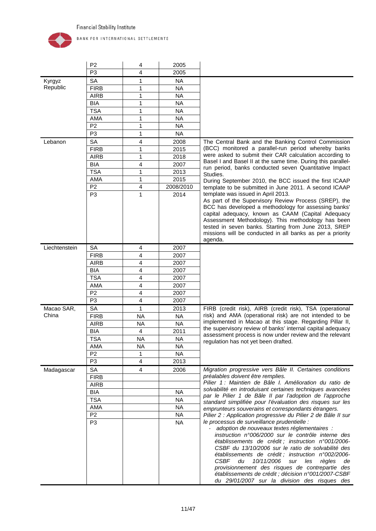

|               | P <sub>2</sub> | 4         | 2005      |                                                                                                                      |
|---------------|----------------|-----------|-----------|----------------------------------------------------------------------------------------------------------------------|
|               | P <sub>3</sub> | 4         | 2005      |                                                                                                                      |
| Kyrgyz        | <b>SA</b>      | 1         | <b>NA</b> |                                                                                                                      |
| Republic      | <b>FIRB</b>    | 1         | <b>NA</b> |                                                                                                                      |
|               | <b>AIRB</b>    | 1         | <b>NA</b> |                                                                                                                      |
|               | <b>BIA</b>     | 1         | <b>NA</b> |                                                                                                                      |
|               | <b>TSA</b>     | 1         | <b>NA</b> |                                                                                                                      |
|               | AMA            | 1         | <b>NA</b> |                                                                                                                      |
|               | P <sub>2</sub> | 1         | <b>NA</b> |                                                                                                                      |
|               | P <sub>3</sub> | 1         | <b>NA</b> |                                                                                                                      |
| Lebanon       | SA             | 4         | 2008      | The Central Bank and the Banking Control Commission                                                                  |
|               | <b>FIRB</b>    | 1         | 2015      | (BCC) monitored a parallel-run period whereby banks                                                                  |
|               | <b>AIRB</b>    | 1         | 2018      | were asked to submit their CAR calculation according to                                                              |
|               | <b>BIA</b>     | 4         | 2007      | Basel I and Basel II at the same time. During this parallel-                                                         |
|               | <b>TSA</b>     | 1         | 2013      | run period, banks conducted seven Quantitative Impact                                                                |
|               | AMA            | 1         | 2015      | Studies.<br>During September 2010, the BCC issued the first ICAAP                                                    |
|               | P <sub>2</sub> | 4         | 2008/2010 | template to be submitted in June 2011. A second ICAAP                                                                |
|               | P <sub>3</sub> | 1         | 2014      | template was issued in April 2013.                                                                                   |
|               |                |           |           | As part of the Supervisory Review Process (SREP), the                                                                |
|               |                |           |           | BCC has developed a methodology for assessing banks'                                                                 |
|               |                |           |           | capital adequacy, known as CAAM (Capital Adequacy                                                                    |
|               |                |           |           | Assessment Methodology). This methodology has been                                                                   |
|               |                |           |           | tested in seven banks. Starting from June 2013, SREP<br>missions will be conducted in all banks as per a priority    |
|               |                |           |           | agenda.                                                                                                              |
| Liechtenstein | <b>SA</b>      | 4         | 2007      |                                                                                                                      |
|               | <b>FIRB</b>    | 4         | 2007      |                                                                                                                      |
|               | <b>AIRB</b>    | 4         | 2007      |                                                                                                                      |
|               | <b>BIA</b>     | 4         | 2007      |                                                                                                                      |
|               | <b>TSA</b>     | 4         | 2007      |                                                                                                                      |
|               | AMA            | 4         | 2007      |                                                                                                                      |
|               | P <sub>2</sub> | 4         | 2007      |                                                                                                                      |
|               | P <sub>3</sub> | 4         | 2007      |                                                                                                                      |
| Macao SAR,    | <b>SA</b>      | 1         | 2013      | FIRB (credit risk), AIRB (credit risk), TSA (operational                                                             |
| China         | <b>FIRB</b>    | <b>NA</b> | <b>NA</b> | risk) and AMA (operational risk) are not intended to be                                                              |
|               | <b>AIRB</b>    | <b>NA</b> | <b>NA</b> | implemented in Macao at this stage. Regarding Pillar II,                                                             |
|               | <b>BIA</b>     | 4         | 2011      | the supervisory review of banks' internal capital adequacy                                                           |
|               | <b>TSA</b>     | <b>NA</b> | <b>NA</b> | assessment process is now under review and the relevant                                                              |
|               | AMA            | ΝA        | NА        | regulation has not yet been drafted.                                                                                 |
|               | P <sub>2</sub> | 1         | <b>NA</b> |                                                                                                                      |
|               | P <sub>3</sub> | 4         | 2013      |                                                                                                                      |
| Madagascar    | SA             | 4         | 2006      | Migration progressive vers Bâle II. Certaines conditions                                                             |
|               | <b>FIRB</b>    |           |           | préalables doivent être remplies.                                                                                    |
|               | <b>AIRB</b>    |           |           | Pilier 1: Maintien de Bâle I. Amélioration du ratio de                                                               |
|               | <b>BIA</b>     |           | <b>NA</b> | solvabilité en introduisant certaines techniques avancées                                                            |
|               | <b>TSA</b>     |           | <b>NA</b> | par le Pilier 1 de Bâle II par l'adoption de l'approche                                                              |
|               | AMA            |           | <b>NA</b> | standard simplifiée pour l'évaluation des risques sur les                                                            |
|               | P <sub>2</sub> |           | <b>NA</b> | emprunteurs souverains et correspondants étrangers.<br>Pilier 2 : Application progressive du Pilier 2 de Bâle II sur |
|               | P <sub>3</sub> |           | <b>NA</b> | le processus de surveillance prudentielle :                                                                          |
|               |                |           |           | adoption de nouveaux textes réglementaires :                                                                         |
|               |                |           |           | instruction n°006/2000 sur le contrôle interne des                                                                   |
|               |                |           |           | établissements de crédit ; instruction n°001/2006-                                                                   |
|               |                |           |           | CSBF du 13/10/2006 sur le ratio de solvabilité des                                                                   |
|               |                |           |           | établissements de crédit ; instruction n°002/2006-                                                                   |
|               |                |           |           | CSBF du<br>10/11/2006<br>règles<br>sur les<br>de<br>provisionnement des risques de contrepartie des                  |
|               |                |           |           | établissements de crédit ; décision n°001/2007-CSBF                                                                  |
|               |                |           |           | du 29/01/2007 sur la division des risques des                                                                        |
|               |                |           |           |                                                                                                                      |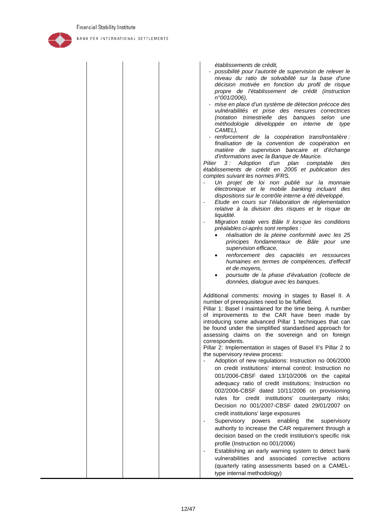

BANK FOR INTERNATIONAL SETTLEMENTS

*n°001/2006),* - *mise en place d'un système de détection précoce des vulnérabilités et prise des mesures correctrices (notation trimestrielle des banques selon une méthodologie développée en interne de type CAMEL),* - *renforcement de la coopération transfrontalière : finalisation de la convention de coopération en matière de supervision bancaire et d'échange d'informations avec la Banque de Maurice. Pilier 3 : Adoption d'un plan comptable des établissements de crédit en 2005 et publication des comptes suivant les normes IFRS.* - *Un projet de loi non publié sur la monnaie électronique et le mobile banking incluant des dispositions sur le contrôle interne a été développé.* - *Etude en cours sur l'élaboration de réglementation relative à la division des risques et le risque de liquidité.* - *Migration totale vers Bâle II lorsque les conditions préalables ci-après sont remplies :* • *réalisation de la pleine conformité avec les 25 principes fondamentaux de Bâle pour une supervision efficace,* • *renforcement des capacités en ressources humaines en termes de compétences, d'effectif et de moyens,* • *poursuite de la phase d'évaluation (collecte de données, dialogue avec les banques.* Additional comments: moving in stages to Basel II. A number of prerequisites need to be fulfilled. Pillar 1: Basel I maintained for the time being. A number of improvements to the CAR have been made by introducing some advanced Pillar 1 techniques that can be found under the simplified standardised approach for assessing claims on the sovereign and on foreign correspondents. Pillar 2: Implementation in stages of Basel II's Pillar 2 to the supervisory review process: Adoption of new regulations: Instruction no 006/2000 on credit institutions' internal control; Instruction no 001/2006-CBSF dated 13/10/2006 on the capital adequacy ratio of credit institutions; Instruction no 002/2006-CBSF dated 10/11/2006 on provisioning rules for credit institutions' counterparty risks; Decision no 001/2007-CBSF dated 29/01/2007 on credit institutions' large exposures Supervisory powers enabling the supervisory authority to increase the CAR requirement through a decision based on the credit institution's specific risk profile (Instruction no 001/2006) - Establishing an early warning system to detect bank vulnerabilities and associated corrective actions (quarterly rating assessments based on a CAMEL-

type internal methodology)

*établissements de crédit,*

- *possibilité pour l'autorité de supervision de relever le niveau du ratio de solvabilité sur la base d'une décision motivée en fonction du profil de risque propre de l'établissement de crédit (instruction*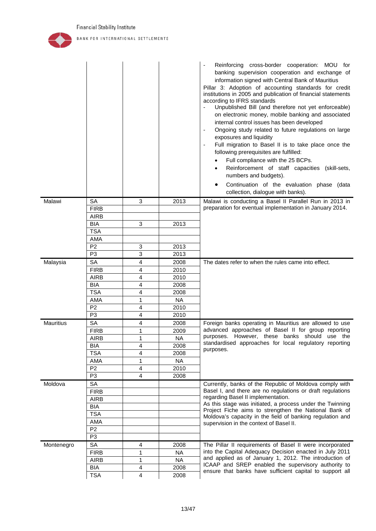

|                  |                |                |           | Reinforcing cross-border cooperation: MOU for<br>banking supervision cooperation and exchange of<br>information signed with Central Bank of Mauritius<br>Pillar 3: Adoption of accounting standards for credit<br>institutions in 2005 and publication of financial statements<br>according to IFRS standards<br>Unpublished Bill (and therefore not yet enforceable)<br>on electronic money, mobile banking and associated<br>internal control issues has been developed<br>Ongoing study related to future regulations on large<br>$\blacksquare$<br>exposures and liquidity<br>Full migration to Basel II is to take place once the<br>following prerequisites are fulfilled:<br>Full compliance with the 25 BCPs.<br>Reinforcement of staff capacities (skill-sets,<br>numbers and budgets).<br>Continuation of the evaluation phase (data<br>collection, dialogue with banks). |
|------------------|----------------|----------------|-----------|-------------------------------------------------------------------------------------------------------------------------------------------------------------------------------------------------------------------------------------------------------------------------------------------------------------------------------------------------------------------------------------------------------------------------------------------------------------------------------------------------------------------------------------------------------------------------------------------------------------------------------------------------------------------------------------------------------------------------------------------------------------------------------------------------------------------------------------------------------------------------------------|
| Malawi           | <b>SA</b>      | 3              | 2013      | Malawi is conducting a Basel II Parallel Run in 2013 in                                                                                                                                                                                                                                                                                                                                                                                                                                                                                                                                                                                                                                                                                                                                                                                                                             |
|                  | <b>FIRB</b>    |                |           | preparation for eventual implementation in January 2014.                                                                                                                                                                                                                                                                                                                                                                                                                                                                                                                                                                                                                                                                                                                                                                                                                            |
|                  | <b>AIRB</b>    |                |           |                                                                                                                                                                                                                                                                                                                                                                                                                                                                                                                                                                                                                                                                                                                                                                                                                                                                                     |
|                  | <b>BIA</b>     | 3              | 2013      |                                                                                                                                                                                                                                                                                                                                                                                                                                                                                                                                                                                                                                                                                                                                                                                                                                                                                     |
|                  | <b>TSA</b>     |                |           |                                                                                                                                                                                                                                                                                                                                                                                                                                                                                                                                                                                                                                                                                                                                                                                                                                                                                     |
|                  | AMA            |                |           |                                                                                                                                                                                                                                                                                                                                                                                                                                                                                                                                                                                                                                                                                                                                                                                                                                                                                     |
|                  | P <sub>2</sub> | 3              | 2013      |                                                                                                                                                                                                                                                                                                                                                                                                                                                                                                                                                                                                                                                                                                                                                                                                                                                                                     |
|                  | P <sub>3</sub> | 3              | 2013      |                                                                                                                                                                                                                                                                                                                                                                                                                                                                                                                                                                                                                                                                                                                                                                                                                                                                                     |
| Malaysia         | <b>SA</b>      | 4              | 2008      | The dates refer to when the rules came into effect.                                                                                                                                                                                                                                                                                                                                                                                                                                                                                                                                                                                                                                                                                                                                                                                                                                 |
|                  | <b>FIRB</b>    | 4              | 2010      |                                                                                                                                                                                                                                                                                                                                                                                                                                                                                                                                                                                                                                                                                                                                                                                                                                                                                     |
|                  | <b>AIRB</b>    | 4              | 2010      |                                                                                                                                                                                                                                                                                                                                                                                                                                                                                                                                                                                                                                                                                                                                                                                                                                                                                     |
|                  | <b>BIA</b>     | 4              | 2008      |                                                                                                                                                                                                                                                                                                                                                                                                                                                                                                                                                                                                                                                                                                                                                                                                                                                                                     |
|                  | <b>TSA</b>     | 4              | 2008      |                                                                                                                                                                                                                                                                                                                                                                                                                                                                                                                                                                                                                                                                                                                                                                                                                                                                                     |
|                  | AMA            | 1              | <b>NA</b> |                                                                                                                                                                                                                                                                                                                                                                                                                                                                                                                                                                                                                                                                                                                                                                                                                                                                                     |
|                  | P <sub>2</sub> | 4              | 2010      |                                                                                                                                                                                                                                                                                                                                                                                                                                                                                                                                                                                                                                                                                                                                                                                                                                                                                     |
|                  | P <sub>3</sub> | 4              | 2010      |                                                                                                                                                                                                                                                                                                                                                                                                                                                                                                                                                                                                                                                                                                                                                                                                                                                                                     |
| <b>Mauritius</b> | <b>SA</b>      | 4              | 2008      | Foreign banks operating in Mauritius are allowed to use                                                                                                                                                                                                                                                                                                                                                                                                                                                                                                                                                                                                                                                                                                                                                                                                                             |
|                  | <b>FIRB</b>    | 1              | 2009      | advanced approaches of Basel II for group reporting                                                                                                                                                                                                                                                                                                                                                                                                                                                                                                                                                                                                                                                                                                                                                                                                                                 |
|                  | <b>AIRB</b>    | 1              | <b>NA</b> | purposes. However, these banks should use the                                                                                                                                                                                                                                                                                                                                                                                                                                                                                                                                                                                                                                                                                                                                                                                                                                       |
|                  | <b>BIA</b>     | 4              | 2008      | standardised approaches for local regulatory reporting                                                                                                                                                                                                                                                                                                                                                                                                                                                                                                                                                                                                                                                                                                                                                                                                                              |
|                  | <b>TSA</b>     | 4              | 2008      | purposes.                                                                                                                                                                                                                                                                                                                                                                                                                                                                                                                                                                                                                                                                                                                                                                                                                                                                           |
|                  | AMA            | 1              | <b>NA</b> |                                                                                                                                                                                                                                                                                                                                                                                                                                                                                                                                                                                                                                                                                                                                                                                                                                                                                     |
|                  | P <sub>2</sub> | 4              | 2010      |                                                                                                                                                                                                                                                                                                                                                                                                                                                                                                                                                                                                                                                                                                                                                                                                                                                                                     |
|                  | P <sub>3</sub> | $\overline{4}$ | 2008      |                                                                                                                                                                                                                                                                                                                                                                                                                                                                                                                                                                                                                                                                                                                                                                                                                                                                                     |
| Moldova          | <b>SA</b>      |                |           | Currently, banks of the Republic of Moldova comply with                                                                                                                                                                                                                                                                                                                                                                                                                                                                                                                                                                                                                                                                                                                                                                                                                             |
|                  | <b>FIRB</b>    |                |           | Basel I, and there are no regulations or draft regulations                                                                                                                                                                                                                                                                                                                                                                                                                                                                                                                                                                                                                                                                                                                                                                                                                          |
|                  | <b>AIRB</b>    |                |           | regarding Basel II implementation.                                                                                                                                                                                                                                                                                                                                                                                                                                                                                                                                                                                                                                                                                                                                                                                                                                                  |
|                  | <b>BIA</b>     |                |           | As this stage was initiated, a process under the Twinning                                                                                                                                                                                                                                                                                                                                                                                                                                                                                                                                                                                                                                                                                                                                                                                                                           |
|                  | <b>TSA</b>     |                |           | Project Fiche aims to strengthen the National Bank of<br>Moldova's capacity in the field of banking regulation and                                                                                                                                                                                                                                                                                                                                                                                                                                                                                                                                                                                                                                                                                                                                                                  |
|                  | AMA            |                |           | supervision in the context of Basel II.                                                                                                                                                                                                                                                                                                                                                                                                                                                                                                                                                                                                                                                                                                                                                                                                                                             |
|                  | P <sub>2</sub> |                |           |                                                                                                                                                                                                                                                                                                                                                                                                                                                                                                                                                                                                                                                                                                                                                                                                                                                                                     |
|                  | P <sub>3</sub> |                |           |                                                                                                                                                                                                                                                                                                                                                                                                                                                                                                                                                                                                                                                                                                                                                                                                                                                                                     |
| Montenegro       | <b>SA</b>      | 4              | 2008      | The Pillar II requirements of Basel II were incorporated                                                                                                                                                                                                                                                                                                                                                                                                                                                                                                                                                                                                                                                                                                                                                                                                                            |
|                  | <b>FIRB</b>    | 1              | <b>NA</b> | into the Capital Adequacy Decision enacted in July 2011                                                                                                                                                                                                                                                                                                                                                                                                                                                                                                                                                                                                                                                                                                                                                                                                                             |
|                  | <b>AIRB</b>    | 1              | <b>NA</b> | and applied as of January 1, 2012. The introduction of                                                                                                                                                                                                                                                                                                                                                                                                                                                                                                                                                                                                                                                                                                                                                                                                                              |
|                  | <b>BIA</b>     | 4              | 2008      | ICAAP and SREP enabled the supervisory authority to                                                                                                                                                                                                                                                                                                                                                                                                                                                                                                                                                                                                                                                                                                                                                                                                                                 |
|                  | <b>TSA</b>     | 4              | 2008      | ensure that banks have sufficient capital to support all                                                                                                                                                                                                                                                                                                                                                                                                                                                                                                                                                                                                                                                                                                                                                                                                                            |
|                  |                |                |           |                                                                                                                                                                                                                                                                                                                                                                                                                                                                                                                                                                                                                                                                                                                                                                                                                                                                                     |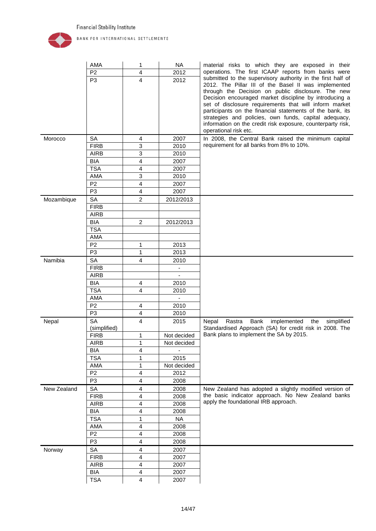

|             | AMA                       | 1                       | <b>NA</b>   | material risks to which they are exposed in their                                                                                                                                                                                                                                                                                                                                                                                                                                                           |
|-------------|---------------------------|-------------------------|-------------|-------------------------------------------------------------------------------------------------------------------------------------------------------------------------------------------------------------------------------------------------------------------------------------------------------------------------------------------------------------------------------------------------------------------------------------------------------------------------------------------------------------|
|             | P <sub>2</sub>            | 4                       | 2012        | operations. The first ICAAP reports from banks were                                                                                                                                                                                                                                                                                                                                                                                                                                                         |
|             | P <sub>3</sub>            | $\overline{\mathbf{4}}$ | 2012        | submitted to the supervisory authority in the first half of<br>2012. The Pillar III of the Basel II was implemented<br>through the Decision on public disclosure. The new<br>Decision encouraged market discipline by introducing a<br>set of disclosure requirements that will inform market<br>participants on the financial statements of the bank, its<br>strategies and policies, own funds, capital adequacy,<br>information on the credit risk exposure, counterparty risk,<br>operational risk etc. |
| Morocco     | <b>SA</b>                 | $\overline{4}$          | 2007        | In 2008, the Central Bank raised the minimum capital                                                                                                                                                                                                                                                                                                                                                                                                                                                        |
|             | <b>FIRB</b>               | 3                       | 2010        | requirement for all banks from 8% to 10%.                                                                                                                                                                                                                                                                                                                                                                                                                                                                   |
|             | <b>AIRB</b>               | 3                       | 2010        |                                                                                                                                                                                                                                                                                                                                                                                                                                                                                                             |
|             | <b>BIA</b>                | 4                       | 2007        |                                                                                                                                                                                                                                                                                                                                                                                                                                                                                                             |
|             | <b>TSA</b>                | 4                       | 2007        |                                                                                                                                                                                                                                                                                                                                                                                                                                                                                                             |
|             | AMA                       | 3                       | 2010        |                                                                                                                                                                                                                                                                                                                                                                                                                                                                                                             |
|             | P <sub>2</sub>            | 4                       | 2007        |                                                                                                                                                                                                                                                                                                                                                                                                                                                                                                             |
|             | P <sub>3</sub>            | $\overline{\mathbf{4}}$ | 2007        |                                                                                                                                                                                                                                                                                                                                                                                                                                                                                                             |
| Mozambique  | SA                        | $\overline{2}$          | 2012/2013   |                                                                                                                                                                                                                                                                                                                                                                                                                                                                                                             |
|             | <b>FIRB</b>               |                         |             |                                                                                                                                                                                                                                                                                                                                                                                                                                                                                                             |
|             | <b>AIRB</b>               |                         |             |                                                                                                                                                                                                                                                                                                                                                                                                                                                                                                             |
|             | <b>BIA</b>                | $\overline{2}$          | 2012/2013   |                                                                                                                                                                                                                                                                                                                                                                                                                                                                                                             |
|             | <b>TSA</b>                |                         |             |                                                                                                                                                                                                                                                                                                                                                                                                                                                                                                             |
|             | AMA                       |                         |             |                                                                                                                                                                                                                                                                                                                                                                                                                                                                                                             |
|             | P <sub>2</sub>            | 1                       | 2013        |                                                                                                                                                                                                                                                                                                                                                                                                                                                                                                             |
|             | P <sub>3</sub>            | 1                       | 2013        |                                                                                                                                                                                                                                                                                                                                                                                                                                                                                                             |
| Namibia     | SA                        | 4                       | 2010        |                                                                                                                                                                                                                                                                                                                                                                                                                                                                                                             |
|             | <b>FIRB</b>               |                         |             |                                                                                                                                                                                                                                                                                                                                                                                                                                                                                                             |
|             | <b>AIRB</b>               |                         | ÷.          |                                                                                                                                                                                                                                                                                                                                                                                                                                                                                                             |
|             | <b>BIA</b>                | 4                       | 2010        |                                                                                                                                                                                                                                                                                                                                                                                                                                                                                                             |
|             | <b>TSA</b>                | 4                       | 2010        |                                                                                                                                                                                                                                                                                                                                                                                                                                                                                                             |
|             | AMA                       |                         | ÷.          |                                                                                                                                                                                                                                                                                                                                                                                                                                                                                                             |
|             | P <sub>2</sub>            | 4                       | 2010        |                                                                                                                                                                                                                                                                                                                                                                                                                                                                                                             |
|             | P <sub>3</sub>            | $\overline{4}$          | 2010        |                                                                                                                                                                                                                                                                                                                                                                                                                                                                                                             |
| Nepal       | <b>SA</b><br>(simplified) | 4                       | 2015        | the<br>simplified<br>Rastra<br>Bank<br>implemented<br>Nepal<br>Standardised Approach (SA) for credit risk in 2008. The                                                                                                                                                                                                                                                                                                                                                                                      |
|             | <b>FIRB</b>               | 1                       | Not decided | Bank plans to implement the SA by 2015.                                                                                                                                                                                                                                                                                                                                                                                                                                                                     |
|             | AIRB                      | 1                       | Not decided |                                                                                                                                                                                                                                                                                                                                                                                                                                                                                                             |
|             | <b>BIA</b>                | 4                       |             |                                                                                                                                                                                                                                                                                                                                                                                                                                                                                                             |
|             | <b>TSA</b>                | 1                       | 2015        |                                                                                                                                                                                                                                                                                                                                                                                                                                                                                                             |
|             | AMA                       | 1                       | Not decided |                                                                                                                                                                                                                                                                                                                                                                                                                                                                                                             |
|             | P <sub>2</sub>            | 4                       | 2012        |                                                                                                                                                                                                                                                                                                                                                                                                                                                                                                             |
|             | P <sub>3</sub>            | 4                       | 2008        |                                                                                                                                                                                                                                                                                                                                                                                                                                                                                                             |
| New Zealand | SA                        | 4                       | 2008        | New Zealand has adopted a slightly modified version of                                                                                                                                                                                                                                                                                                                                                                                                                                                      |
|             | <b>FIRB</b>               | 4                       | 2008        | the basic indicator approach. No New Zealand banks                                                                                                                                                                                                                                                                                                                                                                                                                                                          |
|             | <b>AIRB</b>               | 4                       | 2008        | apply the foundational IRB approach.                                                                                                                                                                                                                                                                                                                                                                                                                                                                        |
|             | <b>BIA</b>                | 4                       | 2008        |                                                                                                                                                                                                                                                                                                                                                                                                                                                                                                             |
|             | <b>TSA</b>                | 1                       | <b>NA</b>   |                                                                                                                                                                                                                                                                                                                                                                                                                                                                                                             |
|             | AMA                       | 4                       | 2008        |                                                                                                                                                                                                                                                                                                                                                                                                                                                                                                             |
|             | P <sub>2</sub>            | 4                       | 2008        |                                                                                                                                                                                                                                                                                                                                                                                                                                                                                                             |
|             | P <sub>3</sub>            | 4                       | 2008        |                                                                                                                                                                                                                                                                                                                                                                                                                                                                                                             |
| Norway      | SA                        | 4                       | 2007        |                                                                                                                                                                                                                                                                                                                                                                                                                                                                                                             |
|             | <b>FIRB</b>               | 4                       | 2007        |                                                                                                                                                                                                                                                                                                                                                                                                                                                                                                             |
|             | <b>AIRB</b>               | 4                       | 2007        |                                                                                                                                                                                                                                                                                                                                                                                                                                                                                                             |
|             | <b>BIA</b>                | 4                       | 2007        |                                                                                                                                                                                                                                                                                                                                                                                                                                                                                                             |
|             | <b>TSA</b>                | 4                       | 2007        |                                                                                                                                                                                                                                                                                                                                                                                                                                                                                                             |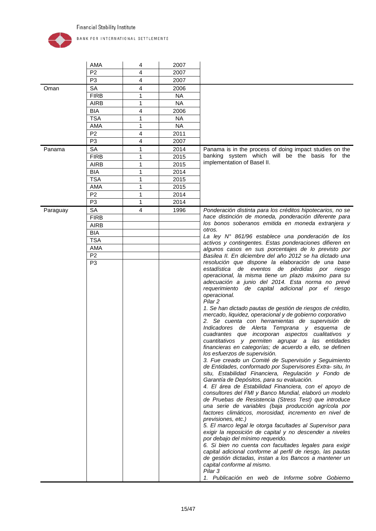

|          | AMA            | 4            | 2007      |                                                                                                                                                                                                                                                                                                                                                                                                                                                                                                                                                                                                                                                                                                                                                                                                                                                                                                                                                                                                                                                                                                                                                                                                                                                                                                                                                                                                                                                                                                                                                                                                                                                                                                                                     |
|----------|----------------|--------------|-----------|-------------------------------------------------------------------------------------------------------------------------------------------------------------------------------------------------------------------------------------------------------------------------------------------------------------------------------------------------------------------------------------------------------------------------------------------------------------------------------------------------------------------------------------------------------------------------------------------------------------------------------------------------------------------------------------------------------------------------------------------------------------------------------------------------------------------------------------------------------------------------------------------------------------------------------------------------------------------------------------------------------------------------------------------------------------------------------------------------------------------------------------------------------------------------------------------------------------------------------------------------------------------------------------------------------------------------------------------------------------------------------------------------------------------------------------------------------------------------------------------------------------------------------------------------------------------------------------------------------------------------------------------------------------------------------------------------------------------------------------|
|          | P <sub>2</sub> | 4            | 2007      |                                                                                                                                                                                                                                                                                                                                                                                                                                                                                                                                                                                                                                                                                                                                                                                                                                                                                                                                                                                                                                                                                                                                                                                                                                                                                                                                                                                                                                                                                                                                                                                                                                                                                                                                     |
|          | P <sub>3</sub> | 4            | 2007      |                                                                                                                                                                                                                                                                                                                                                                                                                                                                                                                                                                                                                                                                                                                                                                                                                                                                                                                                                                                                                                                                                                                                                                                                                                                                                                                                                                                                                                                                                                                                                                                                                                                                                                                                     |
| Oman     | <b>SA</b>      | 4            | 2006      |                                                                                                                                                                                                                                                                                                                                                                                                                                                                                                                                                                                                                                                                                                                                                                                                                                                                                                                                                                                                                                                                                                                                                                                                                                                                                                                                                                                                                                                                                                                                                                                                                                                                                                                                     |
|          | <b>FIRB</b>    | 1            | <b>NA</b> |                                                                                                                                                                                                                                                                                                                                                                                                                                                                                                                                                                                                                                                                                                                                                                                                                                                                                                                                                                                                                                                                                                                                                                                                                                                                                                                                                                                                                                                                                                                                                                                                                                                                                                                                     |
|          | <b>AIRB</b>    | $\mathbf{1}$ | <b>NA</b> |                                                                                                                                                                                                                                                                                                                                                                                                                                                                                                                                                                                                                                                                                                                                                                                                                                                                                                                                                                                                                                                                                                                                                                                                                                                                                                                                                                                                                                                                                                                                                                                                                                                                                                                                     |
|          | <b>BIA</b>     | 4            | 2006      |                                                                                                                                                                                                                                                                                                                                                                                                                                                                                                                                                                                                                                                                                                                                                                                                                                                                                                                                                                                                                                                                                                                                                                                                                                                                                                                                                                                                                                                                                                                                                                                                                                                                                                                                     |
|          | <b>TSA</b>     | 1            | <b>NA</b> |                                                                                                                                                                                                                                                                                                                                                                                                                                                                                                                                                                                                                                                                                                                                                                                                                                                                                                                                                                                                                                                                                                                                                                                                                                                                                                                                                                                                                                                                                                                                                                                                                                                                                                                                     |
|          | AMA            | 1            | <b>NA</b> |                                                                                                                                                                                                                                                                                                                                                                                                                                                                                                                                                                                                                                                                                                                                                                                                                                                                                                                                                                                                                                                                                                                                                                                                                                                                                                                                                                                                                                                                                                                                                                                                                                                                                                                                     |
|          | P <sub>2</sub> | 4            | 2011      |                                                                                                                                                                                                                                                                                                                                                                                                                                                                                                                                                                                                                                                                                                                                                                                                                                                                                                                                                                                                                                                                                                                                                                                                                                                                                                                                                                                                                                                                                                                                                                                                                                                                                                                                     |
|          | P <sub>3</sub> | 4            | 2007      |                                                                                                                                                                                                                                                                                                                                                                                                                                                                                                                                                                                                                                                                                                                                                                                                                                                                                                                                                                                                                                                                                                                                                                                                                                                                                                                                                                                                                                                                                                                                                                                                                                                                                                                                     |
| Panama   | <b>SA</b>      | 1            | 2014      | Panama is in the process of doing impact studies on the                                                                                                                                                                                                                                                                                                                                                                                                                                                                                                                                                                                                                                                                                                                                                                                                                                                                                                                                                                                                                                                                                                                                                                                                                                                                                                                                                                                                                                                                                                                                                                                                                                                                             |
|          | <b>FIRB</b>    | 1            | 2015      | banking system which will be the basis for the                                                                                                                                                                                                                                                                                                                                                                                                                                                                                                                                                                                                                                                                                                                                                                                                                                                                                                                                                                                                                                                                                                                                                                                                                                                                                                                                                                                                                                                                                                                                                                                                                                                                                      |
|          | <b>AIRB</b>    | 1            | 2015      | implementation of Basel II.                                                                                                                                                                                                                                                                                                                                                                                                                                                                                                                                                                                                                                                                                                                                                                                                                                                                                                                                                                                                                                                                                                                                                                                                                                                                                                                                                                                                                                                                                                                                                                                                                                                                                                         |
|          | <b>BIA</b>     | 1            | 2014      |                                                                                                                                                                                                                                                                                                                                                                                                                                                                                                                                                                                                                                                                                                                                                                                                                                                                                                                                                                                                                                                                                                                                                                                                                                                                                                                                                                                                                                                                                                                                                                                                                                                                                                                                     |
|          | <b>TSA</b>     | 1            | 2015      |                                                                                                                                                                                                                                                                                                                                                                                                                                                                                                                                                                                                                                                                                                                                                                                                                                                                                                                                                                                                                                                                                                                                                                                                                                                                                                                                                                                                                                                                                                                                                                                                                                                                                                                                     |
|          | AMA            | 1            | 2015      |                                                                                                                                                                                                                                                                                                                                                                                                                                                                                                                                                                                                                                                                                                                                                                                                                                                                                                                                                                                                                                                                                                                                                                                                                                                                                                                                                                                                                                                                                                                                                                                                                                                                                                                                     |
|          | P <sub>2</sub> | 1            | 2014      |                                                                                                                                                                                                                                                                                                                                                                                                                                                                                                                                                                                                                                                                                                                                                                                                                                                                                                                                                                                                                                                                                                                                                                                                                                                                                                                                                                                                                                                                                                                                                                                                                                                                                                                                     |
|          | P <sub>3</sub> | 1            | 2014      |                                                                                                                                                                                                                                                                                                                                                                                                                                                                                                                                                                                                                                                                                                                                                                                                                                                                                                                                                                                                                                                                                                                                                                                                                                                                                                                                                                                                                                                                                                                                                                                                                                                                                                                                     |
| Paraguay | SA             | 4            | 1996      | Ponderación distinta para los créditos hipotecarios, no se                                                                                                                                                                                                                                                                                                                                                                                                                                                                                                                                                                                                                                                                                                                                                                                                                                                                                                                                                                                                                                                                                                                                                                                                                                                                                                                                                                                                                                                                                                                                                                                                                                                                          |
|          | <b>FIRB</b>    |              |           | hace distinción de moneda, ponderación diferente para                                                                                                                                                                                                                                                                                                                                                                                                                                                                                                                                                                                                                                                                                                                                                                                                                                                                                                                                                                                                                                                                                                                                                                                                                                                                                                                                                                                                                                                                                                                                                                                                                                                                               |
|          | <b>AIRB</b>    |              |           | los bonos soberanos emitida en moneda extranjera y                                                                                                                                                                                                                                                                                                                                                                                                                                                                                                                                                                                                                                                                                                                                                                                                                                                                                                                                                                                                                                                                                                                                                                                                                                                                                                                                                                                                                                                                                                                                                                                                                                                                                  |
|          | <b>BIA</b>     |              |           | otros.                                                                                                                                                                                                                                                                                                                                                                                                                                                                                                                                                                                                                                                                                                                                                                                                                                                                                                                                                                                                                                                                                                                                                                                                                                                                                                                                                                                                                                                                                                                                                                                                                                                                                                                              |
|          | <b>TSA</b>     |              |           | La ley Nº 861/96 establece una ponderación de los<br>activos y contingentes. Estas ponderaciones difieren en                                                                                                                                                                                                                                                                                                                                                                                                                                                                                                                                                                                                                                                                                                                                                                                                                                                                                                                                                                                                                                                                                                                                                                                                                                                                                                                                                                                                                                                                                                                                                                                                                        |
|          | <b>AMA</b>     |              |           | algunos casos en sus porcentajes de lo previsto por                                                                                                                                                                                                                                                                                                                                                                                                                                                                                                                                                                                                                                                                                                                                                                                                                                                                                                                                                                                                                                                                                                                                                                                                                                                                                                                                                                                                                                                                                                                                                                                                                                                                                 |
|          | P <sub>2</sub> |              |           | Basilea II. En diciembre del año 2012 se ha dictado una                                                                                                                                                                                                                                                                                                                                                                                                                                                                                                                                                                                                                                                                                                                                                                                                                                                                                                                                                                                                                                                                                                                                                                                                                                                                                                                                                                                                                                                                                                                                                                                                                                                                             |
|          | P <sub>3</sub> |              |           | resolución que dispone la elaboración de una base<br>estadística de eventos de pérdidas por riesgo<br>operacional, la misma tiene un plazo máximo para su<br>adecuación a junio del 2014. Esta norma no prevé<br>requerimiento de capital adicional por el riesgo<br>operacional.<br>Pilar <sub>2</sub><br>1. Se han dictado pautas de gestión de riesgos de crédito,<br>mercado, liquidez, operacional y de gobierno corporativo<br>2. Se cuenta con herramientas de supervisión de<br>Indicadores de Alerta Temprana y esquema de<br>cuadrantes que incorporan aspectos cualitativos y<br>cuantitativos y permiten agrupar a las entidades<br>financieras en categorías; de acuerdo a ello, se definen<br>los esfuerzos de supervisión.<br>3. Fue creado un Comité de Supervisión y Seguimiento<br>de Entidades, conformado por Supervisores Extra- situ, In<br>situ, Estabilidad Financiera, Regulación y Fondo de<br>Garantía de Depósitos, para su evaluación.<br>4. El área de Estabilidad Financiera, con el apoyo de<br>consultores del FMI y Banco Mundial, elaboró un modelo<br>de Pruebas de Resistencia (Stress Test) que introduce<br>una serie de variables (baja producción agrícola por<br>factores climáticos, morosidad, incremento en nivel de<br>previsiones, etc.)<br>5. El marco legal le otorga facultades al Supervisor para<br>exigir la reposición de capital y no descender a niveles<br>por debajo del mínimo requerido.<br>6. Si bien no cuenta con facultades legales para exigir<br>capital adicional conforme al perfil de riesgo, las pautas<br>de gestión dictadas, instan a los Bancos a mantener un<br>capital conforme al mismo.<br>Pilar 3<br>1. Publicación en web de Informe sobre Gobierno |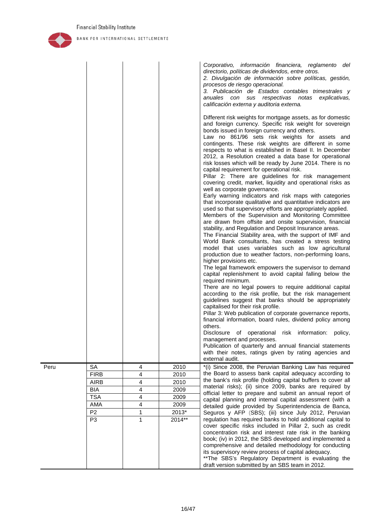

|      |                                  |                         |                 | Corporativo, información financiera, reglamento del<br>directorio, políticas de dividendos, entre otros.<br>2. Divulgación de información sobre políticas, gestión,<br>procesos de riesgo operacional.<br>3. Publicación de Estados contables trimestrales y<br>anuales con sus respectivas notas<br>explicativas,<br>calificación externa y auditoria externa.                                                                                                                                                                                                                                                                                                                                                                                                                                                                                                                                                                                                                                                                                                                                                                                                                                                                                                                                                                                                                                                                                                                                                                                                                                                                                                                                                                                                                                                                                                                                                                                                                                                                                   |
|------|----------------------------------|-------------------------|-----------------|---------------------------------------------------------------------------------------------------------------------------------------------------------------------------------------------------------------------------------------------------------------------------------------------------------------------------------------------------------------------------------------------------------------------------------------------------------------------------------------------------------------------------------------------------------------------------------------------------------------------------------------------------------------------------------------------------------------------------------------------------------------------------------------------------------------------------------------------------------------------------------------------------------------------------------------------------------------------------------------------------------------------------------------------------------------------------------------------------------------------------------------------------------------------------------------------------------------------------------------------------------------------------------------------------------------------------------------------------------------------------------------------------------------------------------------------------------------------------------------------------------------------------------------------------------------------------------------------------------------------------------------------------------------------------------------------------------------------------------------------------------------------------------------------------------------------------------------------------------------------------------------------------------------------------------------------------------------------------------------------------------------------------------------------------|
|      |                                  |                         |                 | Different risk weights for mortgage assets, as for domestic<br>and foreign currency. Specific risk weight for sovereign<br>bonds issued in foreign currency and others.<br>Law no 861/96 sets risk weights for assets and<br>contingents. These risk weights are different in some<br>respects to what is established in Basel II. In December<br>2012, a Resolution created a data base for operational<br>risk losses which will be ready by June 2014. There is no<br>capital requirement for operational risk.<br>Pillar 2: There are guidelines for risk management<br>covering credit, market, liquidity and operational risks as<br>well as corporate governance.<br>Early warning indicators and risk maps with categories<br>that incorporate qualitative and quantitative indicators are<br>used so that supervisory efforts are appropriately applied.<br>Members of the Supervision and Monitoring Committee<br>are drawn from offsite and onsite supervision, financial<br>stability, and Regulation and Deposit Insurance areas.<br>The Financial Stability area, with the support of IMF and<br>World Bank consultants, has created a stress testing<br>model that uses variables such as low agricultural<br>production due to weather factors, non-performing loans,<br>higher provisions etc.<br>The legal framework empowers the supervisor to demand<br>capital replenishment to avoid capital falling below the<br>required minimum.<br>There are no legal powers to require additional capital<br>according to the risk profile, but the risk management<br>guidelines suggest that banks should be appropriately<br>capitalised for their risk profile.<br>Pillar 3: Web publication of corporate governance reports,<br>financial information, board rules, dividend policy among<br>others.<br>Disclosure of operational risk information: policy,<br>management and processes.<br>Publication of quarterly and annual financial statements<br>with their notes, ratings given by rating agencies and<br>external audit. |
| Peru | <b>SA</b>                        | 4                       | 2010            | *(i) Since 2008, the Peruvian Banking Law has required                                                                                                                                                                                                                                                                                                                                                                                                                                                                                                                                                                                                                                                                                                                                                                                                                                                                                                                                                                                                                                                                                                                                                                                                                                                                                                                                                                                                                                                                                                                                                                                                                                                                                                                                                                                                                                                                                                                                                                                            |
|      | <b>FIRB</b>                      | 4                       | 2010            | the Board to assess bank capital adequacy according to                                                                                                                                                                                                                                                                                                                                                                                                                                                                                                                                                                                                                                                                                                                                                                                                                                                                                                                                                                                                                                                                                                                                                                                                                                                                                                                                                                                                                                                                                                                                                                                                                                                                                                                                                                                                                                                                                                                                                                                            |
|      | <b>AIRB</b>                      | 4                       | 2010            | the bank's risk profile (holding capital buffers to cover all<br>material risks); (ii) since 2009, banks are required by                                                                                                                                                                                                                                                                                                                                                                                                                                                                                                                                                                                                                                                                                                                                                                                                                                                                                                                                                                                                                                                                                                                                                                                                                                                                                                                                                                                                                                                                                                                                                                                                                                                                                                                                                                                                                                                                                                                          |
|      | BIA                              | 4                       | 2009            | official letter to prepare and submit an annual report of                                                                                                                                                                                                                                                                                                                                                                                                                                                                                                                                                                                                                                                                                                                                                                                                                                                                                                                                                                                                                                                                                                                                                                                                                                                                                                                                                                                                                                                                                                                                                                                                                                                                                                                                                                                                                                                                                                                                                                                         |
|      | <b>TSA</b>                       | $\overline{\mathbf{4}}$ | 2009            | capital planning and internal capital assessment (with a                                                                                                                                                                                                                                                                                                                                                                                                                                                                                                                                                                                                                                                                                                                                                                                                                                                                                                                                                                                                                                                                                                                                                                                                                                                                                                                                                                                                                                                                                                                                                                                                                                                                                                                                                                                                                                                                                                                                                                                          |
|      | AMA                              | $\overline{\mathbf{4}}$ | 2009            | detailed guide provided by Superintendencia de Banca,                                                                                                                                                                                                                                                                                                                                                                                                                                                                                                                                                                                                                                                                                                                                                                                                                                                                                                                                                                                                                                                                                                                                                                                                                                                                                                                                                                                                                                                                                                                                                                                                                                                                                                                                                                                                                                                                                                                                                                                             |
|      | P <sub>2</sub><br>P <sub>3</sub> | $\mathbf{1}$<br>1       | 2013*<br>2014** | Seguros y AFP (SBS); (iii) since July 2012, Peruvian<br>regulation has required banks to hold additional capital to<br>cover specific risks included in Pillar 2, such as credit<br>concentration risk and interest rate risk in the banking<br>book; (iv) in 2012, the SBS developed and implemented a<br>comprehensive and detailed methodology for conducting<br>its supervisory review process of capital adequacy.<br>** The SBS's Regulatory Department is evaluating the<br>draft version submitted by an SBS team in 2012.                                                                                                                                                                                                                                                                                                                                                                                                                                                                                                                                                                                                                                                                                                                                                                                                                                                                                                                                                                                                                                                                                                                                                                                                                                                                                                                                                                                                                                                                                                                |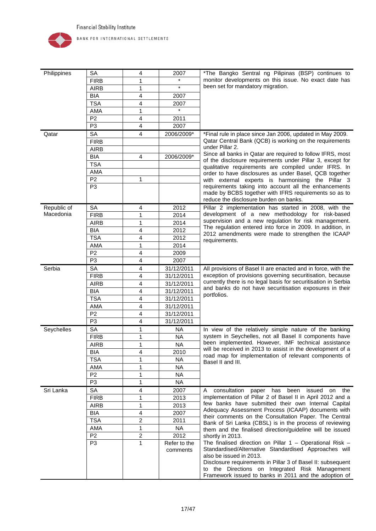

| Philippines                                                       | <b>SA</b>                                       | 4              | 2007         | *The Bangko Sentral ng Pilipinas (BSP) continues to                                                                         |
|-------------------------------------------------------------------|-------------------------------------------------|----------------|--------------|-----------------------------------------------------------------------------------------------------------------------------|
|                                                                   | <b>FIRB</b>                                     | 1              |              | monitor developments on this issue. No exact date has                                                                       |
|                                                                   | <b>AIRB</b>                                     | 1              | $\star$      | been set for mandatory migration.                                                                                           |
|                                                                   | <b>BIA</b>                                      | 4              | 2007         |                                                                                                                             |
|                                                                   | <b>TSA</b>                                      | 4              | 2007         |                                                                                                                             |
|                                                                   | AMA                                             | 1              | $\star$      |                                                                                                                             |
|                                                                   | P <sub>2</sub>                                  | 4              | 2011         |                                                                                                                             |
|                                                                   | P <sub>3</sub>                                  | 4              | 2007         |                                                                                                                             |
| Qatar                                                             | SA                                              | 4              | 2006/2009*   | *Final rule in place since Jan 2006, updated in May 2009.                                                                   |
|                                                                   | <b>FIRB</b>                                     |                |              | Qatar Central Bank (QCB) is working on the requirements                                                                     |
|                                                                   | <b>AIRB</b>                                     |                |              | under Pillar 2.                                                                                                             |
|                                                                   | <b>BIA</b>                                      | 4              | 2006/2009*   | Since all banks in Qatar are required to follow IFRS, most                                                                  |
|                                                                   | <b>TSA</b>                                      |                |              | of the disclosure requirements under Pillar 3, except for                                                                   |
|                                                                   | AMA                                             |                |              | qualitative requirements are compiled under IFRS. In                                                                        |
|                                                                   | P <sub>2</sub>                                  |                |              | order to have disclosures as under Basel, QCB together                                                                      |
|                                                                   |                                                 | 1              |              | with external experts is harmonising the Pillar 3<br>requirements taking into account all the enhancements                  |
|                                                                   | P <sub>3</sub>                                  |                |              | made by BCBS together with IFRS requirements so as to                                                                       |
|                                                                   |                                                 |                |              | reduce the disclosure burden on banks.                                                                                      |
| Republic of                                                       | <b>SA</b>                                       | 4              | 2012         | Pillar 2 implementation has started in 2008, with the                                                                       |
| Macedonia<br><b>FIRB</b><br>2014<br>1<br><b>AIRB</b><br>2014<br>1 | development of a new methodology for risk-based |                |              |                                                                                                                             |
|                                                                   |                                                 |                |              | supervision and a new regulation for risk management.                                                                       |
|                                                                   | <b>BIA</b>                                      | 4              | 2012         | The regulation entered into force in 2009. In addition, in                                                                  |
|                                                                   | <b>TSA</b>                                      | 4              | 2012         | 2012 amendments were made to strengthen the ICAAP                                                                           |
|                                                                   | <b>AMA</b>                                      |                |              | requirements.                                                                                                               |
|                                                                   | P <sub>2</sub>                                  | 1              | 2014<br>2009 |                                                                                                                             |
|                                                                   |                                                 | 4              |              |                                                                                                                             |
|                                                                   | P <sub>3</sub>                                  | 4              | 2007         |                                                                                                                             |
| Serbia                                                            | <b>SA</b>                                       | 4              | 31/12/2011   | All provisions of Basel II are enacted and in force, with the                                                               |
|                                                                   | <b>FIRB</b>                                     | 4              | 31/12/2011   | exception of provisions governing securitisation, because<br>currently there is no legal basis for securitisation in Serbia |
|                                                                   | <b>AIRB</b>                                     | 4              | 31/12/2011   | and banks do not have securitisation exposures in their                                                                     |
|                                                                   | <b>BIA</b>                                      | 4              | 31/12/2011   | portfolios.                                                                                                                 |
|                                                                   | <b>TSA</b>                                      | 4              | 31/12/2011   |                                                                                                                             |
|                                                                   | AMA                                             | 4              | 31/12/2011   |                                                                                                                             |
|                                                                   | P <sub>2</sub>                                  | 4              | 31/12/2011   |                                                                                                                             |
|                                                                   | P <sub>3</sub>                                  | 4              | 31/12/2011   |                                                                                                                             |
| Seychelles                                                        | SA                                              | 1              | NA           | In view of the relatively simple nature of the banking                                                                      |
|                                                                   | <b>FIRB</b>                                     | 1              | <b>NA</b>    | system in Seychelles, not all Basel II components have                                                                      |
|                                                                   | <b>AIRB</b>                                     | 1              | <b>NA</b>    | been implemented. However, IMF technical assistance                                                                         |
|                                                                   | <b>BIA</b>                                      | 4              | 2010         | will be received in 2013 to assist in the development of a                                                                  |
|                                                                   | <b>TSA</b>                                      | 1              | NA.          | road map for implementation of relevant components of<br>Basel II and III.                                                  |
|                                                                   | AMA                                             | 1              | <b>NA</b>    |                                                                                                                             |
|                                                                   | P <sub>2</sub>                                  | 1              | <b>NA</b>    |                                                                                                                             |
|                                                                   | P <sub>3</sub>                                  | 1              | <b>NA</b>    |                                                                                                                             |
| Sri Lanka                                                         | SA                                              | 4              | 2007         | consultation<br>paper has been<br>A<br>issued<br>on the                                                                     |
|                                                                   | <b>FIRB</b>                                     | 1              | 2013         | implementation of Pillar 2 of Basel II in April 2012 and a                                                                  |
|                                                                   | <b>AIRB</b>                                     | 1              | 2013         | few banks have submitted their own Internal Capital                                                                         |
|                                                                   | BIA                                             | 4              | 2007         | Adequacy Assessment Process (ICAAP) documents with                                                                          |
|                                                                   | <b>TSA</b>                                      | $\overline{2}$ | 2011         | their comments on the Consultation Paper. The Central                                                                       |
|                                                                   | AMA                                             | $\mathbf{1}$   | <b>NA</b>    | Bank of Sri Lanka (CBSL) is in the process of reviewing                                                                     |
|                                                                   | P <sub>2</sub>                                  | $\overline{2}$ | 2012         | them and the finalised direction/guideline will be issued<br>shortly in 2013.                                               |
|                                                                   | P <sub>3</sub>                                  | 1              | Refer to the | The finalised direction on Pillar $1 -$ Operational Risk $-$                                                                |
|                                                                   |                                                 |                | comments     | Standardised/Alternative Standardised Approaches will                                                                       |
|                                                                   |                                                 |                |              | also be issued in 2013.                                                                                                     |
|                                                                   |                                                 |                |              | Disclosure requirements in Pillar 3 of Basel II: subsequent                                                                 |
|                                                                   |                                                 |                |              | to the Directions on Integrated Risk Management                                                                             |
|                                                                   |                                                 |                |              | Framework issued to banks in 2011 and the adoption of                                                                       |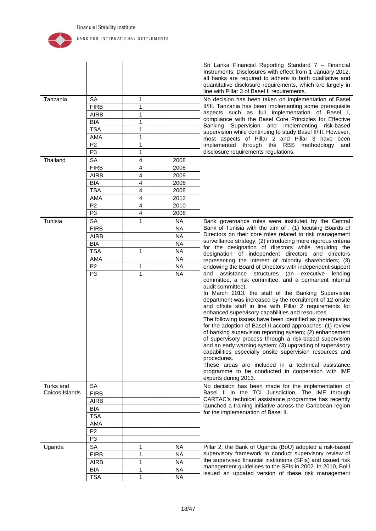

|                             |                |                         |           | Sri Lanka Financial Reporting Standard 7 – Financial<br>Instruments: Disclosures with effect from 1 January 2012,<br>all banks are required to adhere to both qualitative and<br>quantitative disclosure requirements, which are largely in<br>line with Pillar 3 of Basel II requirements.                                                                                                                                                                                                                                                                                                                                                                                                                                                                                                                                                                                                          |
|-----------------------------|----------------|-------------------------|-----------|------------------------------------------------------------------------------------------------------------------------------------------------------------------------------------------------------------------------------------------------------------------------------------------------------------------------------------------------------------------------------------------------------------------------------------------------------------------------------------------------------------------------------------------------------------------------------------------------------------------------------------------------------------------------------------------------------------------------------------------------------------------------------------------------------------------------------------------------------------------------------------------------------|
| Tanzania                    | <b>SA</b>      | 1                       |           | No decision has been taken on implementation of Basel                                                                                                                                                                                                                                                                                                                                                                                                                                                                                                                                                                                                                                                                                                                                                                                                                                                |
|                             | <b>FIRB</b>    | 1                       |           | II/III. Tanzania has been implementing some prerequisite<br>aspects such as full implementation of Basel I,                                                                                                                                                                                                                                                                                                                                                                                                                                                                                                                                                                                                                                                                                                                                                                                          |
|                             | <b>AIRB</b>    | 1                       |           | compliance with the Basel Core Principles for Effective                                                                                                                                                                                                                                                                                                                                                                                                                                                                                                                                                                                                                                                                                                                                                                                                                                              |
|                             | BIA            | 1                       |           | Supervision and implementing risk-based<br>Banking                                                                                                                                                                                                                                                                                                                                                                                                                                                                                                                                                                                                                                                                                                                                                                                                                                                   |
|                             | <b>TSA</b>     | 1                       |           | supervision while continuing to study Basel II/III. However,                                                                                                                                                                                                                                                                                                                                                                                                                                                                                                                                                                                                                                                                                                                                                                                                                                         |
|                             | AMA            | 1                       |           | most aspects of Pillar 2 and Pillar 3 have been                                                                                                                                                                                                                                                                                                                                                                                                                                                                                                                                                                                                                                                                                                                                                                                                                                                      |
|                             | P <sub>2</sub> | 1                       |           | implemented through the RBS methodology<br>and                                                                                                                                                                                                                                                                                                                                                                                                                                                                                                                                                                                                                                                                                                                                                                                                                                                       |
|                             | P <sub>3</sub> | 1                       |           | disclosure requirements regulations.                                                                                                                                                                                                                                                                                                                                                                                                                                                                                                                                                                                                                                                                                                                                                                                                                                                                 |
| Thailand                    | <b>SA</b>      | $\overline{4}$          | 2008      |                                                                                                                                                                                                                                                                                                                                                                                                                                                                                                                                                                                                                                                                                                                                                                                                                                                                                                      |
|                             | <b>FIRB</b>    | 4                       | 2008      |                                                                                                                                                                                                                                                                                                                                                                                                                                                                                                                                                                                                                                                                                                                                                                                                                                                                                                      |
|                             | <b>AIRB</b>    | 4                       | 2009      |                                                                                                                                                                                                                                                                                                                                                                                                                                                                                                                                                                                                                                                                                                                                                                                                                                                                                                      |
|                             | <b>BIA</b>     | 4                       | 2008      |                                                                                                                                                                                                                                                                                                                                                                                                                                                                                                                                                                                                                                                                                                                                                                                                                                                                                                      |
|                             | <b>TSA</b>     | $\overline{\mathbf{4}}$ | 2008      |                                                                                                                                                                                                                                                                                                                                                                                                                                                                                                                                                                                                                                                                                                                                                                                                                                                                                                      |
|                             | AMA            | $\overline{\mathbf{4}}$ | 2012      |                                                                                                                                                                                                                                                                                                                                                                                                                                                                                                                                                                                                                                                                                                                                                                                                                                                                                                      |
|                             | P <sub>2</sub> | 4                       | 2010      |                                                                                                                                                                                                                                                                                                                                                                                                                                                                                                                                                                                                                                                                                                                                                                                                                                                                                                      |
|                             | P <sub>3</sub> | 4                       | 2008      |                                                                                                                                                                                                                                                                                                                                                                                                                                                                                                                                                                                                                                                                                                                                                                                                                                                                                                      |
| Tunisia                     | <b>SA</b>      | 1                       | NA        | Bank governance rules were instituted by the Central                                                                                                                                                                                                                                                                                                                                                                                                                                                                                                                                                                                                                                                                                                                                                                                                                                                 |
|                             | <b>FIRB</b>    |                         | <b>NA</b> | Bank of Tunisia with the aim of : (1) focusing Boards of                                                                                                                                                                                                                                                                                                                                                                                                                                                                                                                                                                                                                                                                                                                                                                                                                                             |
|                             | <b>AIRB</b>    |                         | <b>NA</b> | Directors on their core roles related to risk management                                                                                                                                                                                                                                                                                                                                                                                                                                                                                                                                                                                                                                                                                                                                                                                                                                             |
|                             | <b>BIA</b>     |                         | <b>NA</b> | surveillance strategy; (2) introducing more rigorous criteria<br>for the designation of directors while requiring the                                                                                                                                                                                                                                                                                                                                                                                                                                                                                                                                                                                                                                                                                                                                                                                |
|                             | <b>TSA</b>     | 1                       | <b>NA</b> | designation of independent directors and directors                                                                                                                                                                                                                                                                                                                                                                                                                                                                                                                                                                                                                                                                                                                                                                                                                                                   |
|                             | AMA            |                         | <b>NA</b> | representing the interest of minority shareholders; (3)                                                                                                                                                                                                                                                                                                                                                                                                                                                                                                                                                                                                                                                                                                                                                                                                                                              |
|                             | P <sub>2</sub> | 1                       | <b>NA</b> | endowing the Board of Directors with independent support                                                                                                                                                                                                                                                                                                                                                                                                                                                                                                                                                                                                                                                                                                                                                                                                                                             |
|                             | P <sub>3</sub> | $\mathbf{1}$            | <b>NA</b> | assistance structures (an executive<br>and<br>lending<br>committee, a risk committee, and a permanent internal<br>audit committee).<br>In March 2013, the staff of the Banking Supervision<br>department was increased by the recruitment of 12 onsite<br>and offsite staff in line with Pillar 2 requirements for<br>enhanced supervisory capabilities and resources.<br>The following issues have been identified as prerequisites<br>for the adoption of Basel II accord approaches: (1) review<br>of banking supervision reporting system; (2) enhancement<br>of supervisory process through a risk-based supervision<br>and an early warning system; (3) upgrading of supervisory<br>capabilities especially onsite supervision resources and<br>procedures.<br>These areas are included in a technical assistance<br>programme to be conducted in cooperation with IMF<br>experts during 2013. |
| Turks and<br>Caicos Islands | SA             |                         |           | No decision has been made for the implementation of<br>Basel II in the TCI Jurisdiction. The IMF through                                                                                                                                                                                                                                                                                                                                                                                                                                                                                                                                                                                                                                                                                                                                                                                             |
|                             | <b>FIRB</b>    |                         |           | CARTAC's technical assistance programme has recently                                                                                                                                                                                                                                                                                                                                                                                                                                                                                                                                                                                                                                                                                                                                                                                                                                                 |
|                             | <b>AIRB</b>    |                         |           | launched a training initiative across the Caribbean region                                                                                                                                                                                                                                                                                                                                                                                                                                                                                                                                                                                                                                                                                                                                                                                                                                           |
|                             | BIA            |                         |           | for the implementation of Basel II.                                                                                                                                                                                                                                                                                                                                                                                                                                                                                                                                                                                                                                                                                                                                                                                                                                                                  |
|                             | <b>TSA</b>     |                         |           |                                                                                                                                                                                                                                                                                                                                                                                                                                                                                                                                                                                                                                                                                                                                                                                                                                                                                                      |
|                             | AMA            |                         |           |                                                                                                                                                                                                                                                                                                                                                                                                                                                                                                                                                                                                                                                                                                                                                                                                                                                                                                      |
|                             | P <sub>2</sub> |                         |           |                                                                                                                                                                                                                                                                                                                                                                                                                                                                                                                                                                                                                                                                                                                                                                                                                                                                                                      |
|                             | P <sub>3</sub> |                         |           |                                                                                                                                                                                                                                                                                                                                                                                                                                                                                                                                                                                                                                                                                                                                                                                                                                                                                                      |
| Uganda                      | SA             | 1                       | NA.       | Pillar 2: the Bank of Uganda (BoU) adopted a risk-based                                                                                                                                                                                                                                                                                                                                                                                                                                                                                                                                                                                                                                                                                                                                                                                                                                              |
|                             | <b>FIRB</b>    | 1                       | <b>NA</b> | supervisory framework to conduct supervisory review of                                                                                                                                                                                                                                                                                                                                                                                                                                                                                                                                                                                                                                                                                                                                                                                                                                               |
|                             | <b>AIRB</b>    | 1                       | <b>NA</b> | the supervised financial institutions (SFIs) and issued risk                                                                                                                                                                                                                                                                                                                                                                                                                                                                                                                                                                                                                                                                                                                                                                                                                                         |
|                             | BIA            | 1                       | NA.       | management guidelines to the SFIs in 2002. In 2010, BoU<br>issued an updated version of these risk management                                                                                                                                                                                                                                                                                                                                                                                                                                                                                                                                                                                                                                                                                                                                                                                        |
|                             | <b>TSA</b>     | $\mathbf{1}$            | <b>NA</b> |                                                                                                                                                                                                                                                                                                                                                                                                                                                                                                                                                                                                                                                                                                                                                                                                                                                                                                      |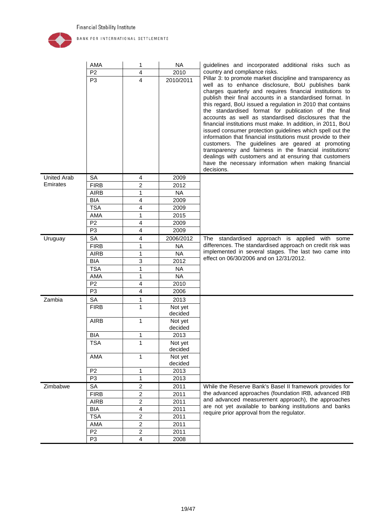

|                    | AMA            | 1                       | <b>NA</b>          | guidelines and incorporated additional risks such as                                                                                                                                                                                                                                                                                                                                                                                                                                                                                                                                                                                                                                                                                                                                                                                                                  |
|--------------------|----------------|-------------------------|--------------------|-----------------------------------------------------------------------------------------------------------------------------------------------------------------------------------------------------------------------------------------------------------------------------------------------------------------------------------------------------------------------------------------------------------------------------------------------------------------------------------------------------------------------------------------------------------------------------------------------------------------------------------------------------------------------------------------------------------------------------------------------------------------------------------------------------------------------------------------------------------------------|
|                    | P <sub>2</sub> | 4                       | 2010               | country and compliance risks.                                                                                                                                                                                                                                                                                                                                                                                                                                                                                                                                                                                                                                                                                                                                                                                                                                         |
|                    | P <sub>3</sub> | 4                       | 2010/2011          | Pillar 3: to promote market discipline and transparency as<br>well as to enhance disclosure, BoU publishes bank<br>charges quarterly and requires financial institutions to<br>publish their final accounts in a standardised format. In<br>this regard, BoU issued a regulation in 2010 that contains<br>the standardised format for publication of the final<br>accounts as well as standardised disclosures that the<br>financial institutions must make. In addition, in 2011, BoU<br>issued consumer protection guidelines which spell out the<br>information that financial institutions must provide to their<br>customers. The guidelines are geared at promoting<br>transparency and fairness in the financial institutions'<br>dealings with customers and at ensuring that customers<br>have the necessary information when making financial<br>decisions. |
| <b>United Arab</b> | <b>SA</b>      | 4                       | 2009               |                                                                                                                                                                                                                                                                                                                                                                                                                                                                                                                                                                                                                                                                                                                                                                                                                                                                       |
| Emirates           | <b>FIRB</b>    | $\overline{c}$          | 2012               |                                                                                                                                                                                                                                                                                                                                                                                                                                                                                                                                                                                                                                                                                                                                                                                                                                                                       |
|                    | <b>AIRB</b>    | 1                       | <b>NA</b>          |                                                                                                                                                                                                                                                                                                                                                                                                                                                                                                                                                                                                                                                                                                                                                                                                                                                                       |
|                    | <b>BIA</b>     | 4                       | 2009               |                                                                                                                                                                                                                                                                                                                                                                                                                                                                                                                                                                                                                                                                                                                                                                                                                                                                       |
|                    | <b>TSA</b>     | 4                       | 2009               |                                                                                                                                                                                                                                                                                                                                                                                                                                                                                                                                                                                                                                                                                                                                                                                                                                                                       |
|                    | AMA            | 1                       | 2015               |                                                                                                                                                                                                                                                                                                                                                                                                                                                                                                                                                                                                                                                                                                                                                                                                                                                                       |
|                    | P <sub>2</sub> | 4                       | 2009               |                                                                                                                                                                                                                                                                                                                                                                                                                                                                                                                                                                                                                                                                                                                                                                                                                                                                       |
|                    | P <sub>3</sub> | 4                       | 2009               |                                                                                                                                                                                                                                                                                                                                                                                                                                                                                                                                                                                                                                                                                                                                                                                                                                                                       |
| Uruguay            | SA             | 4                       | 2006/2012          | The standardised approach is applied with some                                                                                                                                                                                                                                                                                                                                                                                                                                                                                                                                                                                                                                                                                                                                                                                                                        |
|                    | <b>FIRB</b>    | 1                       | <b>NA</b>          | differences. The standardised approach on credit risk was                                                                                                                                                                                                                                                                                                                                                                                                                                                                                                                                                                                                                                                                                                                                                                                                             |
|                    | <b>AIRB</b>    | $\mathbf{1}$            | <b>NA</b>          | implemented in several stages. The last two came into                                                                                                                                                                                                                                                                                                                                                                                                                                                                                                                                                                                                                                                                                                                                                                                                                 |
|                    | <b>BIA</b>     | 3                       | 2012               | effect on 06/30/2006 and on 12/31/2012.                                                                                                                                                                                                                                                                                                                                                                                                                                                                                                                                                                                                                                                                                                                                                                                                                               |
|                    | <b>TSA</b>     | 1                       | <b>NA</b>          |                                                                                                                                                                                                                                                                                                                                                                                                                                                                                                                                                                                                                                                                                                                                                                                                                                                                       |
|                    | AMA            | 1                       | <b>NA</b>          |                                                                                                                                                                                                                                                                                                                                                                                                                                                                                                                                                                                                                                                                                                                                                                                                                                                                       |
|                    | P <sub>2</sub> | 4                       | 2010               |                                                                                                                                                                                                                                                                                                                                                                                                                                                                                                                                                                                                                                                                                                                                                                                                                                                                       |
|                    | P <sub>3</sub> | 4                       | 2006               |                                                                                                                                                                                                                                                                                                                                                                                                                                                                                                                                                                                                                                                                                                                                                                                                                                                                       |
| Zambia             | <b>SA</b>      | 1                       | 2013               |                                                                                                                                                                                                                                                                                                                                                                                                                                                                                                                                                                                                                                                                                                                                                                                                                                                                       |
|                    | <b>FIRB</b>    | 1                       | Not yet<br>decided |                                                                                                                                                                                                                                                                                                                                                                                                                                                                                                                                                                                                                                                                                                                                                                                                                                                                       |
|                    | <b>AIRB</b>    | 1                       | Not yet<br>decided |                                                                                                                                                                                                                                                                                                                                                                                                                                                                                                                                                                                                                                                                                                                                                                                                                                                                       |
|                    | <b>BIA</b>     | 1                       | 2013               |                                                                                                                                                                                                                                                                                                                                                                                                                                                                                                                                                                                                                                                                                                                                                                                                                                                                       |
|                    | <b>TSA</b>     | 1                       | Not yet            |                                                                                                                                                                                                                                                                                                                                                                                                                                                                                                                                                                                                                                                                                                                                                                                                                                                                       |
|                    |                |                         | decided            |                                                                                                                                                                                                                                                                                                                                                                                                                                                                                                                                                                                                                                                                                                                                                                                                                                                                       |
|                    | AMA            | 1                       | Not yet<br>decided |                                                                                                                                                                                                                                                                                                                                                                                                                                                                                                                                                                                                                                                                                                                                                                                                                                                                       |
|                    | P <sub>2</sub> | $\mathbf{1}$            | 2013               |                                                                                                                                                                                                                                                                                                                                                                                                                                                                                                                                                                                                                                                                                                                                                                                                                                                                       |
|                    | P <sub>3</sub> | $\mathbf{1}$            | 2013               |                                                                                                                                                                                                                                                                                                                                                                                                                                                                                                                                                                                                                                                                                                                                                                                                                                                                       |
| Zimbabwe           | <b>SA</b>      | 2                       | 2011               | While the Reserve Bank's Basel II framework provides for                                                                                                                                                                                                                                                                                                                                                                                                                                                                                                                                                                                                                                                                                                                                                                                                              |
|                    | <b>FIRB</b>    | $\overline{c}$          | 2011               | the advanced approaches (foundation IRB, advanced IRB                                                                                                                                                                                                                                                                                                                                                                                                                                                                                                                                                                                                                                                                                                                                                                                                                 |
|                    | <b>AIRB</b>    | $\overline{c}$          | 2011               | and advanced measurement approach), the approaches                                                                                                                                                                                                                                                                                                                                                                                                                                                                                                                                                                                                                                                                                                                                                                                                                    |
|                    | <b>BIA</b>     | $\overline{\mathbf{4}}$ | 2011               | are not yet available to banking institutions and banks                                                                                                                                                                                                                                                                                                                                                                                                                                                                                                                                                                                                                                                                                                                                                                                                               |
|                    | <b>TSA</b>     | $\overline{2}$          | 2011               | require prior approval from the regulator.                                                                                                                                                                                                                                                                                                                                                                                                                                                                                                                                                                                                                                                                                                                                                                                                                            |
|                    | AMA            | $\overline{c}$          | 2011               |                                                                                                                                                                                                                                                                                                                                                                                                                                                                                                                                                                                                                                                                                                                                                                                                                                                                       |
|                    | P <sub>2</sub> | $\overline{c}$          | 2011               |                                                                                                                                                                                                                                                                                                                                                                                                                                                                                                                                                                                                                                                                                                                                                                                                                                                                       |
|                    | P <sub>3</sub> | 4                       | 2008               |                                                                                                                                                                                                                                                                                                                                                                                                                                                                                                                                                                                                                                                                                                                                                                                                                                                                       |
|                    |                |                         |                    |                                                                                                                                                                                                                                                                                                                                                                                                                                                                                                                                                                                                                                                                                                                                                                                                                                                                       |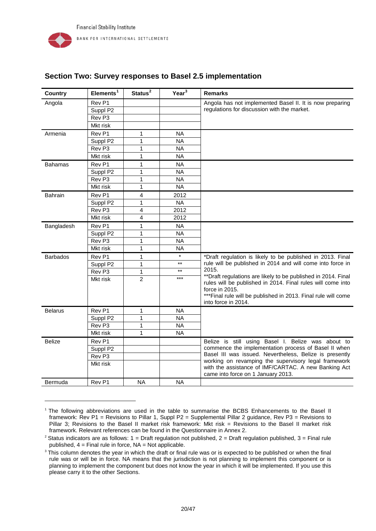-

| <b>Country</b>  | Elements <sup>1</sup> | Status <sup>2</sup> | Year <sup>3</sup> | <b>Remarks</b>                                                                                                                |
|-----------------|-----------------------|---------------------|-------------------|-------------------------------------------------------------------------------------------------------------------------------|
| Angola          | Rev P1                |                     |                   | Angola has not implemented Basel II. It is now preparing                                                                      |
|                 | Suppl P2              |                     |                   | regulations for discussion with the market.                                                                                   |
|                 | Rev <sub>P3</sub>     |                     |                   |                                                                                                                               |
|                 | Mkt risk              |                     |                   |                                                                                                                               |
| Armenia         | Rev <sub>P1</sub>     | 1                   | <b>NA</b>         |                                                                                                                               |
|                 | Suppl P2              | 1                   | <b>NA</b>         |                                                                                                                               |
|                 | Rev <sub>P3</sub>     | 1                   | <b>NA</b>         |                                                                                                                               |
|                 | Mkt risk              | 1                   | <b>NA</b>         |                                                                                                                               |
| <b>Bahamas</b>  | Rev <sub>P1</sub>     | 1                   | <b>NA</b>         |                                                                                                                               |
|                 | Suppl P2              | 1                   | <b>NA</b>         |                                                                                                                               |
|                 | Rev <sub>P3</sub>     | $\mathbf 1$         | <b>NA</b>         |                                                                                                                               |
|                 | Mkt risk              | 1                   | <b>NA</b>         |                                                                                                                               |
| Bahrain         | Rev P1                | 4                   | 2012              |                                                                                                                               |
|                 | Suppl P2              | 1                   | <b>NA</b>         |                                                                                                                               |
|                 | Rev <sub>P3</sub>     | 4                   | 2012              |                                                                                                                               |
|                 | Mkt risk              | 4                   | 2012              |                                                                                                                               |
| Bangladesh      | Rev P1                | 1                   | <b>NA</b>         |                                                                                                                               |
|                 | Suppl P <sub>2</sub>  | 1                   | <b>NA</b>         |                                                                                                                               |
|                 | Rev <sub>P3</sub>     | 1                   | <b>NA</b>         |                                                                                                                               |
|                 | Mkt risk              | 1                   | <b>NA</b>         |                                                                                                                               |
| <b>Barbados</b> | Rev <sub>P1</sub>     | 1                   | $\star$           | *Draft regulation is likely to be published in 2013. Final                                                                    |
|                 | Suppl P2              | 1                   | $**$              | rule will be published in 2014 and will come into force in                                                                    |
|                 | Rev <sub>P3</sub>     | $\mathbf{1}$        | $***$             | 2015.                                                                                                                         |
|                 | Mkt risk              | 2                   | $***$             | ** Draft regulations are likely to be published in 2014. Final<br>rules will be published in 2014. Final rules will come into |
|                 |                       |                     |                   | force in 2015.                                                                                                                |
|                 |                       |                     |                   | *** Final rule will be published in 2013. Final rule will come                                                                |
|                 |                       |                     |                   | into force in 2014.                                                                                                           |
| <b>Belarus</b>  | Rev P1                | 1                   | <b>NA</b>         |                                                                                                                               |
|                 | Suppl P2              | $\mathbf{1}$        | <b>NA</b>         |                                                                                                                               |
|                 | Rev <sub>P3</sub>     | 1                   | <b>NA</b>         |                                                                                                                               |
|                 | Mkt risk              | 1                   | <b>NA</b>         |                                                                                                                               |
| <b>Belize</b>   | Rev P1                |                     |                   | Belize is still using Basel I. Belize was about to                                                                            |
|                 | Suppl P2              |                     |                   | commence the implementation process of Basel II when                                                                          |
|                 | Rev <sub>P3</sub>     |                     |                   | Basel III was issued. Nevertheless, Belize is presently                                                                       |
|                 | Mkt risk              |                     |                   | working on revamping the supervisory legal framework<br>with the assistance of IMF/CARTAC. A new Banking Act                  |
|                 |                       |                     |                   | came into force on 1 January 2013.                                                                                            |
| Bermuda         | Rev <sub>P1</sub>     | <b>NA</b>           | <b>NA</b>         |                                                                                                                               |

# <span id="page-20-0"></span>**Section Two: Survey responses to Basel 2.5 implementation**

<span id="page-20-1"></span><sup>1</sup> The following abbreviations are used in the table to summarise the BCBS Enhancements to the Basel II framework: Rev P1 = Revisions to Pillar 1, Suppl P2 = Supplemental Pillar 2 guidance, Rev P3 = Revisions to Pillar 3; Revisions to the Basel II market risk framework: Mkt risk = Revisions to the Basel II market risk framework. Relevant references can be found in the Questionnaire in Annex 2.

<span id="page-20-2"></span><sup>&</sup>lt;sup>2</sup> Status indicators are as follows: 1 = Draft regulation not published, 2 = Draft regulation published, 3 = Final rule published,  $4 =$  Final rule in force,  $NA = Not$  applicable.

<span id="page-20-3"></span> $3$  This column denotes the year in which the draft or final rule was or is expected to be published or when the final rule was or will be in force. NA means that the jurisdiction is not planning to implement this component or is planning to implement the component but does not know the year in which it will be implemented. If you use this please carry it to the other Sections.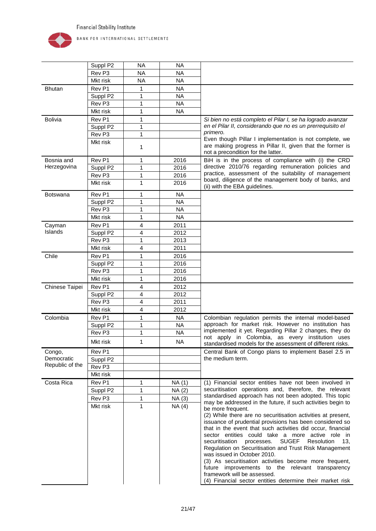

|                 | Suppl P2          | <b>NA</b>    | <b>NA</b> |                                                                                                                                                                                                                                                                                                                                                                                                                                                                                                                                                                                                                                          |
|-----------------|-------------------|--------------|-----------|------------------------------------------------------------------------------------------------------------------------------------------------------------------------------------------------------------------------------------------------------------------------------------------------------------------------------------------------------------------------------------------------------------------------------------------------------------------------------------------------------------------------------------------------------------------------------------------------------------------------------------------|
|                 | Rev P3            | <b>NA</b>    | <b>NA</b> |                                                                                                                                                                                                                                                                                                                                                                                                                                                                                                                                                                                                                                          |
|                 | Mkt risk          | <b>NA</b>    | <b>NA</b> |                                                                                                                                                                                                                                                                                                                                                                                                                                                                                                                                                                                                                                          |
| <b>Bhutan</b>   | Rev P1            | 1            | <b>NA</b> |                                                                                                                                                                                                                                                                                                                                                                                                                                                                                                                                                                                                                                          |
|                 | Suppl P2          | 1            | <b>NA</b> |                                                                                                                                                                                                                                                                                                                                                                                                                                                                                                                                                                                                                                          |
|                 | Rev <sub>P3</sub> | 1            | <b>NA</b> |                                                                                                                                                                                                                                                                                                                                                                                                                                                                                                                                                                                                                                          |
|                 | Mkt risk          | 1            | <b>NA</b> |                                                                                                                                                                                                                                                                                                                                                                                                                                                                                                                                                                                                                                          |
| <b>Bolivia</b>  | Rev <sub>P1</sub> | 1            |           | Si bien no está completo el Pilar I, se ha logrado avanzar                                                                                                                                                                                                                                                                                                                                                                                                                                                                                                                                                                               |
|                 | Suppl P2          | 1            |           | en el Pilar II, considerando que no es un prerrequisito el                                                                                                                                                                                                                                                                                                                                                                                                                                                                                                                                                                               |
|                 | Rev <sub>P3</sub> | 1            |           | primero.<br>Even though Pillar I implementation is not complete, we                                                                                                                                                                                                                                                                                                                                                                                                                                                                                                                                                                      |
|                 | Mkt risk          | 1            |           | are making progress in Pillar II, given that the former is<br>not a precondition for the latter.                                                                                                                                                                                                                                                                                                                                                                                                                                                                                                                                         |
| Bosnia and      | Rev P1            | 1            | 2016      | BiH is in the process of compliance with (i) the CRD                                                                                                                                                                                                                                                                                                                                                                                                                                                                                                                                                                                     |
| Herzegovina     | Suppl P2          | $\mathbf{1}$ | 2016      | directive 2010/76 regarding remuneration policies and                                                                                                                                                                                                                                                                                                                                                                                                                                                                                                                                                                                    |
|                 | Rev <sub>P3</sub> | 1            | 2016      | practice, assessment of the suitability of management<br>board, diligence of the management body of banks, and                                                                                                                                                                                                                                                                                                                                                                                                                                                                                                                           |
|                 | Mkt risk          | $\mathbf 1$  | 2016      | (ii) with the EBA guidelines.                                                                                                                                                                                                                                                                                                                                                                                                                                                                                                                                                                                                            |
| <b>Botswana</b> | Rev P1            | 1            | <b>NA</b> |                                                                                                                                                                                                                                                                                                                                                                                                                                                                                                                                                                                                                                          |
|                 | Suppl P2          | 1            | <b>NA</b> |                                                                                                                                                                                                                                                                                                                                                                                                                                                                                                                                                                                                                                          |
|                 | Rev <sub>P3</sub> | 1            | <b>NA</b> |                                                                                                                                                                                                                                                                                                                                                                                                                                                                                                                                                                                                                                          |
|                 | Mkt risk          | 1            | <b>NA</b> |                                                                                                                                                                                                                                                                                                                                                                                                                                                                                                                                                                                                                                          |
| Cayman          | Rev <sub>P1</sub> | 4            | 2011      |                                                                                                                                                                                                                                                                                                                                                                                                                                                                                                                                                                                                                                          |
| Islands         | Suppl P2          | 4            | 2012      |                                                                                                                                                                                                                                                                                                                                                                                                                                                                                                                                                                                                                                          |
|                 | Rev <sub>P3</sub> | 1            | 2013      |                                                                                                                                                                                                                                                                                                                                                                                                                                                                                                                                                                                                                                          |
|                 | Mkt risk          | 4            | 2011      |                                                                                                                                                                                                                                                                                                                                                                                                                                                                                                                                                                                                                                          |
| Chile           | Rev P1            | 1            | 2016      |                                                                                                                                                                                                                                                                                                                                                                                                                                                                                                                                                                                                                                          |
|                 | Suppl P2          | 1            | 2016      |                                                                                                                                                                                                                                                                                                                                                                                                                                                                                                                                                                                                                                          |
|                 | Rev <sub>P3</sub> | 1            | 2016      |                                                                                                                                                                                                                                                                                                                                                                                                                                                                                                                                                                                                                                          |
|                 | Mkt risk          | 1            | 2016      |                                                                                                                                                                                                                                                                                                                                                                                                                                                                                                                                                                                                                                          |
| Chinese Taipei  | Rev <sub>P1</sub> | 4            | 2012      |                                                                                                                                                                                                                                                                                                                                                                                                                                                                                                                                                                                                                                          |
|                 | Suppl P2          | 4            | 2012      |                                                                                                                                                                                                                                                                                                                                                                                                                                                                                                                                                                                                                                          |
|                 | Rev <sub>P3</sub> | 4            | 2011      |                                                                                                                                                                                                                                                                                                                                                                                                                                                                                                                                                                                                                                          |
|                 | Mkt risk          | 4            | 2012      |                                                                                                                                                                                                                                                                                                                                                                                                                                                                                                                                                                                                                                          |
| Colombia        | Rev P1            | 1            | <b>NA</b> | Colombian regulation permits the internal model-based                                                                                                                                                                                                                                                                                                                                                                                                                                                                                                                                                                                    |
|                 | Suppl P2          | 1            | <b>NA</b> | approach for market risk. However no institution has<br>implemented it yet. Regarding Pillar 2 changes, they do                                                                                                                                                                                                                                                                                                                                                                                                                                                                                                                          |
|                 | Rev <sub>P3</sub> | 1            | <b>NA</b> | not apply in Colombia, as every institution uses                                                                                                                                                                                                                                                                                                                                                                                                                                                                                                                                                                                         |
|                 | Mkt risk          | 1            | <b>NA</b> | standardised models for the assessment of different risks.                                                                                                                                                                                                                                                                                                                                                                                                                                                                                                                                                                               |
| Congo,          | Rev P1            |              |           | Central Bank of Congo plans to implement Basel 2.5 in                                                                                                                                                                                                                                                                                                                                                                                                                                                                                                                                                                                    |
| Democratic      | Suppl P2          |              |           | the medium term.                                                                                                                                                                                                                                                                                                                                                                                                                                                                                                                                                                                                                         |
| Republic of the | Rev <sub>P3</sub> |              |           |                                                                                                                                                                                                                                                                                                                                                                                                                                                                                                                                                                                                                                          |
|                 | Mkt risk          |              |           |                                                                                                                                                                                                                                                                                                                                                                                                                                                                                                                                                                                                                                          |
| Costa Rica      | Rev P1            | 1            | NA (1)    | (1) Financial sector entities have not been involved in                                                                                                                                                                                                                                                                                                                                                                                                                                                                                                                                                                                  |
|                 | Suppl P2          | 1            | NA(2)     | securitisation operations and, therefore, the relevant<br>standardised approach has not been adopted. This topic                                                                                                                                                                                                                                                                                                                                                                                                                                                                                                                         |
|                 | Rev <sub>P3</sub> | 1            | NA (3)    | may be addressed in the future, if such activities begin to                                                                                                                                                                                                                                                                                                                                                                                                                                                                                                                                                                              |
|                 | Mkt risk          | $\mathbf{1}$ | NA(4)     | be more frequent.<br>(2) While there are no securitisation activities at present,<br>issuance of prudential provisions has been considered so<br>that in the event that such activities did occur, financial<br>sector entities could take a more active role in<br><b>SUGEF</b><br>Resolution<br>securitisation<br>13.<br>processes.<br>Regulation on Securitisation and Trust Risk Management<br>was issued in October 2010.<br>(3) As securitisation activities become more frequent,<br>future improvements to the relevant transparency<br>framework will be assessed.<br>(4) Financial sector entities determine their market risk |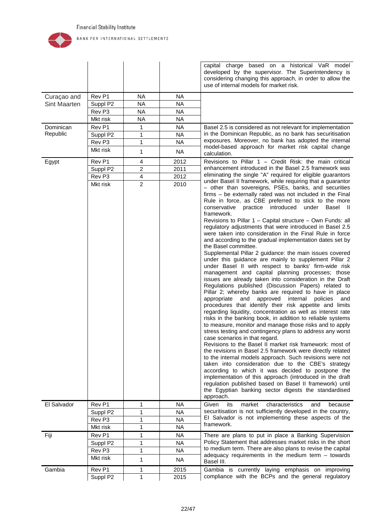

|                     |                   |                |           | capital charge based on a historical VaR model<br>developed by the supervisor. The Superintendency is<br>considering changing this approach, in order to allow the<br>use of internal models for market risk.                                                                                                                                                                                                                                                                                                                                                                                                                                                                                                                                                                                                                                                                                                                                                                                                                                                                                                                                                                                                                                                                                                                                                                                                                                                                                                                                                                                                                                                                                                                                                                                                                                                                                                         |
|---------------------|-------------------|----------------|-----------|-----------------------------------------------------------------------------------------------------------------------------------------------------------------------------------------------------------------------------------------------------------------------------------------------------------------------------------------------------------------------------------------------------------------------------------------------------------------------------------------------------------------------------------------------------------------------------------------------------------------------------------------------------------------------------------------------------------------------------------------------------------------------------------------------------------------------------------------------------------------------------------------------------------------------------------------------------------------------------------------------------------------------------------------------------------------------------------------------------------------------------------------------------------------------------------------------------------------------------------------------------------------------------------------------------------------------------------------------------------------------------------------------------------------------------------------------------------------------------------------------------------------------------------------------------------------------------------------------------------------------------------------------------------------------------------------------------------------------------------------------------------------------------------------------------------------------------------------------------------------------------------------------------------------------|
| Curaçao and         | Rev P1            | <b>NA</b>      | <b>NA</b> |                                                                                                                                                                                                                                                                                                                                                                                                                                                                                                                                                                                                                                                                                                                                                                                                                                                                                                                                                                                                                                                                                                                                                                                                                                                                                                                                                                                                                                                                                                                                                                                                                                                                                                                                                                                                                                                                                                                       |
| <b>Sint Maarten</b> | Suppl P2          | <b>NA</b>      | <b>NA</b> |                                                                                                                                                                                                                                                                                                                                                                                                                                                                                                                                                                                                                                                                                                                                                                                                                                                                                                                                                                                                                                                                                                                                                                                                                                                                                                                                                                                                                                                                                                                                                                                                                                                                                                                                                                                                                                                                                                                       |
|                     | Rev <sub>P3</sub> | <b>NA</b>      | <b>NA</b> |                                                                                                                                                                                                                                                                                                                                                                                                                                                                                                                                                                                                                                                                                                                                                                                                                                                                                                                                                                                                                                                                                                                                                                                                                                                                                                                                                                                                                                                                                                                                                                                                                                                                                                                                                                                                                                                                                                                       |
|                     | Mkt risk          | <b>NA</b>      | <b>NA</b> |                                                                                                                                                                                                                                                                                                                                                                                                                                                                                                                                                                                                                                                                                                                                                                                                                                                                                                                                                                                                                                                                                                                                                                                                                                                                                                                                                                                                                                                                                                                                                                                                                                                                                                                                                                                                                                                                                                                       |
| Dominican           | Rev P1            | 1              | <b>NA</b> | Basel 2.5 is considered as not relevant for implementation                                                                                                                                                                                                                                                                                                                                                                                                                                                                                                                                                                                                                                                                                                                                                                                                                                                                                                                                                                                                                                                                                                                                                                                                                                                                                                                                                                                                                                                                                                                                                                                                                                                                                                                                                                                                                                                            |
| Republic            | Suppl P2          | 1              | <b>NA</b> | in the Dominican Republic, as no bank has securitisation                                                                                                                                                                                                                                                                                                                                                                                                                                                                                                                                                                                                                                                                                                                                                                                                                                                                                                                                                                                                                                                                                                                                                                                                                                                                                                                                                                                                                                                                                                                                                                                                                                                                                                                                                                                                                                                              |
|                     | Rev P3            | 1              | <b>NA</b> | exposures. Moreover, no bank has adopted the internal<br>model-based approach for market risk capital change                                                                                                                                                                                                                                                                                                                                                                                                                                                                                                                                                                                                                                                                                                                                                                                                                                                                                                                                                                                                                                                                                                                                                                                                                                                                                                                                                                                                                                                                                                                                                                                                                                                                                                                                                                                                          |
|                     | Mkt risk          | 1              | <b>NA</b> | calculation.                                                                                                                                                                                                                                                                                                                                                                                                                                                                                                                                                                                                                                                                                                                                                                                                                                                                                                                                                                                                                                                                                                                                                                                                                                                                                                                                                                                                                                                                                                                                                                                                                                                                                                                                                                                                                                                                                                          |
| Egypt               | Rev P1            | 4              | 2012      | Revisions to Pillar $1$ – Credit Risk: the main critical                                                                                                                                                                                                                                                                                                                                                                                                                                                                                                                                                                                                                                                                                                                                                                                                                                                                                                                                                                                                                                                                                                                                                                                                                                                                                                                                                                                                                                                                                                                                                                                                                                                                                                                                                                                                                                                              |
|                     | Suppl P2          | $\overline{c}$ | 2011      | enhancement introduced in the Basel 2.5 framework was                                                                                                                                                                                                                                                                                                                                                                                                                                                                                                                                                                                                                                                                                                                                                                                                                                                                                                                                                                                                                                                                                                                                                                                                                                                                                                                                                                                                                                                                                                                                                                                                                                                                                                                                                                                                                                                                 |
|                     | Rev P3            | 4              | 2012      | eliminating the single "A" required for eligible guarantors                                                                                                                                                                                                                                                                                                                                                                                                                                                                                                                                                                                                                                                                                                                                                                                                                                                                                                                                                                                                                                                                                                                                                                                                                                                                                                                                                                                                                                                                                                                                                                                                                                                                                                                                                                                                                                                           |
|                     | Mkt risk          | $\overline{2}$ | 2010      | under Basel II framework, while requiring that a guarantor<br>- other than sovereigns, PSEs, banks, and securities<br>firms - be externally rated was not included in the Final<br>Rule in force, as CBE preferred to stick to the more<br>practice introduced<br>conservative<br>under Basel II<br>framework.<br>Revisions to Pillar 1 - Capital structure - Own Funds: all<br>regulatory adjustments that were introduced in Basel 2.5<br>were taken into consideration in the Final Rule in force<br>and according to the gradual implementation dates set by<br>the Basel committee.<br>Supplemental Pillar 2 guidance: the main issues covered<br>under this guidance are mainly to supplement Pillar 2<br>under Basel II with respect to banks' firm-wide risk<br>management and capital planning processes; those<br>issues are already taken into consideration in the Draft<br>Regulations published (Discussion Papers) related to<br>Pillar 2; whereby banks are required to have in place<br>and<br>approved<br>internal<br>appropriate<br>policies<br>and<br>procedures that identify their risk appetite and limits<br>regarding liquidity, concentration as well as interest rate<br>risks in the banking book, in addition to reliable systems<br>to measure, monitor and manage those risks and to apply<br>stress testing and contingency plans to address any worst<br>case scenarios in that regard.<br>Revisions to the Basel II market risk framework: most of<br>the revisions in Basel 2.5 framework were directly related<br>to the internal models approach. Such revisions were not<br>taken into consideration due to the CBE's strategy<br>according to which it was decided to postpone the<br>implementation of this approach (introduced in the draft<br>regulation published based on Basel II framework) until<br>the Egyptian banking sector digests the standardised<br>approach. |
| El Salvador         | Rev P1            | 1              | <b>NA</b> | characteristics<br>Given<br>its<br>market<br>and<br>because                                                                                                                                                                                                                                                                                                                                                                                                                                                                                                                                                                                                                                                                                                                                                                                                                                                                                                                                                                                                                                                                                                                                                                                                                                                                                                                                                                                                                                                                                                                                                                                                                                                                                                                                                                                                                                                           |
|                     | Suppl P2          | 1              | <b>NA</b> | securitisation is not sufficiently developed in the country,                                                                                                                                                                                                                                                                                                                                                                                                                                                                                                                                                                                                                                                                                                                                                                                                                                                                                                                                                                                                                                                                                                                                                                                                                                                                                                                                                                                                                                                                                                                                                                                                                                                                                                                                                                                                                                                          |
|                     | Rev <sub>P3</sub> | 1              | <b>NA</b> | El Salvador is not implementing these aspects of the                                                                                                                                                                                                                                                                                                                                                                                                                                                                                                                                                                                                                                                                                                                                                                                                                                                                                                                                                                                                                                                                                                                                                                                                                                                                                                                                                                                                                                                                                                                                                                                                                                                                                                                                                                                                                                                                  |
|                     | Mkt risk          | 1              | <b>NA</b> | framework.                                                                                                                                                                                                                                                                                                                                                                                                                                                                                                                                                                                                                                                                                                                                                                                                                                                                                                                                                                                                                                                                                                                                                                                                                                                                                                                                                                                                                                                                                                                                                                                                                                                                                                                                                                                                                                                                                                            |
| Fiji                | Rev P1            | 1              | <b>NA</b> | There are plans to put in place a Banking Supervision                                                                                                                                                                                                                                                                                                                                                                                                                                                                                                                                                                                                                                                                                                                                                                                                                                                                                                                                                                                                                                                                                                                                                                                                                                                                                                                                                                                                                                                                                                                                                                                                                                                                                                                                                                                                                                                                 |
|                     | Suppl P2          | 1              | <b>NA</b> | Policy Statement that addresses market risks in the short                                                                                                                                                                                                                                                                                                                                                                                                                                                                                                                                                                                                                                                                                                                                                                                                                                                                                                                                                                                                                                                                                                                                                                                                                                                                                                                                                                                                                                                                                                                                                                                                                                                                                                                                                                                                                                                             |
|                     | Rev <sub>P3</sub> | 1              | <b>NA</b> | to medium term. There are also plans to revise the capital                                                                                                                                                                                                                                                                                                                                                                                                                                                                                                                                                                                                                                                                                                                                                                                                                                                                                                                                                                                                                                                                                                                                                                                                                                                                                                                                                                                                                                                                                                                                                                                                                                                                                                                                                                                                                                                            |
|                     | Mkt risk          | 1              | <b>NA</b> | adequacy requirements in the medium term $-$ towards<br>Basel III.                                                                                                                                                                                                                                                                                                                                                                                                                                                                                                                                                                                                                                                                                                                                                                                                                                                                                                                                                                                                                                                                                                                                                                                                                                                                                                                                                                                                                                                                                                                                                                                                                                                                                                                                                                                                                                                    |
| Gambia              | Rev P1            | 1              | 2015      | Gambia is currently laying emphasis on improving                                                                                                                                                                                                                                                                                                                                                                                                                                                                                                                                                                                                                                                                                                                                                                                                                                                                                                                                                                                                                                                                                                                                                                                                                                                                                                                                                                                                                                                                                                                                                                                                                                                                                                                                                                                                                                                                      |
|                     | Suppl P2          | 1              | 2015      | compliance with the BCPs and the general regulatory                                                                                                                                                                                                                                                                                                                                                                                                                                                                                                                                                                                                                                                                                                                                                                                                                                                                                                                                                                                                                                                                                                                                                                                                                                                                                                                                                                                                                                                                                                                                                                                                                                                                                                                                                                                                                                                                   |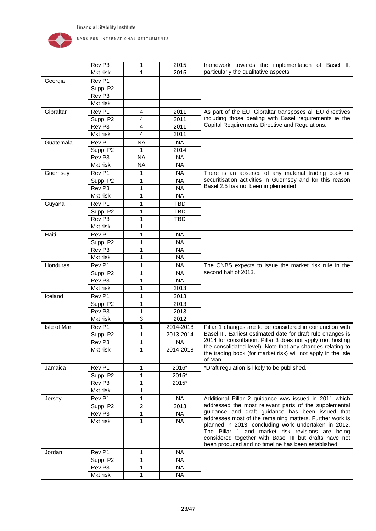

|             | Rev <sub>P3</sub> | 1                       | 2015       | framework towards the implementation of Basel II,                                                                                                                                                                         |
|-------------|-------------------|-------------------------|------------|---------------------------------------------------------------------------------------------------------------------------------------------------------------------------------------------------------------------------|
|             | Mkt risk          | 1                       | 2015       | particularly the qualitative aspects.                                                                                                                                                                                     |
| Georgia     | Rev <sub>P1</sub> |                         |            |                                                                                                                                                                                                                           |
|             | Suppl P2          |                         |            |                                                                                                                                                                                                                           |
|             | Rev <sub>P3</sub> |                         |            |                                                                                                                                                                                                                           |
|             | Mkt risk          |                         |            |                                                                                                                                                                                                                           |
| Gibraltar   | Rev <sub>P1</sub> | 4                       | 2011       | As part of the EU, Gibraltar transposes all EU directives                                                                                                                                                                 |
|             | Suppl P2          | 4                       | 2011       | including those dealing with Basel requirements ie the                                                                                                                                                                    |
|             | Rev <sub>P3</sub> | $\overline{\mathbf{4}}$ | 2011       | Capital Requirements Directive and Regulations.                                                                                                                                                                           |
|             | Mkt risk          | 4                       | 2011       |                                                                                                                                                                                                                           |
| Guatemala   | Rev <sub>P1</sub> | <b>NA</b>               | <b>NA</b>  |                                                                                                                                                                                                                           |
|             | Suppl P2          | 1                       | 2014       |                                                                                                                                                                                                                           |
|             | Rev <sub>P3</sub> | <b>NA</b>               | <b>NA</b>  |                                                                                                                                                                                                                           |
|             | Mkt risk          | <b>NA</b>               | <b>NA</b>  |                                                                                                                                                                                                                           |
| Guernsey    | Rev <sub>P1</sub> | 1                       | <b>NA</b>  | There is an absence of any material trading book or                                                                                                                                                                       |
|             | Suppl P2          | 1                       | <b>NA</b>  | securitisation activities in Guernsey and for this reason                                                                                                                                                                 |
|             | Rev <sub>P3</sub> | 1                       | <b>NA</b>  | Basel 2.5 has not been implemented.                                                                                                                                                                                       |
|             | Mkt risk          | 1                       | <b>NA</b>  |                                                                                                                                                                                                                           |
| Guyana      | Rev <sub>P1</sub> | 1                       | TBD        |                                                                                                                                                                                                                           |
|             | Suppl P2          | 1                       | <b>TBD</b> |                                                                                                                                                                                                                           |
|             | Rev <sub>P3</sub> | 1                       | <b>TBD</b> |                                                                                                                                                                                                                           |
|             | Mkt risk          | 1                       |            |                                                                                                                                                                                                                           |
| Haiti       | Rev <sub>P1</sub> | 1                       | <b>NA</b>  |                                                                                                                                                                                                                           |
|             | Suppl P2          | 1                       | <b>NA</b>  |                                                                                                                                                                                                                           |
|             | Rev <sub>P3</sub> | 1                       | <b>NA</b>  |                                                                                                                                                                                                                           |
|             | Mkt risk          | 1                       | <b>NA</b>  |                                                                                                                                                                                                                           |
| Honduras    | Rev <sub>P1</sub> | 1                       | <b>NA</b>  | The CNBS expects to issue the market risk rule in the                                                                                                                                                                     |
|             | Suppl P2          | 1                       | <b>NA</b>  | second half of 2013.                                                                                                                                                                                                      |
|             | Rev <sub>P3</sub> | 1                       | <b>NA</b>  |                                                                                                                                                                                                                           |
|             | Mkt risk          | $\mathbf{1}$            | 2013       |                                                                                                                                                                                                                           |
| Iceland     | Rev <sub>P1</sub> | 1                       | 2013       |                                                                                                                                                                                                                           |
|             | Suppl P2          | 1                       | 2013       |                                                                                                                                                                                                                           |
|             | Rev <sub>P3</sub> | 1                       | 2013       |                                                                                                                                                                                                                           |
|             | Mkt risk          | 3                       | 2012       |                                                                                                                                                                                                                           |
| Isle of Man | Rev <sub>P1</sub> | 1                       | 2014-2018  | Pillar 1 changes are to be considered in conjunction with                                                                                                                                                                 |
|             | Suppl P2          | 1                       | 2013-2014  | Basel III. Earliest estimated date for draft rule changes is                                                                                                                                                              |
|             | Rev P3            | 1                       | <b>NA</b>  | 2014 for consultation. Pillar 3 does not apply (not hosting<br>the consolidated level). Note that any changes relating to                                                                                                 |
|             | Mkt risk          | 1                       | 2014-2018  | the trading book (for market risk) will not apply in the Isle<br>of Man.                                                                                                                                                  |
| Jamaica     | Rev P1            | 1                       | 2016*      | *Draft regulation is likely to be published.                                                                                                                                                                              |
|             | Suppl P2          | 1                       | 2015*      |                                                                                                                                                                                                                           |
|             | Rev <sub>P3</sub> | 1                       | 2015*      |                                                                                                                                                                                                                           |
|             | Mkt risk          | 1                       |            |                                                                                                                                                                                                                           |
| Jersey      | Rev P1            | 1                       | <b>NA</b>  | Additional Pillar 2 guidance was issued in 2011 which                                                                                                                                                                     |
|             | Suppl P2          | $\overline{a}$          | 2013       | addressed the most relevant parts of the supplemental                                                                                                                                                                     |
|             | Rev <sub>P3</sub> | 1                       | <b>NA</b>  | guidance and draft guidance has been issued that<br>addresses most of the remaining matters. Further work is                                                                                                              |
|             | Mkt risk          | 1                       | <b>NA</b>  | planned in 2013, concluding work undertaken in 2012.<br>The Pillar 1 and market risk revisions are being<br>considered together with Basel III but drafts have not<br>been produced and no timeline has been established. |
| Jordan      | Rev P1            | 1                       | <b>NA</b>  |                                                                                                                                                                                                                           |
|             | Suppl P2          | 1                       | <b>NA</b>  |                                                                                                                                                                                                                           |
|             | Rev P3            | 1                       | <b>NA</b>  |                                                                                                                                                                                                                           |
|             | Mkt risk          | $\mathbf{1}$            | <b>NA</b>  |                                                                                                                                                                                                                           |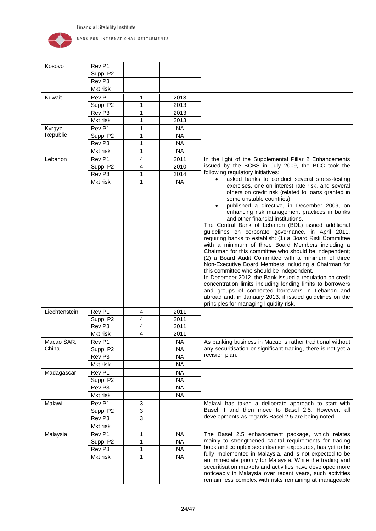

| Kosovo        | Rev <sub>P1</sub>  |                         |                        |                                                                                                                                                                                                                                                                                                                                                                                                                                                                                                                                                                                                                                                                                                                                                                                                                                                                                                                                                                                                                   |
|---------------|--------------------|-------------------------|------------------------|-------------------------------------------------------------------------------------------------------------------------------------------------------------------------------------------------------------------------------------------------------------------------------------------------------------------------------------------------------------------------------------------------------------------------------------------------------------------------------------------------------------------------------------------------------------------------------------------------------------------------------------------------------------------------------------------------------------------------------------------------------------------------------------------------------------------------------------------------------------------------------------------------------------------------------------------------------------------------------------------------------------------|
|               | Suppl P2           |                         |                        |                                                                                                                                                                                                                                                                                                                                                                                                                                                                                                                                                                                                                                                                                                                                                                                                                                                                                                                                                                                                                   |
|               | Rev <sub>P3</sub>  |                         |                        |                                                                                                                                                                                                                                                                                                                                                                                                                                                                                                                                                                                                                                                                                                                                                                                                                                                                                                                                                                                                                   |
|               | Mkt risk           |                         |                        |                                                                                                                                                                                                                                                                                                                                                                                                                                                                                                                                                                                                                                                                                                                                                                                                                                                                                                                                                                                                                   |
| Kuwait        | Rev P1             | 1                       | 2013                   |                                                                                                                                                                                                                                                                                                                                                                                                                                                                                                                                                                                                                                                                                                                                                                                                                                                                                                                                                                                                                   |
|               | Suppl P2           | 1                       | 2013                   |                                                                                                                                                                                                                                                                                                                                                                                                                                                                                                                                                                                                                                                                                                                                                                                                                                                                                                                                                                                                                   |
|               | Rev <sub>P3</sub>  | 1                       | 2013                   |                                                                                                                                                                                                                                                                                                                                                                                                                                                                                                                                                                                                                                                                                                                                                                                                                                                                                                                                                                                                                   |
|               | Mkt risk           | 1                       | 2013                   |                                                                                                                                                                                                                                                                                                                                                                                                                                                                                                                                                                                                                                                                                                                                                                                                                                                                                                                                                                                                                   |
| Kyrgyz        | Rev <sub>P1</sub>  | 1                       | <b>NA</b>              |                                                                                                                                                                                                                                                                                                                                                                                                                                                                                                                                                                                                                                                                                                                                                                                                                                                                                                                                                                                                                   |
| Republic      | Suppl P2           | 1                       | <b>NA</b>              |                                                                                                                                                                                                                                                                                                                                                                                                                                                                                                                                                                                                                                                                                                                                                                                                                                                                                                                                                                                                                   |
|               | Rev <sub>P3</sub>  | 1                       | <b>NA</b>              |                                                                                                                                                                                                                                                                                                                                                                                                                                                                                                                                                                                                                                                                                                                                                                                                                                                                                                                                                                                                                   |
|               | Mkt risk           | 1                       | <b>NA</b>              |                                                                                                                                                                                                                                                                                                                                                                                                                                                                                                                                                                                                                                                                                                                                                                                                                                                                                                                                                                                                                   |
| Lebanon       | Rev <sub>P1</sub>  | 4                       | 2011                   | In the light of the Supplemental Pillar 2 Enhancements                                                                                                                                                                                                                                                                                                                                                                                                                                                                                                                                                                                                                                                                                                                                                                                                                                                                                                                                                            |
|               | Suppl P2           | $\overline{\mathbf{4}}$ | 2010                   | issued by the BCBS in July 2009, the BCC took the                                                                                                                                                                                                                                                                                                                                                                                                                                                                                                                                                                                                                                                                                                                                                                                                                                                                                                                                                                 |
|               | Rev <sub>P3</sub>  | 1                       | 2014                   | following regulatory initiatives:                                                                                                                                                                                                                                                                                                                                                                                                                                                                                                                                                                                                                                                                                                                                                                                                                                                                                                                                                                                 |
|               | Mkt risk           | 1                       | <b>NA</b>              | asked banks to conduct several stress-testing                                                                                                                                                                                                                                                                                                                                                                                                                                                                                                                                                                                                                                                                                                                                                                                                                                                                                                                                                                     |
| Liechtenstein | Rev <sub>P1</sub>  | 4                       | 2011                   | exercises, one on interest rate risk, and several<br>others on credit risk (related to loans granted in<br>some unstable countries).<br>published a directive, in December 2009, on<br>enhancing risk management practices in banks<br>and other financial institutions.<br>The Central Bank of Lebanon (BDL) issued additional<br>guidelines on corporate governance, in April 2011,<br>requiring banks to establish: (1) a Board Risk Committee<br>with a minimum of three Board Members including a<br>Chairman for this committee who should be independent;<br>(2) a Board Audit Committee with a minimum of three<br>Non-Executive Board Members including a Chairman for<br>this committee who should be independent.<br>In December 2012, the Bank issued a regulation on credit<br>concentration limits including lending limits to borrowers<br>and groups of connected borrowers in Lebanon and<br>abroad and, in January 2013, it issued guidelines on the<br>principles for managing liquidity risk. |
|               | Suppl P2           | 4                       | 2011                   |                                                                                                                                                                                                                                                                                                                                                                                                                                                                                                                                                                                                                                                                                                                                                                                                                                                                                                                                                                                                                   |
|               | Rev <sub>P3</sub>  | 4                       | 2011                   |                                                                                                                                                                                                                                                                                                                                                                                                                                                                                                                                                                                                                                                                                                                                                                                                                                                                                                                                                                                                                   |
|               | Mkt risk           | 4                       | 2011                   |                                                                                                                                                                                                                                                                                                                                                                                                                                                                                                                                                                                                                                                                                                                                                                                                                                                                                                                                                                                                                   |
| Macao SAR,    | Rev P1             |                         | <b>NA</b>              | As banking business in Macao is rather traditional without                                                                                                                                                                                                                                                                                                                                                                                                                                                                                                                                                                                                                                                                                                                                                                                                                                                                                                                                                        |
| China         | Suppl P2           |                         | <b>NA</b>              | any securitisation or significant trading, there is not yet a                                                                                                                                                                                                                                                                                                                                                                                                                                                                                                                                                                                                                                                                                                                                                                                                                                                                                                                                                     |
|               | Rev <sub>P3</sub>  |                         | <b>NA</b>              | revision plan.                                                                                                                                                                                                                                                                                                                                                                                                                                                                                                                                                                                                                                                                                                                                                                                                                                                                                                                                                                                                    |
|               | Mkt risk           |                         | <b>NA</b>              |                                                                                                                                                                                                                                                                                                                                                                                                                                                                                                                                                                                                                                                                                                                                                                                                                                                                                                                                                                                                                   |
| Madagascar    | Rev P1             |                         | NA                     |                                                                                                                                                                                                                                                                                                                                                                                                                                                                                                                                                                                                                                                                                                                                                                                                                                                                                                                                                                                                                   |
|               | Suppl P2           |                         | <b>NA</b>              |                                                                                                                                                                                                                                                                                                                                                                                                                                                                                                                                                                                                                                                                                                                                                                                                                                                                                                                                                                                                                   |
|               | Rev P3             |                         | <b>NA</b>              |                                                                                                                                                                                                                                                                                                                                                                                                                                                                                                                                                                                                                                                                                                                                                                                                                                                                                                                                                                                                                   |
|               | Mkt risk           |                         | <b>NA</b>              |                                                                                                                                                                                                                                                                                                                                                                                                                                                                                                                                                                                                                                                                                                                                                                                                                                                                                                                                                                                                                   |
| Malawi        | Rev P1             | 3                       |                        | Malawi has taken a deliberate approach to start with                                                                                                                                                                                                                                                                                                                                                                                                                                                                                                                                                                                                                                                                                                                                                                                                                                                                                                                                                              |
|               | Suppl P2           | 3                       |                        | Basel II and then move to Basel 2.5. However, all                                                                                                                                                                                                                                                                                                                                                                                                                                                                                                                                                                                                                                                                                                                                                                                                                                                                                                                                                                 |
|               | Rev <sub>P3</sub>  | 3                       |                        | developments as regards Basel 2.5 are being noted.                                                                                                                                                                                                                                                                                                                                                                                                                                                                                                                                                                                                                                                                                                                                                                                                                                                                                                                                                                |
|               | Mkt risk           |                         |                        |                                                                                                                                                                                                                                                                                                                                                                                                                                                                                                                                                                                                                                                                                                                                                                                                                                                                                                                                                                                                                   |
|               | Rev P1             |                         | <b>NA</b>              |                                                                                                                                                                                                                                                                                                                                                                                                                                                                                                                                                                                                                                                                                                                                                                                                                                                                                                                                                                                                                   |
| Malaysia      |                    | 1<br>1                  | <b>NA</b>              | The Basel 2.5 enhancement package, which relates<br>mainly to strengthened capital requirements for trading                                                                                                                                                                                                                                                                                                                                                                                                                                                                                                                                                                                                                                                                                                                                                                                                                                                                                                       |
|               | Suppl P2           |                         |                        | book and complex securitisation exposures, has yet to be                                                                                                                                                                                                                                                                                                                                                                                                                                                                                                                                                                                                                                                                                                                                                                                                                                                                                                                                                          |
|               | Rev P3<br>Mkt risk | 1<br>1                  | <b>NA</b><br><b>NA</b> | fully implemented in Malaysia, and is not expected to be<br>an immediate priority for Malaysia. While the trading and<br>securitisation markets and activities have developed more<br>noticeably in Malaysia over recent years, such activities<br>remain less complex with risks remaining at manageable                                                                                                                                                                                                                                                                                                                                                                                                                                                                                                                                                                                                                                                                                                         |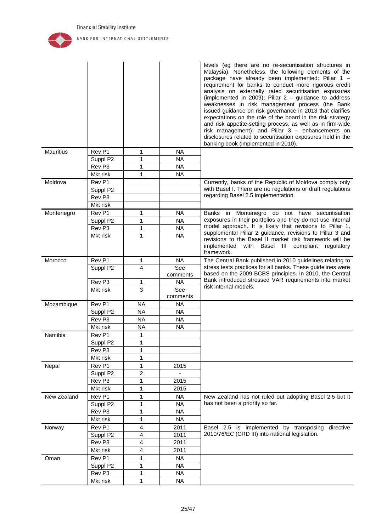

|                  |                               |                        |           | levels (eg there are no re-securitisation structures in<br>Malaysia). Nonetheless, the following elements of the<br>package have already been implemented: Pillar 1 -<br>requirement for banks to conduct more rigorous credit<br>analysis on externally rated securitisation exposures<br>(implemented in 2009); Pillar $2 -$ guidance to address<br>weaknesses in risk management process (the Bank<br>issued guidance on risk governance in 2013 that clarifies<br>expectations on the role of the board in the risk strategy<br>and risk appetite-setting process, as well as in firm-wide<br>risk management); and Pillar 3 - enhancements on<br>disclosures related to securitisation exposures held in the<br>banking book (implemented in 2010). |
|------------------|-------------------------------|------------------------|-----------|----------------------------------------------------------------------------------------------------------------------------------------------------------------------------------------------------------------------------------------------------------------------------------------------------------------------------------------------------------------------------------------------------------------------------------------------------------------------------------------------------------------------------------------------------------------------------------------------------------------------------------------------------------------------------------------------------------------------------------------------------------|
| <b>Mauritius</b> | Rev P1                        | 1                      | <b>NA</b> |                                                                                                                                                                                                                                                                                                                                                                                                                                                                                                                                                                                                                                                                                                                                                          |
|                  | Suppl P2                      | 1                      | <b>NA</b> |                                                                                                                                                                                                                                                                                                                                                                                                                                                                                                                                                                                                                                                                                                                                                          |
|                  | Rev <sub>P3</sub>             | 1                      | <b>NA</b> |                                                                                                                                                                                                                                                                                                                                                                                                                                                                                                                                                                                                                                                                                                                                                          |
|                  | Mkt risk                      | 1                      | <b>NA</b> |                                                                                                                                                                                                                                                                                                                                                                                                                                                                                                                                                                                                                                                                                                                                                          |
| Moldova          | Rev P1                        |                        |           | Currently, banks of the Republic of Moldova comply only                                                                                                                                                                                                                                                                                                                                                                                                                                                                                                                                                                                                                                                                                                  |
|                  | Suppl P2                      |                        |           | with Basel I. There are no regulations or draft regulations                                                                                                                                                                                                                                                                                                                                                                                                                                                                                                                                                                                                                                                                                              |
|                  | Rev <sub>P3</sub>             |                        |           | regarding Basel 2.5 implementation.                                                                                                                                                                                                                                                                                                                                                                                                                                                                                                                                                                                                                                                                                                                      |
|                  | Mkt risk                      |                        |           |                                                                                                                                                                                                                                                                                                                                                                                                                                                                                                                                                                                                                                                                                                                                                          |
| Montenegro       | Rev <sub>P1</sub>             | 1                      | <b>NA</b> | Banks in Montenegro do not have securitisation                                                                                                                                                                                                                                                                                                                                                                                                                                                                                                                                                                                                                                                                                                           |
|                  | Suppl P2                      | 1                      | <b>NA</b> | exposures in their portfolios and they do not use internal                                                                                                                                                                                                                                                                                                                                                                                                                                                                                                                                                                                                                                                                                               |
|                  | Rev <sub>P3</sub>             | 1                      | <b>NA</b> | model approach. It is likely that revisions to Pillar 1,                                                                                                                                                                                                                                                                                                                                                                                                                                                                                                                                                                                                                                                                                                 |
|                  | Mkt risk                      | 1                      | <b>NA</b> | supplemental Pillar 2 guidance, revisions to Pillar 3 and                                                                                                                                                                                                                                                                                                                                                                                                                                                                                                                                                                                                                                                                                                |
|                  |                               |                        |           | revisions to the Basel II market risk framework will be<br>implemented<br>with Basel III compliant<br>regulatory<br>framework.                                                                                                                                                                                                                                                                                                                                                                                                                                                                                                                                                                                                                           |
| Morocco          | Rev P1                        | 1                      | NA        | The Central Bank published in 2010 guidelines relating to                                                                                                                                                                                                                                                                                                                                                                                                                                                                                                                                                                                                                                                                                                |
|                  | Suppl P2                      | $\overline{4}$         | See       | stress tests practices for all banks. These guidelines were                                                                                                                                                                                                                                                                                                                                                                                                                                                                                                                                                                                                                                                                                              |
|                  |                               |                        | comments  | based on the 2009 BCBS principles. In 2010, the Central<br>Bank introduced stressed VAR requirements into market                                                                                                                                                                                                                                                                                                                                                                                                                                                                                                                                                                                                                                         |
|                  | Rev <sub>P3</sub>             | 1                      | <b>NA</b> | risk internal models.                                                                                                                                                                                                                                                                                                                                                                                                                                                                                                                                                                                                                                                                                                                                    |
|                  | Mkt risk                      | 3                      | See       |                                                                                                                                                                                                                                                                                                                                                                                                                                                                                                                                                                                                                                                                                                                                                          |
|                  |                               |                        | comments  |                                                                                                                                                                                                                                                                                                                                                                                                                                                                                                                                                                                                                                                                                                                                                          |
| Mozambique       | Rev P1                        | <b>NA</b>              | NA        |                                                                                                                                                                                                                                                                                                                                                                                                                                                                                                                                                                                                                                                                                                                                                          |
|                  | Suppl P2                      | <b>NA</b>              | <b>NA</b> |                                                                                                                                                                                                                                                                                                                                                                                                                                                                                                                                                                                                                                                                                                                                                          |
|                  | Rev <sub>P3</sub><br>Mkt risk | <b>NA</b><br><b>NA</b> | <b>NA</b> |                                                                                                                                                                                                                                                                                                                                                                                                                                                                                                                                                                                                                                                                                                                                                          |
|                  |                               |                        | <b>NA</b> |                                                                                                                                                                                                                                                                                                                                                                                                                                                                                                                                                                                                                                                                                                                                                          |
| Namibia          | Rev P1                        | 1                      |           |                                                                                                                                                                                                                                                                                                                                                                                                                                                                                                                                                                                                                                                                                                                                                          |
|                  | Suppl P2                      | $\mathbf{1}$           |           |                                                                                                                                                                                                                                                                                                                                                                                                                                                                                                                                                                                                                                                                                                                                                          |
|                  | Rev P3                        | 1                      |           |                                                                                                                                                                                                                                                                                                                                                                                                                                                                                                                                                                                                                                                                                                                                                          |
|                  | Mkt risk                      | 1                      |           |                                                                                                                                                                                                                                                                                                                                                                                                                                                                                                                                                                                                                                                                                                                                                          |
| Nepal            | Rev P1                        | 1                      | 2015      |                                                                                                                                                                                                                                                                                                                                                                                                                                                                                                                                                                                                                                                                                                                                                          |
|                  | Suppl P2                      | 2                      |           |                                                                                                                                                                                                                                                                                                                                                                                                                                                                                                                                                                                                                                                                                                                                                          |
|                  | Rev <sub>P3</sub>             | 1                      | 2015      |                                                                                                                                                                                                                                                                                                                                                                                                                                                                                                                                                                                                                                                                                                                                                          |
|                  | Mkt risk                      | 1                      | 2015      |                                                                                                                                                                                                                                                                                                                                                                                                                                                                                                                                                                                                                                                                                                                                                          |
| New Zealand      | Rev <sub>P1</sub>             | 1                      | <b>NA</b> | New Zealand has not ruled out adopting Basel 2.5 but it                                                                                                                                                                                                                                                                                                                                                                                                                                                                                                                                                                                                                                                                                                  |
|                  | Suppl P2                      | 1                      | <b>NA</b> | has not been a priority so far.                                                                                                                                                                                                                                                                                                                                                                                                                                                                                                                                                                                                                                                                                                                          |
|                  | Rev <sub>P3</sub>             | 1                      | <b>NA</b> |                                                                                                                                                                                                                                                                                                                                                                                                                                                                                                                                                                                                                                                                                                                                                          |
|                  | Mkt risk                      | 1                      | <b>NA</b> |                                                                                                                                                                                                                                                                                                                                                                                                                                                                                                                                                                                                                                                                                                                                                          |
| Norway           | Rev <sub>P1</sub>             | 4                      | 2011      | Basel 2.5 is implemented by transposing<br>directive                                                                                                                                                                                                                                                                                                                                                                                                                                                                                                                                                                                                                                                                                                     |
|                  | Suppl P2                      | 4                      | 2011      | 2010/76/EC (CRD III) into national legislation.                                                                                                                                                                                                                                                                                                                                                                                                                                                                                                                                                                                                                                                                                                          |
|                  | Rev <sub>P3</sub>             | 4                      | 2011      |                                                                                                                                                                                                                                                                                                                                                                                                                                                                                                                                                                                                                                                                                                                                                          |
|                  | Mkt risk                      | 4                      | 2011      |                                                                                                                                                                                                                                                                                                                                                                                                                                                                                                                                                                                                                                                                                                                                                          |
| Oman             | Rev P1                        | 1                      | <b>NA</b> |                                                                                                                                                                                                                                                                                                                                                                                                                                                                                                                                                                                                                                                                                                                                                          |
|                  | Suppl P2                      | 1                      | <b>NA</b> |                                                                                                                                                                                                                                                                                                                                                                                                                                                                                                                                                                                                                                                                                                                                                          |
|                  | Rev <sub>P3</sub>             | 1                      | <b>NA</b> |                                                                                                                                                                                                                                                                                                                                                                                                                                                                                                                                                                                                                                                                                                                                                          |
|                  | Mkt risk                      | 1                      | <b>NA</b> |                                                                                                                                                                                                                                                                                                                                                                                                                                                                                                                                                                                                                                                                                                                                                          |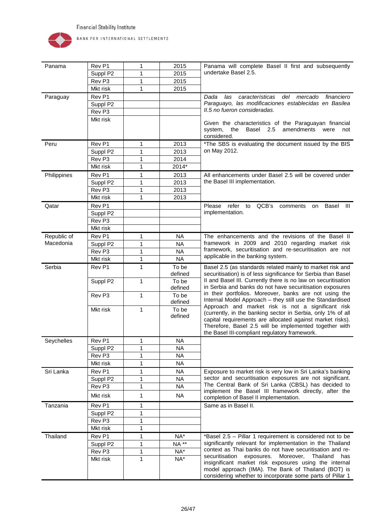

| Panama      | Rev P1            | 1            | 2015             | Panama will complete Basel II first and subsequently                                                                                                                                                                                                                                      |
|-------------|-------------------|--------------|------------------|-------------------------------------------------------------------------------------------------------------------------------------------------------------------------------------------------------------------------------------------------------------------------------------------|
|             | Suppl P2          | 1            | 2015             | undertake Basel 2.5.                                                                                                                                                                                                                                                                      |
|             | Rev <sub>P3</sub> | 1            | 2015             |                                                                                                                                                                                                                                                                                           |
|             | Mkt risk          | $\mathbf{1}$ | 2015             |                                                                                                                                                                                                                                                                                           |
| Paraguay    | Rev P1            |              |                  | características<br>del mercado<br>financiero<br>Dada<br>las                                                                                                                                                                                                                               |
|             | Suppl P2          |              |                  | Paraguayo, las modificaciones establecidas en Basilea                                                                                                                                                                                                                                     |
|             | Rev <sub>P3</sub> |              |                  | II.5 no fueron consideradas.                                                                                                                                                                                                                                                              |
|             | Mkt risk          |              |                  | Given the characteristics of the Paraguayan financial<br>system,<br>Basel 2.5<br>amendments<br>the<br>were<br>not<br>considered.                                                                                                                                                          |
| Peru        | Rev <sub>P1</sub> | 1            | 2013             | *The SBS is evaluating the document issued by the BIS                                                                                                                                                                                                                                     |
|             | Suppl P2          | 1            | 2013             | on May 2012.                                                                                                                                                                                                                                                                              |
|             | Rev <sub>P3</sub> | 1            | 2014             |                                                                                                                                                                                                                                                                                           |
|             | Mkt risk          | $\mathbf{1}$ | 2014*            |                                                                                                                                                                                                                                                                                           |
| Philippines | Rev <sub>P1</sub> | 1            | 2013             | All enhancements under Basel 2.5 will be covered under                                                                                                                                                                                                                                    |
|             | Suppl P2          | 1            | 2013             | the Basel III implementation.                                                                                                                                                                                                                                                             |
|             | Rev <sub>P3</sub> | 1            | 2013             |                                                                                                                                                                                                                                                                                           |
|             | Mkt risk          | 1            | 2013             |                                                                                                                                                                                                                                                                                           |
| Qatar       | Rev P1            |              |                  | QCB's<br>Please refer to<br>Basel<br>- 111<br>comments<br>on                                                                                                                                                                                                                              |
|             | Suppl P2          |              |                  | implementation.                                                                                                                                                                                                                                                                           |
|             | Rev <sub>P3</sub> |              |                  |                                                                                                                                                                                                                                                                                           |
|             | Mkt risk          |              |                  |                                                                                                                                                                                                                                                                                           |
| Republic of | Rev <sub>P1</sub> | 1            | <b>NA</b>        | The enhancements and the revisions of the Basel II                                                                                                                                                                                                                                        |
| Macedonia   | Suppl P2          | 1            | <b>NA</b>        | framework in 2009 and 2010 regarding market risk                                                                                                                                                                                                                                          |
|             | Rev <sub>P3</sub> | 1            | <b>NA</b>        | framework, securitisation and re-securitisation are not                                                                                                                                                                                                                                   |
|             | Mkt risk          | 1            | <b>NA</b>        | applicable in the banking system.                                                                                                                                                                                                                                                         |
| Serbia      | Rev <sub>P1</sub> | $\mathbf{1}$ | To be<br>defined | Basel 2.5 (as standards related mainly to market risk and<br>securitisation) is of less significance for Serbia than Basel                                                                                                                                                                |
|             | Suppl P2          | 1            | To be<br>defined | II and Basel III. Currently there is no law on securitisation<br>in Serbia and banks do not have securitisation exposures                                                                                                                                                                 |
|             | Rev <sub>P3</sub> | 1            | To be<br>defined | in their portfolios. Moreover, banks are not using the<br>Internal Model Approach - they still use the Standardised                                                                                                                                                                       |
|             | Mkt risk          | $\mathbf{1}$ | To be<br>defined | Approach and market risk is not a significant risk<br>(currently, in the banking sector in Serbia, only 1% of all<br>capital requirements are allocated against market risks).<br>Therefore, Basel 2.5 will be implemented together with<br>the Basel III-compliant regulatory framework. |
| Seychelles  | Rev <sub>P1</sub> | 1            | <b>NA</b>        |                                                                                                                                                                                                                                                                                           |
|             | Suppl P2          | 1            | <b>NA</b>        |                                                                                                                                                                                                                                                                                           |
|             | Rev <sub>P3</sub> | 1            | <b>NA</b>        |                                                                                                                                                                                                                                                                                           |
|             | Mkt risk          | 1            | <b>NA</b>        |                                                                                                                                                                                                                                                                                           |
| Sri Lanka   | Rev <sub>P1</sub> | 1            | <b>NA</b>        | Exposure to market risk is very low in Sri Lanka's banking                                                                                                                                                                                                                                |
|             | Suppl P2          | $\mathbf{1}$ | <b>NA</b>        | sector and securitisation exposures are not significant.                                                                                                                                                                                                                                  |
|             | Rev <sub>P3</sub> | $\mathbf{1}$ | <b>NA</b>        | The Central Bank of Sri Lanka (CBSL) has decided to                                                                                                                                                                                                                                       |
|             | Mkt risk          | 1            | <b>NA</b>        | implement the Basel III framework directly, after the<br>completion of Basel II implementation.                                                                                                                                                                                           |
| Tanzania    | Rev P1            | 1            |                  | Same as in Basel II.                                                                                                                                                                                                                                                                      |
|             | Suppl P2          | 1            |                  |                                                                                                                                                                                                                                                                                           |
|             | Rev <sub>P3</sub> | 1            |                  |                                                                                                                                                                                                                                                                                           |
|             | Mkt risk          | 1            |                  |                                                                                                                                                                                                                                                                                           |
| Thailand    | Rev P1            | 1            | $NA^*$           | *Basel 2.5 - Pillar 1 requirement is considered not to be                                                                                                                                                                                                                                 |
|             | Suppl P2          | 1            | <b>NA**</b>      | significantly relevant for implementation in the Thailand                                                                                                                                                                                                                                 |
|             | Rev P3            | 1            | NA*              | context as Thai banks do not have securitisation and re-                                                                                                                                                                                                                                  |
|             | Mkt risk          | 1            | $NA^*$           | securitisation exposures.<br>Moreover,<br>Thailand<br>has<br>insignificant market risk exposures using the internal<br>model approach (IMA). The Bank of Thailand (BOT) is<br>considering whether to incorporate some parts of Pillar 1                                                   |
|             |                   |              |                  |                                                                                                                                                                                                                                                                                           |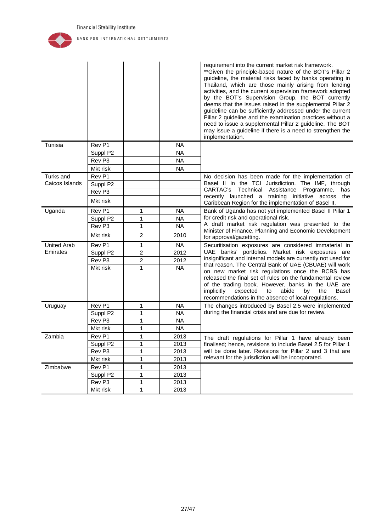

<span id="page-27-0"></span>

|                    |                   |                  |           | requirement into the current market risk framework.<br>** Given the principle-based nature of the BOT's Pillar 2<br>guideline, the material risks faced by banks operating in<br>Thailand, which are those mainly arising from lending<br>activities, and the current supervision framework adopted<br>by the BOT's Supervision Group, the BOT currently<br>deems that the issues raised in the supplemental Pillar 2<br>guideline can be sufficiently addressed under the current<br>Pillar 2 guideline and the examination practices without a<br>need to issue a supplemental Pillar 2 guideline. The BOT<br>may issue a guideline if there is a need to strengthen the<br>implementation. |
|--------------------|-------------------|------------------|-----------|-----------------------------------------------------------------------------------------------------------------------------------------------------------------------------------------------------------------------------------------------------------------------------------------------------------------------------------------------------------------------------------------------------------------------------------------------------------------------------------------------------------------------------------------------------------------------------------------------------------------------------------------------------------------------------------------------|
| Tunisia            | Rev P1            |                  | NA        |                                                                                                                                                                                                                                                                                                                                                                                                                                                                                                                                                                                                                                                                                               |
|                    | Suppl P2          |                  | <b>NA</b> |                                                                                                                                                                                                                                                                                                                                                                                                                                                                                                                                                                                                                                                                                               |
|                    | Rev <sub>P3</sub> |                  | <b>NA</b> |                                                                                                                                                                                                                                                                                                                                                                                                                                                                                                                                                                                                                                                                                               |
|                    | Mkt risk          |                  | <b>NA</b> |                                                                                                                                                                                                                                                                                                                                                                                                                                                                                                                                                                                                                                                                                               |
| Turks and          | Rev P1            |                  |           | No decision has been made for the implementation of                                                                                                                                                                                                                                                                                                                                                                                                                                                                                                                                                                                                                                           |
| Caicos Islands     | Suppl P2          |                  |           | Basel II in the TCI Jurisdiction. The IMF, through                                                                                                                                                                                                                                                                                                                                                                                                                                                                                                                                                                                                                                            |
|                    | Rev <sub>P3</sub> |                  |           | CARTAC's Technical Assistance<br>Programme,<br>has                                                                                                                                                                                                                                                                                                                                                                                                                                                                                                                                                                                                                                            |
|                    | Mkt risk          |                  |           | recently launched a training initiative across<br>the<br>Caribbean Region for the implementation of Basel II.                                                                                                                                                                                                                                                                                                                                                                                                                                                                                                                                                                                 |
| Uganda             | Rev <sub>P1</sub> | 1                | <b>NA</b> | Bank of Uganda has not yet implemented Basel II Pillar 1                                                                                                                                                                                                                                                                                                                                                                                                                                                                                                                                                                                                                                      |
|                    | Suppl P2          | 1                | <b>NA</b> | for credit risk and operational risk.                                                                                                                                                                                                                                                                                                                                                                                                                                                                                                                                                                                                                                                         |
|                    | Rev <sub>P3</sub> | $\mathbf{1}$     | <b>NA</b> | A draft market risk regulation was presented to the<br>Minister of Finance, Planning and Economic Development                                                                                                                                                                                                                                                                                                                                                                                                                                                                                                                                                                                 |
|                    | Mkt risk          | $\overline{2}$   | 2010      | for approval/gazetting.                                                                                                                                                                                                                                                                                                                                                                                                                                                                                                                                                                                                                                                                       |
| <b>United Arab</b> | Rev <sub>P1</sub> | 1                | <b>NA</b> | Securitisation exposures are considered immaterial in                                                                                                                                                                                                                                                                                                                                                                                                                                                                                                                                                                                                                                         |
| Emirates           | Suppl P2          | $\overline{c}$   | 2012      | UAE banks' portfolios. Market risk exposures are                                                                                                                                                                                                                                                                                                                                                                                                                                                                                                                                                                                                                                              |
|                    | Rev <sub>P3</sub> | $\boldsymbol{2}$ | 2012      | insignificant and internal models are currently not used for<br>that reason. The Central Bank of UAE (CBUAE) will work                                                                                                                                                                                                                                                                                                                                                                                                                                                                                                                                                                        |
|                    | Mkt risk          | $\mathbf{1}$     | <b>NA</b> | on new market risk regulations once the BCBS has<br>released the final set of rules on the fundamental review<br>of the trading book. However, banks in the UAE are<br>implicitly<br>expected<br>abide<br>the<br>Basel<br>to<br>by<br>recommendations in the absence of local regulations.                                                                                                                                                                                                                                                                                                                                                                                                    |
| Uruguay            | Rev P1            | 1                | <b>NA</b> | The changes introduced by Basel 2.5 were implemented                                                                                                                                                                                                                                                                                                                                                                                                                                                                                                                                                                                                                                          |
|                    | Suppl P2          | 1                | <b>NA</b> | during the financial crisis and are due for review.                                                                                                                                                                                                                                                                                                                                                                                                                                                                                                                                                                                                                                           |
|                    | Rev <sub>P3</sub> | 1                | <b>NA</b> |                                                                                                                                                                                                                                                                                                                                                                                                                                                                                                                                                                                                                                                                                               |
|                    | Mkt risk          | 1                | <b>NA</b> |                                                                                                                                                                                                                                                                                                                                                                                                                                                                                                                                                                                                                                                                                               |
| Zambia             | Rev <sub>P1</sub> | 1                | 2013      | The draft regulations for Pillar 1 have already been                                                                                                                                                                                                                                                                                                                                                                                                                                                                                                                                                                                                                                          |
|                    | Suppl P2          | 1                | 2013      | finalised; hence, revisions to include Basel 2.5 for Pillar 1                                                                                                                                                                                                                                                                                                                                                                                                                                                                                                                                                                                                                                 |
|                    | Rev <sub>P3</sub> | 1                | 2013      | will be done later. Revisions for Pillar 2 and 3 that are<br>relevant for the jurisdiction will be incorporated.                                                                                                                                                                                                                                                                                                                                                                                                                                                                                                                                                                              |
|                    | Mkt risk          | 1                | 2013      |                                                                                                                                                                                                                                                                                                                                                                                                                                                                                                                                                                                                                                                                                               |
| Zimbabwe           | Rev P1            | 1                | 2013      |                                                                                                                                                                                                                                                                                                                                                                                                                                                                                                                                                                                                                                                                                               |
|                    | Suppl P2          | 1                | 2013      |                                                                                                                                                                                                                                                                                                                                                                                                                                                                                                                                                                                                                                                                                               |
|                    | Rev <sub>P3</sub> | 1                | 2013      |                                                                                                                                                                                                                                                                                                                                                                                                                                                                                                                                                                                                                                                                                               |
|                    | Mkt risk          | $\mathbf{1}$     | 2013      |                                                                                                                                                                                                                                                                                                                                                                                                                                                                                                                                                                                                                                                                                               |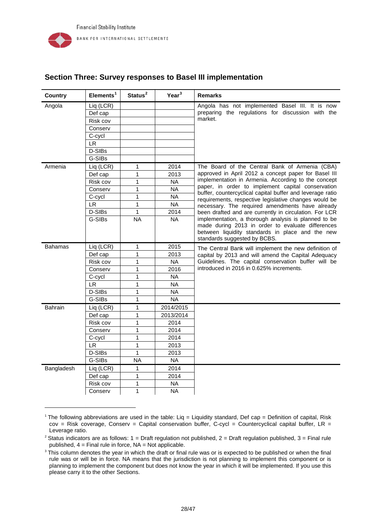-

| <b>Country</b>      | Elements <sup>1</sup>                                  | Status <sup>2</sup> | Year <sup>3</sup> | <b>Remarks</b>                                                                                           |
|---------------------|--------------------------------------------------------|---------------------|-------------------|----------------------------------------------------------------------------------------------------------|
| Angola              | Liq (LCR)                                              |                     |                   | Angola has not implemented Basel III. It is now                                                          |
|                     | Def cap                                                |                     |                   | preparing the regulations for discussion with the                                                        |
|                     | Risk cov                                               |                     |                   | market.                                                                                                  |
|                     | Conserv                                                |                     |                   |                                                                                                          |
|                     | C-cycl                                                 |                     |                   |                                                                                                          |
|                     | <b>LR</b>                                              |                     |                   |                                                                                                          |
|                     | D-SIBs                                                 |                     |                   |                                                                                                          |
|                     | G-SIBs                                                 |                     |                   |                                                                                                          |
| Armenia             | Liq (LCR)                                              | 1                   | 2014              | The Board of the Central Bank of Armenia (CBA)                                                           |
|                     | Def cap                                                | 1                   | 2013              | approved in April 2012 a concept paper for Basel III                                                     |
|                     | Risk cov                                               | 1                   | NA.               | implementation in Armenia. According to the concept<br>paper, in order to implement capital conservation |
|                     | Conserv                                                | 1                   | <b>NA</b>         | buffer, countercyclical capital buffer and leverage ratio                                                |
|                     | C-cycl                                                 | $\mathbf{1}$        | N <sub>A</sub>    | requirements, respective legislative changes would be                                                    |
|                     | <b>LR</b>                                              | 1                   | <b>NA</b>         | necessary. The required amendments have already                                                          |
| D-SIBs<br>2014<br>1 | been drafted and are currently in circulation. For LCR |                     |                   |                                                                                                          |
|                     | G-SIBs                                                 | <b>NA</b>           | <b>NA</b>         | implementation, a thorough analysis is planned to be                                                     |
|                     |                                                        |                     |                   | made during 2013 in order to evaluate differences<br>between liquidity standards in place and the new    |
|                     |                                                        |                     |                   | standards suggested by BCBS.                                                                             |
| <b>Bahamas</b>      | Liq (LCR)                                              | 1                   | 2015              | The Central Bank will implement the new definition of                                                    |
|                     | Def cap                                                | $\mathbf 1$         | 2013              | capital by 2013 and will amend the Capital Adequacy                                                      |
|                     | Risk cov                                               | 1                   | <b>NA</b>         | Guidelines. The capital conservation buffer will be                                                      |
|                     | Conserv                                                | $\mathbf{1}$        | 2016              | introduced in 2016 in 0.625% increments.                                                                 |
|                     | C-cycl                                                 | 1                   | <b>NA</b>         |                                                                                                          |
|                     | <b>LR</b>                                              | 1                   | <b>NA</b>         |                                                                                                          |
|                     | D-SIBs                                                 | 1                   | <b>NA</b>         |                                                                                                          |
|                     | G-SIBs                                                 | 1                   | <b>NA</b>         |                                                                                                          |
| <b>Bahrain</b>      | Liq (LCR)                                              | 1                   | 2014/2015         |                                                                                                          |
|                     | Def cap                                                | 1                   | 2013/2014         |                                                                                                          |
|                     | Risk cov                                               | 1                   | 2014              |                                                                                                          |
|                     | Conserv                                                | 1                   | 2014              |                                                                                                          |
|                     | C-cycl                                                 | 1                   | 2014              |                                                                                                          |
|                     | <b>LR</b>                                              | 1                   | 2013              |                                                                                                          |
|                     | D-SIBs                                                 | 1                   | 2013              |                                                                                                          |
|                     | G-SIBs                                                 | <b>NA</b>           | <b>NA</b>         |                                                                                                          |
| Bangladesh          | Liq (LCR)                                              | 1                   | 2014              |                                                                                                          |
|                     | Def cap                                                | $\mathbf{1}$        | 2014              |                                                                                                          |
|                     | Risk cov                                               | 1                   | <b>NA</b>         |                                                                                                          |
|                     | Conserv                                                | 1                   | <b>NA</b>         |                                                                                                          |

# **Section Three: Survey responses to Basel III implementation**

<span id="page-28-0"></span><sup>1</sup> The following abbreviations are used in the table: Liq = Liquidity standard, Def cap = Definition of capital, Risk  $cov = Risk \csc$  Coverage, Conserv = Capital conservation buffer, C-cycl = Countercyclical capital buffer, LR = Leverage ratio.

<span id="page-28-1"></span><sup>&</sup>lt;sup>2</sup> Status indicators are as follows:  $1 =$  Draft regulation not published,  $2 =$  Draft regulation published,  $3 =$  Final rule published,  $4 =$  Final rule in force,  $NA = Not$  applicable.

<span id="page-28-2"></span><sup>&</sup>lt;sup>3</sup> This column denotes the year in which the draft or final rule was or is expected to be published or when the final rule was or will be in force. NA means that the jurisdiction is not planning to implement this component or is planning to implement the component but does not know the year in which it will be implemented. If you use this please carry it to the other Sections.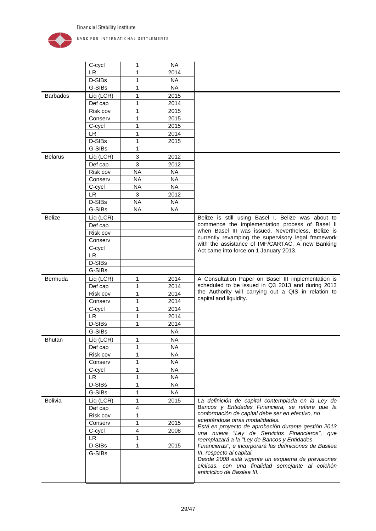

|                 | C-cycl              | 1         | <b>NA</b>    |                                                                                                                                                                   |
|-----------------|---------------------|-----------|--------------|-------------------------------------------------------------------------------------------------------------------------------------------------------------------|
|                 | LR.                 | 1         | 2014         |                                                                                                                                                                   |
|                 | D-SIBs              | 1         | <b>NA</b>    |                                                                                                                                                                   |
|                 | G-SIBs              | 1         | <b>NA</b>    |                                                                                                                                                                   |
| <b>Barbados</b> | Liq (LCR)           | 1         | 2015         |                                                                                                                                                                   |
|                 | Def cap             | 1         | 2014         |                                                                                                                                                                   |
|                 | Risk cov            | 1         | 2015         |                                                                                                                                                                   |
|                 | Conserv             | 1         | 2015         |                                                                                                                                                                   |
|                 | C-cycl              | 1         | 2015         |                                                                                                                                                                   |
|                 | LR.                 | 1         | 2014         |                                                                                                                                                                   |
|                 | D-SIBs              | 1         | 2015         |                                                                                                                                                                   |
|                 | G-SIBs              | 1         |              |                                                                                                                                                                   |
| <b>Belarus</b>  | Liq (LCR)           | 3         | 2012         |                                                                                                                                                                   |
|                 | Def cap             | 3         | 2012         |                                                                                                                                                                   |
|                 | Risk cov            | <b>NA</b> | <b>NA</b>    |                                                                                                                                                                   |
|                 | Conserv             | <b>NA</b> | <b>NA</b>    |                                                                                                                                                                   |
|                 | C-cycl              | <b>NA</b> | <b>NA</b>    |                                                                                                                                                                   |
|                 | <b>LR</b>           | 3         | 2012         |                                                                                                                                                                   |
|                 | D-SIBs              | <b>NA</b> | <b>NA</b>    |                                                                                                                                                                   |
|                 | G-SIBs              | <b>NA</b> | <b>NA</b>    |                                                                                                                                                                   |
| <b>Belize</b>   | Liq (LCR)           |           |              | Belize is still using Basel I. Belize was about to                                                                                                                |
|                 | Def cap             |           |              | commence the implementation process of Basel II                                                                                                                   |
|                 | Risk cov            |           |              | when Basel III was issued. Nevertheless, Belize is                                                                                                                |
|                 | Conserv             |           |              | currently revamping the supervisory legal framework                                                                                                               |
|                 | C-cycl              |           |              | with the assistance of IMF/CARTAC. A new Banking                                                                                                                  |
|                 | <b>LR</b>           |           |              | Act came into force on 1 January 2013.                                                                                                                            |
|                 | D-SIBs              |           |              |                                                                                                                                                                   |
|                 | G-SIBs              |           |              |                                                                                                                                                                   |
| Bermuda         | Liq (LCR)           | 1         | 2014         | A Consultation Paper on Basel III implementation is                                                                                                               |
|                 |                     |           |              |                                                                                                                                                                   |
|                 |                     |           | 2014         | scheduled to be issued in Q3 2013 and during 2013                                                                                                                 |
|                 | Def cap<br>Risk cov | 1         | 2014         | the Authority will carrying out a QIS in relation to                                                                                                              |
|                 |                     | 1<br>1    |              | capital and liquidity.                                                                                                                                            |
|                 | Conserv             | 1         | 2014<br>2014 |                                                                                                                                                                   |
|                 | C-cycl<br><b>LR</b> | 1         |              |                                                                                                                                                                   |
|                 |                     | 1         | 2014         |                                                                                                                                                                   |
|                 | D-SIBs              |           | 2014         |                                                                                                                                                                   |
|                 | G-SIBs              |           | <b>NA</b>    |                                                                                                                                                                   |
| <b>Bhutan</b>   | Liq (LCR)           | 1         | <b>NA</b>    |                                                                                                                                                                   |
|                 | Def cap             | 1<br>1    | <b>NA</b>    |                                                                                                                                                                   |
|                 | Risk cov            |           | <b>NA</b>    |                                                                                                                                                                   |
|                 | Conserv             | 1         | <b>NA</b>    |                                                                                                                                                                   |
|                 | C-cycl              | 1<br>1    | <b>NA</b>    |                                                                                                                                                                   |
|                 | LR                  | 1         | <b>NA</b>    |                                                                                                                                                                   |
|                 | D-SIBs<br>G-SIBs    | 1         | <b>NA</b>    |                                                                                                                                                                   |
|                 |                     |           | <b>NA</b>    |                                                                                                                                                                   |
| Bolivia         | Liq (LCR)           | 1         | 2015         | La definición de capital contemplada en la Ley de<br>Bancos y Entidades Financiera, se refiere que la                                                             |
|                 | Def cap             | 4         |              | conformación de capital debe ser en efectivo, no                                                                                                                  |
|                 | Risk cov            | 1<br>1    |              | aceptándose otras modalidades.                                                                                                                                    |
|                 | Conserv             |           | 2015         | Está en proyecto de aprobación durante gestión 2013                                                                                                               |
|                 | C-cycl              | 4<br>1    | 2008         | una nueva "Ley de Servicios Financieros", que                                                                                                                     |
|                 | <b>LR</b>           | 1         |              | reemplazará a la "Ley de Bancos y Entidades                                                                                                                       |
|                 | D-SIBs              |           | 2015         | Financieras", e incorporará las definiciones de Basilea                                                                                                           |
|                 | G-SIBs              |           |              | III, respecto al capital.<br>Desde 2008 está vigente un esquema de previsiones<br>cíclicas, con una finalidad semejante al colchón<br>anticíclico de Basilea III. |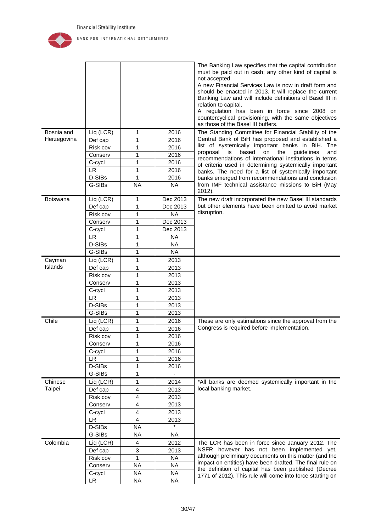

| Bosnia and<br>Herzegovina | Liq (LCR)<br>Def cap<br>Risk cov<br>Conserv<br>C-cycl<br><b>LR</b><br>D-SIBs<br>G-SIBs | 1<br>1<br>1<br>1<br>1<br>$\mathbf{1}$<br>$\mathbf{1}$<br><b>NA</b> | 2016<br>2016<br>2016<br>2016<br>2016<br>2016<br>2016<br><b>NA</b> | The Banking Law specifies that the capital contribution<br>must be paid out in cash; any other kind of capital is<br>not accepted.<br>A new Financial Services Law is now in draft form and<br>should be enacted in 2013. It will replace the current<br>Banking Law and will include definitions of Basel III in<br>relation to capital.<br>A regulation has been in force since 2008 on<br>countercyclical provisioning, with the same objectives<br>as those of the Basel III buffers.<br>The Standing Committee for Financial Stability of the<br>Central Bank of BiH has proposed and established a<br>list of systemically important banks in BiH. The<br>proposal<br>based<br>the<br>guidelines<br>is<br>on<br>and<br>recommendations of international institutions in terms<br>of criteria used in determining systemically important<br>banks. The need for a list of systemically important<br>banks emerged from recommendations and conclusion<br>from IMF technical assistance missions to BiH (May |
|---------------------------|----------------------------------------------------------------------------------------|--------------------------------------------------------------------|-------------------------------------------------------------------|------------------------------------------------------------------------------------------------------------------------------------------------------------------------------------------------------------------------------------------------------------------------------------------------------------------------------------------------------------------------------------------------------------------------------------------------------------------------------------------------------------------------------------------------------------------------------------------------------------------------------------------------------------------------------------------------------------------------------------------------------------------------------------------------------------------------------------------------------------------------------------------------------------------------------------------------------------------------------------------------------------------|
|                           |                                                                                        |                                                                    |                                                                   | 2012).                                                                                                                                                                                                                                                                                                                                                                                                                                                                                                                                                                                                                                                                                                                                                                                                                                                                                                                                                                                                           |
| <b>Botswana</b>           | Liq (LCR)                                                                              | 1                                                                  | Dec 2013                                                          | The new draft incorporated the new Basel III standards<br>but other elements have been omitted to avoid market                                                                                                                                                                                                                                                                                                                                                                                                                                                                                                                                                                                                                                                                                                                                                                                                                                                                                                   |
|                           | Def cap<br>Risk cov                                                                    | $\mathbf{1}$<br>$\mathbf{1}$                                       | Dec 2013<br><b>NA</b>                                             | disruption.                                                                                                                                                                                                                                                                                                                                                                                                                                                                                                                                                                                                                                                                                                                                                                                                                                                                                                                                                                                                      |
|                           | Conserv                                                                                | 1                                                                  | Dec 2013                                                          |                                                                                                                                                                                                                                                                                                                                                                                                                                                                                                                                                                                                                                                                                                                                                                                                                                                                                                                                                                                                                  |
|                           | C-cycl                                                                                 | 1                                                                  | Dec 2013                                                          |                                                                                                                                                                                                                                                                                                                                                                                                                                                                                                                                                                                                                                                                                                                                                                                                                                                                                                                                                                                                                  |
|                           | LR.                                                                                    | 1                                                                  | <b>NA</b>                                                         |                                                                                                                                                                                                                                                                                                                                                                                                                                                                                                                                                                                                                                                                                                                                                                                                                                                                                                                                                                                                                  |
|                           | D-SIBs                                                                                 | 1                                                                  | <b>NA</b>                                                         |                                                                                                                                                                                                                                                                                                                                                                                                                                                                                                                                                                                                                                                                                                                                                                                                                                                                                                                                                                                                                  |
|                           | G-SIBs                                                                                 | $\mathbf{1}$                                                       | <b>NA</b>                                                         |                                                                                                                                                                                                                                                                                                                                                                                                                                                                                                                                                                                                                                                                                                                                                                                                                                                                                                                                                                                                                  |
| Cayman                    | Liq (LCR)                                                                              | 1                                                                  | 2013                                                              |                                                                                                                                                                                                                                                                                                                                                                                                                                                                                                                                                                                                                                                                                                                                                                                                                                                                                                                                                                                                                  |
| Islands                   | Def cap                                                                                | 1                                                                  | 2013                                                              |                                                                                                                                                                                                                                                                                                                                                                                                                                                                                                                                                                                                                                                                                                                                                                                                                                                                                                                                                                                                                  |
|                           | Risk cov                                                                               | 1                                                                  | 2013                                                              |                                                                                                                                                                                                                                                                                                                                                                                                                                                                                                                                                                                                                                                                                                                                                                                                                                                                                                                                                                                                                  |
|                           | Conserv                                                                                | 1                                                                  | 2013                                                              |                                                                                                                                                                                                                                                                                                                                                                                                                                                                                                                                                                                                                                                                                                                                                                                                                                                                                                                                                                                                                  |
|                           | C-cycl                                                                                 | 1                                                                  | 2013                                                              |                                                                                                                                                                                                                                                                                                                                                                                                                                                                                                                                                                                                                                                                                                                                                                                                                                                                                                                                                                                                                  |
|                           | <b>LR</b>                                                                              | 1                                                                  | 2013                                                              |                                                                                                                                                                                                                                                                                                                                                                                                                                                                                                                                                                                                                                                                                                                                                                                                                                                                                                                                                                                                                  |
|                           | D-SIBs                                                                                 | 1                                                                  | 2013                                                              |                                                                                                                                                                                                                                                                                                                                                                                                                                                                                                                                                                                                                                                                                                                                                                                                                                                                                                                                                                                                                  |
|                           | G-SIBs                                                                                 | 1                                                                  | 2013                                                              |                                                                                                                                                                                                                                                                                                                                                                                                                                                                                                                                                                                                                                                                                                                                                                                                                                                                                                                                                                                                                  |
| Chile                     | Liq (LCR)                                                                              | 1                                                                  | 2016                                                              | These are only estimations since the approval from the                                                                                                                                                                                                                                                                                                                                                                                                                                                                                                                                                                                                                                                                                                                                                                                                                                                                                                                                                           |
|                           | Def cap                                                                                | 1                                                                  | 2016                                                              | Congress is required before implementation.                                                                                                                                                                                                                                                                                                                                                                                                                                                                                                                                                                                                                                                                                                                                                                                                                                                                                                                                                                      |
|                           | Risk cov                                                                               | 1                                                                  | 2016                                                              |                                                                                                                                                                                                                                                                                                                                                                                                                                                                                                                                                                                                                                                                                                                                                                                                                                                                                                                                                                                                                  |
|                           | Conserv                                                                                | 1                                                                  | 2016                                                              |                                                                                                                                                                                                                                                                                                                                                                                                                                                                                                                                                                                                                                                                                                                                                                                                                                                                                                                                                                                                                  |
|                           | C-cycl<br>LR.                                                                          | 1                                                                  | 2016                                                              |                                                                                                                                                                                                                                                                                                                                                                                                                                                                                                                                                                                                                                                                                                                                                                                                                                                                                                                                                                                                                  |
|                           | D-SIBs                                                                                 | 1<br>1                                                             | 2016<br>2016                                                      |                                                                                                                                                                                                                                                                                                                                                                                                                                                                                                                                                                                                                                                                                                                                                                                                                                                                                                                                                                                                                  |
|                           | G-SIBs                                                                                 | $\mathbf{1}$                                                       |                                                                   |                                                                                                                                                                                                                                                                                                                                                                                                                                                                                                                                                                                                                                                                                                                                                                                                                                                                                                                                                                                                                  |
| Chinese                   | Liq (LCR)                                                                              | 1                                                                  | 2014                                                              | *All banks are deemed systemically important in the                                                                                                                                                                                                                                                                                                                                                                                                                                                                                                                                                                                                                                                                                                                                                                                                                                                                                                                                                              |
| Taipei                    | Def cap                                                                                | $\overline{4}$                                                     | 2013                                                              | local banking market.                                                                                                                                                                                                                                                                                                                                                                                                                                                                                                                                                                                                                                                                                                                                                                                                                                                                                                                                                                                            |
|                           | Risk cov                                                                               | 4                                                                  | 2013                                                              |                                                                                                                                                                                                                                                                                                                                                                                                                                                                                                                                                                                                                                                                                                                                                                                                                                                                                                                                                                                                                  |
|                           | Conserv                                                                                | $\overline{\mathbf{4}}$                                            | 2013                                                              |                                                                                                                                                                                                                                                                                                                                                                                                                                                                                                                                                                                                                                                                                                                                                                                                                                                                                                                                                                                                                  |
|                           | C-cycl                                                                                 | $\overline{4}$                                                     | 2013                                                              |                                                                                                                                                                                                                                                                                                                                                                                                                                                                                                                                                                                                                                                                                                                                                                                                                                                                                                                                                                                                                  |
|                           | <b>LR</b>                                                                              | $\overline{4}$                                                     | 2013                                                              |                                                                                                                                                                                                                                                                                                                                                                                                                                                                                                                                                                                                                                                                                                                                                                                                                                                                                                                                                                                                                  |
|                           | D-SIBs                                                                                 | <b>NA</b>                                                          | $\star$                                                           |                                                                                                                                                                                                                                                                                                                                                                                                                                                                                                                                                                                                                                                                                                                                                                                                                                                                                                                                                                                                                  |
|                           | G-SIBs                                                                                 | <b>NA</b>                                                          | <b>NA</b>                                                         |                                                                                                                                                                                                                                                                                                                                                                                                                                                                                                                                                                                                                                                                                                                                                                                                                                                                                                                                                                                                                  |
| Colombia                  | Liq (LCR)                                                                              | 4                                                                  | 2012                                                              | The LCR has been in force since January 2012. The                                                                                                                                                                                                                                                                                                                                                                                                                                                                                                                                                                                                                                                                                                                                                                                                                                                                                                                                                                |
|                           | Def cap                                                                                | 3                                                                  | 2013                                                              | NSFR however has not been implemented yet,                                                                                                                                                                                                                                                                                                                                                                                                                                                                                                                                                                                                                                                                                                                                                                                                                                                                                                                                                                       |
|                           | Risk cov                                                                               | $\mathbf{1}$                                                       | <b>NA</b>                                                         | although preliminary documents on this matter (and the<br>impact on entities) have been drafted. The final rule on                                                                                                                                                                                                                                                                                                                                                                                                                                                                                                                                                                                                                                                                                                                                                                                                                                                                                               |
|                           | Conserv                                                                                | <b>NA</b>                                                          | <b>NA</b>                                                         | the definition of capital has been published (Decree                                                                                                                                                                                                                                                                                                                                                                                                                                                                                                                                                                                                                                                                                                                                                                                                                                                                                                                                                             |
|                           | C-cycl                                                                                 | <b>NA</b>                                                          | <b>NA</b>                                                         | 1771 of 2012). This rule will come into force starting on                                                                                                                                                                                                                                                                                                                                                                                                                                                                                                                                                                                                                                                                                                                                                                                                                                                                                                                                                        |
|                           | <b>LR</b>                                                                              | <b>NA</b>                                                          | <b>NA</b>                                                         |                                                                                                                                                                                                                                                                                                                                                                                                                                                                                                                                                                                                                                                                                                                                                                                                                                                                                                                                                                                                                  |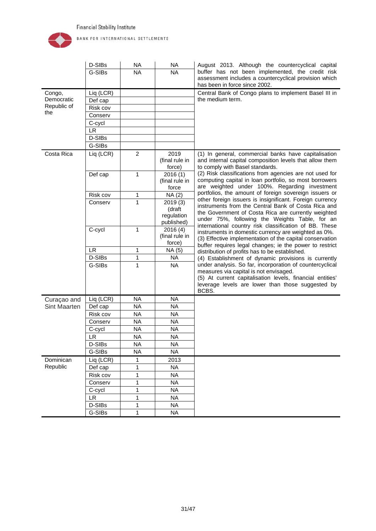

| <b>NA</b><br>G-SIBs<br><b>NA</b><br>assessment includes a countercyclical provision which<br>has been in force since 2002.<br>Central Bank of Congo plans to implement Basel III in<br>Liq (LCR)<br>Congo,<br>Democratic<br>the medium term.<br>Def cap<br>Republic of<br>Risk cov<br>the<br>Conserv<br>C-cycl<br><b>LR</b><br>D-SIBs<br>G-SIBs<br>Costa Rica<br>Liq (LCR)<br>2<br>2019<br>(1) In general, commercial banks have capitalisation<br>(final rule in<br>and internal capital composition levels that allow them<br>force)<br>to comply with Basel standards.<br>(2) Risk classifications from agencies are not used for<br>1<br>$\overline{2}016(1)$<br>Def cap<br>computing capital in loan portfolio, so most borrowers<br>(final rule in<br>are weighted under 100%. Regarding investment<br>force<br>portfolios, the amount of foreign sovereign issuers or<br>Risk cov<br>1<br>NA(2)<br>other foreign issuers is insignificant. Foreign currency<br>$\mathbf{1}$<br>Conserv<br>2019(3)<br>instruments from the Central Bank of Costa Rica and<br>(draft<br>the Government of Costa Rica are currently weighted<br>regulation<br>under 75%, following the Weights Table, for an<br>published)<br>international country risk classification of BB. These<br>1<br>C-cycl<br>2016(4)<br>instruments in domestic currency are weighted as 0%.<br>(final rule in<br>(3) Effective implementation of the capital conservation<br>force)<br>buffer requires legal changes; ie the power to restrict<br><b>LR</b><br>1<br>NA (5)<br>distribution of profits has to be established.<br>D-SIBs<br>1<br>NA<br>(4) Establishment of dynamic provisions is currently<br>under analysis. So far, incorporation of countercyclical<br>G-SIBs<br>$\mathbf{1}$<br><b>NA</b><br>measures via capital is not envisaged.<br>(5) At current capitalisation levels, financial entities'<br>leverage levels are lower than those suggested by<br>BCBS.<br>Liq (LCR)<br><b>NA</b><br><b>NA</b><br>Curaçao and<br><b>NA</b><br><b>NA</b><br><b>Sint Maarten</b><br>Def cap<br><b>NA</b><br><b>NA</b><br>Risk cov<br><b>NA</b><br><b>NA</b><br>Conserv<br><b>NA</b><br><b>NA</b><br>C-cycl<br><b>NA</b><br><b>LR</b><br><b>NA</b><br>D-SIBs<br><b>NA</b><br><b>NA</b><br>G-SIBs<br><b>NA</b><br><b>NA</b><br>Liq (LCR)<br>Dominican<br>1<br>2013<br>Republic<br>Def cap<br>1<br><b>NA</b><br>1<br><b>NA</b><br>Risk cov<br>1<br><b>NA</b><br>Conserv<br>1<br><b>NA</b><br>C-cycl<br>LR.<br>1<br><b>NA</b><br>D-SIBs<br>1<br><b>NA</b><br>G-SIBs<br><b>NA</b><br>1 | D-SIBs | <b>NA</b> | <b>NA</b> | August 2013. Although the countercyclical capital |
|----------------------------------------------------------------------------------------------------------------------------------------------------------------------------------------------------------------------------------------------------------------------------------------------------------------------------------------------------------------------------------------------------------------------------------------------------------------------------------------------------------------------------------------------------------------------------------------------------------------------------------------------------------------------------------------------------------------------------------------------------------------------------------------------------------------------------------------------------------------------------------------------------------------------------------------------------------------------------------------------------------------------------------------------------------------------------------------------------------------------------------------------------------------------------------------------------------------------------------------------------------------------------------------------------------------------------------------------------------------------------------------------------------------------------------------------------------------------------------------------------------------------------------------------------------------------------------------------------------------------------------------------------------------------------------------------------------------------------------------------------------------------------------------------------------------------------------------------------------------------------------------------------------------------------------------------------------------------------------------------------------------------------------------------------------------------------------------------------------------------------------------------------------------------------------------------------------------------------------------------------------------------------------------------------------------------------------------------------------------------------------------------------------------------------------------------------------------------------------------------------------------------------------------------------------|--------|-----------|-----------|---------------------------------------------------|
|                                                                                                                                                                                                                                                                                                                                                                                                                                                                                                                                                                                                                                                                                                                                                                                                                                                                                                                                                                                                                                                                                                                                                                                                                                                                                                                                                                                                                                                                                                                                                                                                                                                                                                                                                                                                                                                                                                                                                                                                                                                                                                                                                                                                                                                                                                                                                                                                                                                                                                                                                          |        |           |           | buffer has not been implemented, the credit risk  |
|                                                                                                                                                                                                                                                                                                                                                                                                                                                                                                                                                                                                                                                                                                                                                                                                                                                                                                                                                                                                                                                                                                                                                                                                                                                                                                                                                                                                                                                                                                                                                                                                                                                                                                                                                                                                                                                                                                                                                                                                                                                                                                                                                                                                                                                                                                                                                                                                                                                                                                                                                          |        |           |           |                                                   |
|                                                                                                                                                                                                                                                                                                                                                                                                                                                                                                                                                                                                                                                                                                                                                                                                                                                                                                                                                                                                                                                                                                                                                                                                                                                                                                                                                                                                                                                                                                                                                                                                                                                                                                                                                                                                                                                                                                                                                                                                                                                                                                                                                                                                                                                                                                                                                                                                                                                                                                                                                          |        |           |           |                                                   |
|                                                                                                                                                                                                                                                                                                                                                                                                                                                                                                                                                                                                                                                                                                                                                                                                                                                                                                                                                                                                                                                                                                                                                                                                                                                                                                                                                                                                                                                                                                                                                                                                                                                                                                                                                                                                                                                                                                                                                                                                                                                                                                                                                                                                                                                                                                                                                                                                                                                                                                                                                          |        |           |           |                                                   |
|                                                                                                                                                                                                                                                                                                                                                                                                                                                                                                                                                                                                                                                                                                                                                                                                                                                                                                                                                                                                                                                                                                                                                                                                                                                                                                                                                                                                                                                                                                                                                                                                                                                                                                                                                                                                                                                                                                                                                                                                                                                                                                                                                                                                                                                                                                                                                                                                                                                                                                                                                          |        |           |           |                                                   |
|                                                                                                                                                                                                                                                                                                                                                                                                                                                                                                                                                                                                                                                                                                                                                                                                                                                                                                                                                                                                                                                                                                                                                                                                                                                                                                                                                                                                                                                                                                                                                                                                                                                                                                                                                                                                                                                                                                                                                                                                                                                                                                                                                                                                                                                                                                                                                                                                                                                                                                                                                          |        |           |           |                                                   |
|                                                                                                                                                                                                                                                                                                                                                                                                                                                                                                                                                                                                                                                                                                                                                                                                                                                                                                                                                                                                                                                                                                                                                                                                                                                                                                                                                                                                                                                                                                                                                                                                                                                                                                                                                                                                                                                                                                                                                                                                                                                                                                                                                                                                                                                                                                                                                                                                                                                                                                                                                          |        |           |           |                                                   |
|                                                                                                                                                                                                                                                                                                                                                                                                                                                                                                                                                                                                                                                                                                                                                                                                                                                                                                                                                                                                                                                                                                                                                                                                                                                                                                                                                                                                                                                                                                                                                                                                                                                                                                                                                                                                                                                                                                                                                                                                                                                                                                                                                                                                                                                                                                                                                                                                                                                                                                                                                          |        |           |           |                                                   |
|                                                                                                                                                                                                                                                                                                                                                                                                                                                                                                                                                                                                                                                                                                                                                                                                                                                                                                                                                                                                                                                                                                                                                                                                                                                                                                                                                                                                                                                                                                                                                                                                                                                                                                                                                                                                                                                                                                                                                                                                                                                                                                                                                                                                                                                                                                                                                                                                                                                                                                                                                          |        |           |           |                                                   |
|                                                                                                                                                                                                                                                                                                                                                                                                                                                                                                                                                                                                                                                                                                                                                                                                                                                                                                                                                                                                                                                                                                                                                                                                                                                                                                                                                                                                                                                                                                                                                                                                                                                                                                                                                                                                                                                                                                                                                                                                                                                                                                                                                                                                                                                                                                                                                                                                                                                                                                                                                          |        |           |           |                                                   |
|                                                                                                                                                                                                                                                                                                                                                                                                                                                                                                                                                                                                                                                                                                                                                                                                                                                                                                                                                                                                                                                                                                                                                                                                                                                                                                                                                                                                                                                                                                                                                                                                                                                                                                                                                                                                                                                                                                                                                                                                                                                                                                                                                                                                                                                                                                                                                                                                                                                                                                                                                          |        |           |           |                                                   |
|                                                                                                                                                                                                                                                                                                                                                                                                                                                                                                                                                                                                                                                                                                                                                                                                                                                                                                                                                                                                                                                                                                                                                                                                                                                                                                                                                                                                                                                                                                                                                                                                                                                                                                                                                                                                                                                                                                                                                                                                                                                                                                                                                                                                                                                                                                                                                                                                                                                                                                                                                          |        |           |           |                                                   |
|                                                                                                                                                                                                                                                                                                                                                                                                                                                                                                                                                                                                                                                                                                                                                                                                                                                                                                                                                                                                                                                                                                                                                                                                                                                                                                                                                                                                                                                                                                                                                                                                                                                                                                                                                                                                                                                                                                                                                                                                                                                                                                                                                                                                                                                                                                                                                                                                                                                                                                                                                          |        |           |           |                                                   |
|                                                                                                                                                                                                                                                                                                                                                                                                                                                                                                                                                                                                                                                                                                                                                                                                                                                                                                                                                                                                                                                                                                                                                                                                                                                                                                                                                                                                                                                                                                                                                                                                                                                                                                                                                                                                                                                                                                                                                                                                                                                                                                                                                                                                                                                                                                                                                                                                                                                                                                                                                          |        |           |           |                                                   |
|                                                                                                                                                                                                                                                                                                                                                                                                                                                                                                                                                                                                                                                                                                                                                                                                                                                                                                                                                                                                                                                                                                                                                                                                                                                                                                                                                                                                                                                                                                                                                                                                                                                                                                                                                                                                                                                                                                                                                                                                                                                                                                                                                                                                                                                                                                                                                                                                                                                                                                                                                          |        |           |           |                                                   |
|                                                                                                                                                                                                                                                                                                                                                                                                                                                                                                                                                                                                                                                                                                                                                                                                                                                                                                                                                                                                                                                                                                                                                                                                                                                                                                                                                                                                                                                                                                                                                                                                                                                                                                                                                                                                                                                                                                                                                                                                                                                                                                                                                                                                                                                                                                                                                                                                                                                                                                                                                          |        |           |           |                                                   |
|                                                                                                                                                                                                                                                                                                                                                                                                                                                                                                                                                                                                                                                                                                                                                                                                                                                                                                                                                                                                                                                                                                                                                                                                                                                                                                                                                                                                                                                                                                                                                                                                                                                                                                                                                                                                                                                                                                                                                                                                                                                                                                                                                                                                                                                                                                                                                                                                                                                                                                                                                          |        |           |           |                                                   |
|                                                                                                                                                                                                                                                                                                                                                                                                                                                                                                                                                                                                                                                                                                                                                                                                                                                                                                                                                                                                                                                                                                                                                                                                                                                                                                                                                                                                                                                                                                                                                                                                                                                                                                                                                                                                                                                                                                                                                                                                                                                                                                                                                                                                                                                                                                                                                                                                                                                                                                                                                          |        |           |           |                                                   |
|                                                                                                                                                                                                                                                                                                                                                                                                                                                                                                                                                                                                                                                                                                                                                                                                                                                                                                                                                                                                                                                                                                                                                                                                                                                                                                                                                                                                                                                                                                                                                                                                                                                                                                                                                                                                                                                                                                                                                                                                                                                                                                                                                                                                                                                                                                                                                                                                                                                                                                                                                          |        |           |           |                                                   |
|                                                                                                                                                                                                                                                                                                                                                                                                                                                                                                                                                                                                                                                                                                                                                                                                                                                                                                                                                                                                                                                                                                                                                                                                                                                                                                                                                                                                                                                                                                                                                                                                                                                                                                                                                                                                                                                                                                                                                                                                                                                                                                                                                                                                                                                                                                                                                                                                                                                                                                                                                          |        |           |           |                                                   |
|                                                                                                                                                                                                                                                                                                                                                                                                                                                                                                                                                                                                                                                                                                                                                                                                                                                                                                                                                                                                                                                                                                                                                                                                                                                                                                                                                                                                                                                                                                                                                                                                                                                                                                                                                                                                                                                                                                                                                                                                                                                                                                                                                                                                                                                                                                                                                                                                                                                                                                                                                          |        |           |           |                                                   |
|                                                                                                                                                                                                                                                                                                                                                                                                                                                                                                                                                                                                                                                                                                                                                                                                                                                                                                                                                                                                                                                                                                                                                                                                                                                                                                                                                                                                                                                                                                                                                                                                                                                                                                                                                                                                                                                                                                                                                                                                                                                                                                                                                                                                                                                                                                                                                                                                                                                                                                                                                          |        |           |           |                                                   |
|                                                                                                                                                                                                                                                                                                                                                                                                                                                                                                                                                                                                                                                                                                                                                                                                                                                                                                                                                                                                                                                                                                                                                                                                                                                                                                                                                                                                                                                                                                                                                                                                                                                                                                                                                                                                                                                                                                                                                                                                                                                                                                                                                                                                                                                                                                                                                                                                                                                                                                                                                          |        |           |           |                                                   |
|                                                                                                                                                                                                                                                                                                                                                                                                                                                                                                                                                                                                                                                                                                                                                                                                                                                                                                                                                                                                                                                                                                                                                                                                                                                                                                                                                                                                                                                                                                                                                                                                                                                                                                                                                                                                                                                                                                                                                                                                                                                                                                                                                                                                                                                                                                                                                                                                                                                                                                                                                          |        |           |           |                                                   |
|                                                                                                                                                                                                                                                                                                                                                                                                                                                                                                                                                                                                                                                                                                                                                                                                                                                                                                                                                                                                                                                                                                                                                                                                                                                                                                                                                                                                                                                                                                                                                                                                                                                                                                                                                                                                                                                                                                                                                                                                                                                                                                                                                                                                                                                                                                                                                                                                                                                                                                                                                          |        |           |           |                                                   |
|                                                                                                                                                                                                                                                                                                                                                                                                                                                                                                                                                                                                                                                                                                                                                                                                                                                                                                                                                                                                                                                                                                                                                                                                                                                                                                                                                                                                                                                                                                                                                                                                                                                                                                                                                                                                                                                                                                                                                                                                                                                                                                                                                                                                                                                                                                                                                                                                                                                                                                                                                          |        |           |           |                                                   |
|                                                                                                                                                                                                                                                                                                                                                                                                                                                                                                                                                                                                                                                                                                                                                                                                                                                                                                                                                                                                                                                                                                                                                                                                                                                                                                                                                                                                                                                                                                                                                                                                                                                                                                                                                                                                                                                                                                                                                                                                                                                                                                                                                                                                                                                                                                                                                                                                                                                                                                                                                          |        |           |           |                                                   |
|                                                                                                                                                                                                                                                                                                                                                                                                                                                                                                                                                                                                                                                                                                                                                                                                                                                                                                                                                                                                                                                                                                                                                                                                                                                                                                                                                                                                                                                                                                                                                                                                                                                                                                                                                                                                                                                                                                                                                                                                                                                                                                                                                                                                                                                                                                                                                                                                                                                                                                                                                          |        |           |           |                                                   |
|                                                                                                                                                                                                                                                                                                                                                                                                                                                                                                                                                                                                                                                                                                                                                                                                                                                                                                                                                                                                                                                                                                                                                                                                                                                                                                                                                                                                                                                                                                                                                                                                                                                                                                                                                                                                                                                                                                                                                                                                                                                                                                                                                                                                                                                                                                                                                                                                                                                                                                                                                          |        |           |           |                                                   |
|                                                                                                                                                                                                                                                                                                                                                                                                                                                                                                                                                                                                                                                                                                                                                                                                                                                                                                                                                                                                                                                                                                                                                                                                                                                                                                                                                                                                                                                                                                                                                                                                                                                                                                                                                                                                                                                                                                                                                                                                                                                                                                                                                                                                                                                                                                                                                                                                                                                                                                                                                          |        |           |           |                                                   |
|                                                                                                                                                                                                                                                                                                                                                                                                                                                                                                                                                                                                                                                                                                                                                                                                                                                                                                                                                                                                                                                                                                                                                                                                                                                                                                                                                                                                                                                                                                                                                                                                                                                                                                                                                                                                                                                                                                                                                                                                                                                                                                                                                                                                                                                                                                                                                                                                                                                                                                                                                          |        |           |           |                                                   |
|                                                                                                                                                                                                                                                                                                                                                                                                                                                                                                                                                                                                                                                                                                                                                                                                                                                                                                                                                                                                                                                                                                                                                                                                                                                                                                                                                                                                                                                                                                                                                                                                                                                                                                                                                                                                                                                                                                                                                                                                                                                                                                                                                                                                                                                                                                                                                                                                                                                                                                                                                          |        |           |           |                                                   |
|                                                                                                                                                                                                                                                                                                                                                                                                                                                                                                                                                                                                                                                                                                                                                                                                                                                                                                                                                                                                                                                                                                                                                                                                                                                                                                                                                                                                                                                                                                                                                                                                                                                                                                                                                                                                                                                                                                                                                                                                                                                                                                                                                                                                                                                                                                                                                                                                                                                                                                                                                          |        |           |           |                                                   |
|                                                                                                                                                                                                                                                                                                                                                                                                                                                                                                                                                                                                                                                                                                                                                                                                                                                                                                                                                                                                                                                                                                                                                                                                                                                                                                                                                                                                                                                                                                                                                                                                                                                                                                                                                                                                                                                                                                                                                                                                                                                                                                                                                                                                                                                                                                                                                                                                                                                                                                                                                          |        |           |           |                                                   |
|                                                                                                                                                                                                                                                                                                                                                                                                                                                                                                                                                                                                                                                                                                                                                                                                                                                                                                                                                                                                                                                                                                                                                                                                                                                                                                                                                                                                                                                                                                                                                                                                                                                                                                                                                                                                                                                                                                                                                                                                                                                                                                                                                                                                                                                                                                                                                                                                                                                                                                                                                          |        |           |           |                                                   |
|                                                                                                                                                                                                                                                                                                                                                                                                                                                                                                                                                                                                                                                                                                                                                                                                                                                                                                                                                                                                                                                                                                                                                                                                                                                                                                                                                                                                                                                                                                                                                                                                                                                                                                                                                                                                                                                                                                                                                                                                                                                                                                                                                                                                                                                                                                                                                                                                                                                                                                                                                          |        |           |           |                                                   |
|                                                                                                                                                                                                                                                                                                                                                                                                                                                                                                                                                                                                                                                                                                                                                                                                                                                                                                                                                                                                                                                                                                                                                                                                                                                                                                                                                                                                                                                                                                                                                                                                                                                                                                                                                                                                                                                                                                                                                                                                                                                                                                                                                                                                                                                                                                                                                                                                                                                                                                                                                          |        |           |           |                                                   |
|                                                                                                                                                                                                                                                                                                                                                                                                                                                                                                                                                                                                                                                                                                                                                                                                                                                                                                                                                                                                                                                                                                                                                                                                                                                                                                                                                                                                                                                                                                                                                                                                                                                                                                                                                                                                                                                                                                                                                                                                                                                                                                                                                                                                                                                                                                                                                                                                                                                                                                                                                          |        |           |           |                                                   |
|                                                                                                                                                                                                                                                                                                                                                                                                                                                                                                                                                                                                                                                                                                                                                                                                                                                                                                                                                                                                                                                                                                                                                                                                                                                                                                                                                                                                                                                                                                                                                                                                                                                                                                                                                                                                                                                                                                                                                                                                                                                                                                                                                                                                                                                                                                                                                                                                                                                                                                                                                          |        |           |           |                                                   |
|                                                                                                                                                                                                                                                                                                                                                                                                                                                                                                                                                                                                                                                                                                                                                                                                                                                                                                                                                                                                                                                                                                                                                                                                                                                                                                                                                                                                                                                                                                                                                                                                                                                                                                                                                                                                                                                                                                                                                                                                                                                                                                                                                                                                                                                                                                                                                                                                                                                                                                                                                          |        |           |           |                                                   |
|                                                                                                                                                                                                                                                                                                                                                                                                                                                                                                                                                                                                                                                                                                                                                                                                                                                                                                                                                                                                                                                                                                                                                                                                                                                                                                                                                                                                                                                                                                                                                                                                                                                                                                                                                                                                                                                                                                                                                                                                                                                                                                                                                                                                                                                                                                                                                                                                                                                                                                                                                          |        |           |           |                                                   |
|                                                                                                                                                                                                                                                                                                                                                                                                                                                                                                                                                                                                                                                                                                                                                                                                                                                                                                                                                                                                                                                                                                                                                                                                                                                                                                                                                                                                                                                                                                                                                                                                                                                                                                                                                                                                                                                                                                                                                                                                                                                                                                                                                                                                                                                                                                                                                                                                                                                                                                                                                          |        |           |           |                                                   |
|                                                                                                                                                                                                                                                                                                                                                                                                                                                                                                                                                                                                                                                                                                                                                                                                                                                                                                                                                                                                                                                                                                                                                                                                                                                                                                                                                                                                                                                                                                                                                                                                                                                                                                                                                                                                                                                                                                                                                                                                                                                                                                                                                                                                                                                                                                                                                                                                                                                                                                                                                          |        |           |           |                                                   |
|                                                                                                                                                                                                                                                                                                                                                                                                                                                                                                                                                                                                                                                                                                                                                                                                                                                                                                                                                                                                                                                                                                                                                                                                                                                                                                                                                                                                                                                                                                                                                                                                                                                                                                                                                                                                                                                                                                                                                                                                                                                                                                                                                                                                                                                                                                                                                                                                                                                                                                                                                          |        |           |           |                                                   |
|                                                                                                                                                                                                                                                                                                                                                                                                                                                                                                                                                                                                                                                                                                                                                                                                                                                                                                                                                                                                                                                                                                                                                                                                                                                                                                                                                                                                                                                                                                                                                                                                                                                                                                                                                                                                                                                                                                                                                                                                                                                                                                                                                                                                                                                                                                                                                                                                                                                                                                                                                          |        |           |           |                                                   |
|                                                                                                                                                                                                                                                                                                                                                                                                                                                                                                                                                                                                                                                                                                                                                                                                                                                                                                                                                                                                                                                                                                                                                                                                                                                                                                                                                                                                                                                                                                                                                                                                                                                                                                                                                                                                                                                                                                                                                                                                                                                                                                                                                                                                                                                                                                                                                                                                                                                                                                                                                          |        |           |           |                                                   |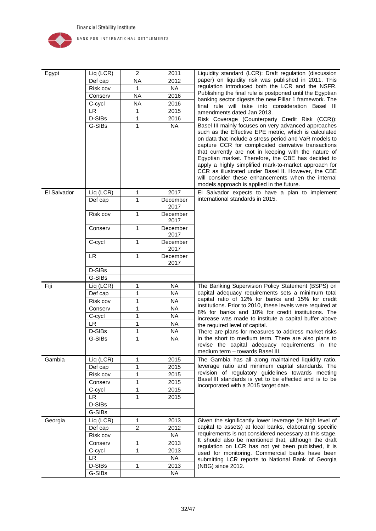

| Egypt       | Liq (LCR) | 2              | 2011             | Liquidity standard (LCR): Draft regulation (discussion                                                      |
|-------------|-----------|----------------|------------------|-------------------------------------------------------------------------------------------------------------|
|             | Def cap   | <b>NA</b>      | 2012             | paper) on liquidity risk was published in 2011. This                                                        |
|             | Risk cov  | 1              | <b>NA</b>        | regulation introduced both the LCR and the NSFR.                                                            |
|             | Conserv   | <b>NA</b>      | 2016             | Publishing the final rule is postponed until the Egyptian                                                   |
|             | C-cycl    | <b>NA</b>      | 2016             | banking sector digests the new Pillar 1 framework. The                                                      |
|             | <b>LR</b> | 1              | 2015             | final rule will take into consideration Basel III                                                           |
|             | D-SIBs    | $\mathbf{1}$   | 2016             | amendments dated Jan 2013.                                                                                  |
|             | G-SIBs    | $\mathbf{1}$   | <b>NA</b>        | Risk Coverage (Counterparty Credit Risk (CCR)):<br>Basel III mainly focuses on very advanced approaches     |
|             |           |                |                  | such as the Effective EPE metric, which is calculated                                                       |
|             |           |                |                  | on data that include a stress period and VaR models to                                                      |
|             |           |                |                  | capture CCR for complicated derivative transactions                                                         |
|             |           |                |                  | that currently are not in keeping with the nature of                                                        |
|             |           |                |                  | Egyptian market. Therefore, the CBE has decided to<br>apply a highly simplified mark-to-market approach for |
|             |           |                |                  | CCR as illustrated under Basel II. However, the CBE                                                         |
|             |           |                |                  | will consider these enhancements when the internal                                                          |
|             |           |                |                  | models approach is applied in the future.                                                                   |
| El Salvador | Liq (LCR) | 1              | 2017             | El Salvador expects to have a plan to implement                                                             |
|             | Def cap   | $\mathbf{1}$   | December         | international standards in 2015.                                                                            |
|             |           |                | 2017             |                                                                                                             |
|             | Risk cov  | 1              | December         |                                                                                                             |
|             |           |                | 2017             |                                                                                                             |
|             | Conserv   | 1              | December<br>2017 |                                                                                                             |
|             | C-cycl    | 1              | December         |                                                                                                             |
|             |           |                | 2017             |                                                                                                             |
|             | <b>LR</b> | $\mathbf{1}$   | December         |                                                                                                             |
|             |           |                | 2017             |                                                                                                             |
|             | D-SIBs    |                |                  |                                                                                                             |
|             | G-SIBs    |                |                  |                                                                                                             |
| Fiji        | Liq (LCR) | 1              | <b>NA</b>        | The Banking Supervision Policy Statement (BSPS) on                                                          |
|             | Def cap   | 1              | <b>NA</b>        | capital adequacy requirements sets a minimum total<br>capital ratio of 12% for banks and 15% for credit     |
|             | Risk cov  | 1              | <b>NA</b>        | institutions. Prior to 2010, these levels were required at                                                  |
|             | Conserv   | 1              | <b>NA</b>        | 8% for banks and 10% for credit institutions. The                                                           |
|             | C-cycl    | 1              | <b>NA</b>        | increase was made to institute a capital buffer above                                                       |
|             | <b>LR</b> | 1              | <b>NA</b>        | the required level of capital.                                                                              |
|             | D-SIBs    | 1              | <b>NA</b>        | There are plans for measures to address market risks                                                        |
|             | G-SIBs    | 1              | <b>NA</b>        | in the short to medium term. There are also plans to                                                        |
|             |           |                |                  | revise the capital adequacy requirements in the<br>medium term - towards Basel III.                         |
| Gambia      | Liq (LCR) | 1              | 2015             | The Gambia has all along maintained liquidity ratio,                                                        |
|             | Def cap   | 1              | 2015             | leverage ratio and minimum capital standards. The                                                           |
|             | Risk cov  | $\mathbf{1}$   | 2015             | revision of regulatory guidelines towards meeting                                                           |
|             | Conserv   | 1              | 2015             | Basel III standards is yet to be effected and is to be                                                      |
|             | C-cycl    | $\mathbf{1}$   | 2015             | incorporated with a 2015 target date.                                                                       |
|             | <b>LR</b> | 1              | 2015             |                                                                                                             |
|             | D-SIBs    |                |                  |                                                                                                             |
|             | G-SIBs    |                |                  |                                                                                                             |
| Georgia     | Liq (LCR) | 1              | 2013             | Given the significantly lower leverage (ie high level of                                                    |
|             | Def cap   | $\overline{2}$ | 2012             | capital to assets) at local banks, elaborating specific                                                     |
|             | Risk cov  |                | <b>NA</b>        | requirements is not considered necessary at this stage.                                                     |
|             | Conserv   | 1              | 2013             | It should also be mentioned that, although the draft                                                        |
|             | C-cycl    | 1              | 2013             | regulation on LCR has not yet been published, it is                                                         |
|             | <b>LR</b> |                | <b>NA</b>        | used for monitoring. Commercial banks have been                                                             |
|             | D-SIBs    | 1              | 2013             | submitting LCR reports to National Bank of Georgia                                                          |
|             | G-SIBs    |                |                  | (NBG) since 2012.                                                                                           |
|             |           |                | NA               |                                                                                                             |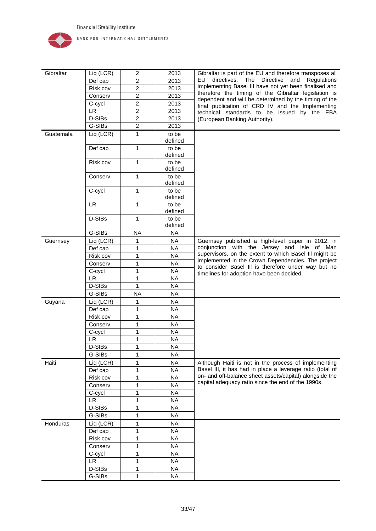

| Gibraltar | Liq (LCR) | $\overline{2}$          | 2013             | Gibraltar is part of the EU and therefore transposes all  |
|-----------|-----------|-------------------------|------------------|-----------------------------------------------------------|
|           |           |                         |                  | directives. The Directive<br>EU.<br>and<br>Regulations    |
|           | Def cap   | $\overline{\mathbf{c}}$ | 2013             | implementing Basel III have not yet been finalised and    |
|           | Risk cov  | $\overline{c}$          | 2013             | therefore the timing of the Gibraltar legislation is      |
|           | Conserv   | $\overline{c}$          | 2013             | dependent and will be determined by the timing of the     |
|           | C-cycl    | $\overline{c}$          | 2013             | final publication of CRD IV and the Implementing          |
|           | LR.       | $\overline{c}$          | 2013             | technical standards to be issued by the EBA               |
|           | D-SIBs    | $\overline{2}$          | 2013             | (European Banking Authority).                             |
|           | G-SIBs    | $\overline{c}$          | 2013             |                                                           |
| Guatemala | Liq (LCR) | 1                       | to be<br>defined |                                                           |
|           | Def cap   | 1                       | to be<br>defined |                                                           |
|           | Risk cov  | $\mathbf{1}$            | to be<br>defined |                                                           |
|           | Conserv   | 1                       | to be            |                                                           |
|           |           |                         | defined          |                                                           |
|           | C-cycl    | 1                       | to be<br>defined |                                                           |
|           | <b>LR</b> | 1                       | to be<br>defined |                                                           |
|           | D-SIBs    | 1                       | to be            |                                                           |
|           |           |                         | defined          |                                                           |
|           | G-SIBs    | <b>NA</b>               | <b>NA</b>        |                                                           |
| Guernsey  | Liq (LCR) | 1                       | <b>NA</b>        | Guernsey published a high-level paper in 2012, in         |
|           | Def cap   | 1                       | <b>NA</b>        | conjunction with the Jersey and Isle of Man               |
|           | Risk cov  | 1                       | <b>NA</b>        | supervisors, on the extent to which Basel III might be    |
|           | Conserv   | 1                       | <b>NA</b>        | implemented in the Crown Dependencies. The project        |
|           |           | 1                       | <b>NA</b>        | to consider Basel III is therefore under way but no       |
|           | C-cycl    |                         |                  | timelines for adoption have been decided.                 |
|           | <b>LR</b> | 1                       | <b>NA</b>        |                                                           |
|           | D-SIBs    | 1                       | <b>NA</b>        |                                                           |
|           | G-SIBs    | <b>NA</b>               | <b>NA</b>        |                                                           |
| Guyana    | Liq (LCR) | 1                       | <b>NA</b>        |                                                           |
|           | Def cap   | 1                       | <b>NA</b>        |                                                           |
|           | Risk cov  | 1                       | <b>NA</b>        |                                                           |
|           | Conserv   | 1                       | <b>NA</b>        |                                                           |
|           | C-cycl    | 1                       | <b>NA</b>        |                                                           |
|           | <b>LR</b> | 1                       | <b>NA</b>        |                                                           |
|           | D-SIBs    | 1                       | <b>NA</b>        |                                                           |
|           | G-SIBs    | 1                       | <b>NA</b>        |                                                           |
| Haiti     | Liq (LCR) | 1                       | <b>NA</b>        | Although Haiti is not in the process of implementing      |
|           | Def cap   | 1                       | <b>NA</b>        | Basel III, it has had in place a leverage ratio (total of |
|           | Risk cov  | 1                       | <b>NA</b>        | on- and off-balance sheet assets/capital) alongside the   |
|           | Conserv   | 1                       | <b>NA</b>        | capital adequacy ratio since the end of the 1990s.        |
|           | C-cycl    | 1                       | <b>NA</b>        |                                                           |
|           | <b>LR</b> | 1                       | <b>NA</b>        |                                                           |
|           | D-SIBs    | 1                       | <b>NA</b>        |                                                           |
|           | G-SIBs    | 1                       | <b>NA</b>        |                                                           |
| Honduras  | Liq (LCR) | 1                       | <b>NA</b>        |                                                           |
|           |           |                         | <b>NA</b>        |                                                           |
|           | Def cap   | 1                       |                  |                                                           |
|           | Risk cov  | 1                       | <b>NA</b>        |                                                           |
|           | Conserv   | 1                       | <b>NA</b>        |                                                           |
|           | C-cycl    | 1                       | <b>NA</b>        |                                                           |
|           | LR.       | 1                       | <b>NA</b>        |                                                           |
|           | D-SIBs    | 1                       | <b>NA</b>        |                                                           |
|           | G-SIBs    | 1                       | <b>NA</b>        |                                                           |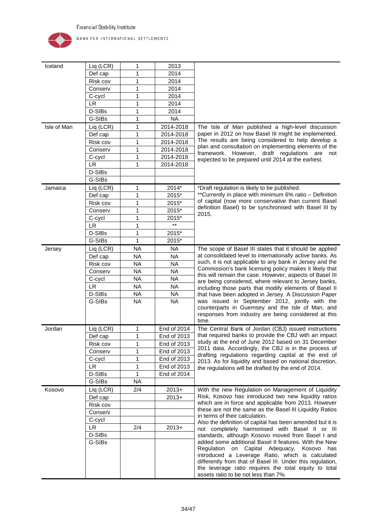

| Iceland     | Liq (LCR)           | 1            | 2013         |                                                                                                                      |
|-------------|---------------------|--------------|--------------|----------------------------------------------------------------------------------------------------------------------|
|             | Def cap             | 1            | 2014         |                                                                                                                      |
|             | Risk cov            | 1            | 2014         |                                                                                                                      |
|             | Conserv             | 1            | 2014         |                                                                                                                      |
|             | C-cycl              | 1            | 2014         |                                                                                                                      |
|             | <b>LR</b>           | 1            | 2014         |                                                                                                                      |
|             | D-SIBs              | 1            | 2014         |                                                                                                                      |
|             | G-SIBs              | 1            | <b>NA</b>    |                                                                                                                      |
| Isle of Man | Liq (LCR)           | 1            | 2014-2018    | The Isle of Man published a high-level discussion                                                                    |
|             | Def cap             | 1            | 2014-2018    | paper in 2012 on how Basel III might be implemented.                                                                 |
|             | Risk cov            | 1            | 2014-2018    | The results are being considered to help develop a                                                                   |
|             | Conserv             | 1            | 2014-2018    | plan and consultation on implementing elements of the                                                                |
|             | C-cycl              | 1            | 2014-2018    | However, draft regulations are<br>framework.<br>not                                                                  |
|             | <b>LR</b>           | 1            | 2014-2018    | expected to be prepared until 2014 at the earliest.                                                                  |
|             | D-SIBs              |              |              |                                                                                                                      |
|             | G-SIBs              |              |              |                                                                                                                      |
| Jamaica     | Liq (LCR)           | 1            | 2014*        | *Draft regulation is likely to be published.                                                                         |
|             | Def cap             | 1            | 2015*        | **Currently in place with minimum 6% ratio - Definition                                                              |
|             | Risk cov            | 1            | 2015*        | of capital (now more conservative than current Basel                                                                 |
|             | Conserv             | 1            | 2015*        | definition Basel) to be synchronised with Basel III by                                                               |
|             | C-cycl              | 1            | 2015*        | 2015.                                                                                                                |
|             | <b>LR</b>           | 1            | $\star\star$ |                                                                                                                      |
|             | D-SIBs              | 1            | 2015*        |                                                                                                                      |
|             | G-SIBs              | $\mathbf{1}$ | 2015*        |                                                                                                                      |
|             |                     | <b>NA</b>    | <b>NA</b>    |                                                                                                                      |
| Jersey      | Liq (LCR)           | <b>NA</b>    | <b>NA</b>    | The scope of Basel III states that it should be applied<br>at consolidated level to internationally active banks. As |
|             | Def cap<br>Risk cov | <b>NA</b>    | <b>NA</b>    | such, it is not applicable to any bank in Jersey and the                                                             |
|             | Conserv             | <b>NA</b>    | <b>NA</b>    | Commission's bank licensing policy makes it likely that                                                              |
|             |                     | <b>NA</b>    | <b>NA</b>    | this will remain the case. However, aspects of Basel III                                                             |
|             | C-cycl<br><b>LR</b> | <b>NA</b>    | <b>NA</b>    | are being considered, where relevant to Jersey banks,                                                                |
|             | D-SIBs              | <b>NA</b>    | <b>NA</b>    | including those parts that modify elements of Basel II                                                               |
|             | G-SIBs              | <b>NA</b>    | <b>NA</b>    | that have been adopted in Jersey. A Discussion Paper<br>was issued in September 2012, jointly with the               |
|             |                     |              |              | counterparts in Guernsey and the Isle of Man, and                                                                    |
|             |                     |              |              | responses from industry are being considered at this                                                                 |
|             |                     |              |              | time.                                                                                                                |
| Jordan      | Liq (LCR)           | 1            | End of 2014  | The Central Bank of Jordan (CBJ) issued instructions                                                                 |
|             | Def cap             | 1            | End of 2013  | that required banks to provide the CBJ with an impact                                                                |
|             | Risk cov            | $\mathbf 1$  | End of 2013  | study at the end of June 2012 based on 31 December                                                                   |
|             | Conserv             | 1            | End of 2013  | 2011 data. Accordingly, the CBJ is in the process of                                                                 |
|             | C-cycl              | 1            | End of 2013  | drafting regulations regarding capital at the end of<br>2013. As for liquidity and based on national discretion,     |
|             | LR                  | 1            | End of 2013  | the regulations will be drafted by the end of 2014.                                                                  |
|             | D-SIBs              | $\mathbf{1}$ | End of 2014  |                                                                                                                      |
|             | G-SIBs              | <b>NA</b>    |              |                                                                                                                      |
| Kosovo      | Liq (LCR)           | 2/4          | $2013+$      | With the new Regulation on Management of Liquidity                                                                   |
|             | Def cap             |              | $2013+$      | Risk, Kosovo has introduced two new liquidity ratios                                                                 |
|             | Risk cov            |              |              | which are in force and applicable from 2013. However                                                                 |
|             | Conserv             |              |              | these are not the same as the Basel III Liquidity Ratios                                                             |
|             | C-cycl              |              |              | in terms of their calculation.<br>Also the definition of capital has been amended but it is                          |
|             | LR                  | 2/4          | $2013+$      | not completely harmonised with Basel II or III                                                                       |
|             | D-SIBs              |              |              | standards, although Kosovo moved from Basel I and                                                                    |
|             | G-SIBs              |              |              | added some additional Basel II features. With the New                                                                |
|             |                     |              |              | Regulation on Capital Adequacy, Kosovo has                                                                           |
|             |                     |              |              | introduced a Leverage Ratio, which is calculated                                                                     |
|             |                     |              |              | differently from that of Basel III. Under this regulation,                                                           |
|             |                     |              |              | the leverage ratio requires the total equity to total                                                                |
|             |                     |              |              | assets ratio to be not less than 7%.                                                                                 |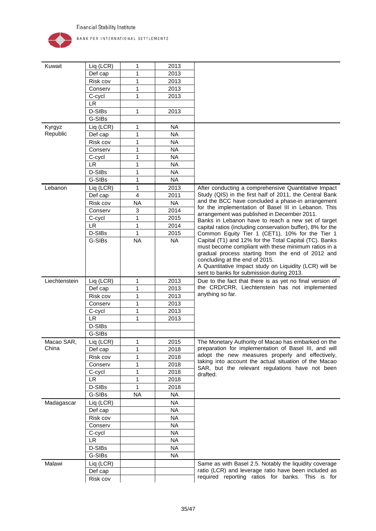

| Kuwait        | Liq (LCR) | 1                       | 2013      |                                                                                                   |
|---------------|-----------|-------------------------|-----------|---------------------------------------------------------------------------------------------------|
|               | Def cap   | 1                       | 2013      |                                                                                                   |
|               | Risk cov  | 1                       | 2013      |                                                                                                   |
|               | Conserv   | 1                       | 2013      |                                                                                                   |
|               | C-cycl    | 1                       | 2013      |                                                                                                   |
|               | <b>LR</b> |                         |           |                                                                                                   |
|               | D-SIBs    | 1                       | 2013      |                                                                                                   |
|               | G-SIBs    |                         |           |                                                                                                   |
| Kyrgyz        | Liq (LCR) | 1                       | <b>NA</b> |                                                                                                   |
| Republic      | Def cap   | 1                       | <b>NA</b> |                                                                                                   |
|               | Risk cov  | 1                       | <b>NA</b> |                                                                                                   |
|               | Conserv   | 1                       | <b>NA</b> |                                                                                                   |
|               | C-cycl    | 1                       | <b>NA</b> |                                                                                                   |
|               | <b>LR</b> | 1                       | <b>NA</b> |                                                                                                   |
|               | D-SIBs    | 1                       | <b>NA</b> |                                                                                                   |
|               | G-SIBs    | 1                       | <b>NA</b> |                                                                                                   |
| Lebanon       | Liq (LCR) | $\mathbf{1}$            | 2013      | After conducting a comprehensive Quantitative Impact                                              |
|               | Def cap   | $\overline{\mathbf{4}}$ | 2011      | Study (QIS) in the first half of 2011, the Central Bank                                           |
|               | Risk cov  | <b>NA</b>               | <b>NA</b> | and the BCC have concluded a phase-in arrangement                                                 |
|               | Conserv   | 3                       | 2014      | for the implementation of Basel III in Lebanon. This                                              |
|               | C-cycl    | 1                       | 2015      | arrangement was published in December 2011.<br>Banks in Lebanon have to reach a new set of target |
|               | <b>LR</b> | 1                       | 2014      | capital ratios (including conservation buffer), 8% for the                                        |
|               | D-SIBs    | 1                       | 2015      | Common Equity Tier 1 (CET1), 10% for the Tier 1                                                   |
|               | G-SIBs    | <b>NA</b>               | <b>NA</b> | Capital (T1) and 12% for the Total Capital (TC). Banks                                            |
|               |           |                         |           | must become compliant with these minimum ratios in a                                              |
|               |           |                         |           | gradual process starting from the end of 2012 and                                                 |
|               |           |                         |           | concluding at the end of 2015.<br>A Quantitative Impact study on Liquidity (LCR) will be          |
|               |           |                         |           | sent to banks for submission during 2013.                                                         |
| Liechtenstein | Liq (LCR) | 1                       | 2013      | Due to the fact that there is as yet no final version of                                          |
|               | Def cap   | 1                       | 2013      | the CRD/CRR, Liechtenstein has not implemented                                                    |
|               | Risk cov  | 1                       | 2013      | anything so far.                                                                                  |
|               | Conserv   | 1                       | 2013      |                                                                                                   |
|               | C-cycl    | 1                       | 2013      |                                                                                                   |
|               | <b>LR</b> | 1                       | 2013      |                                                                                                   |
|               | D-SIBs    |                         |           |                                                                                                   |
|               | G-SIBs    |                         |           |                                                                                                   |
| Macao SAR,    | Liq (LCR) | $\mathbf{1}$            | 2015      | The Monetary Authority of Macao has embarked on the                                               |
| China         | Def cap   | 1                       | 2018      | preparation for implementation of Basel III, and will                                             |
|               | Risk cov  | 1                       | 2018      | adopt the new measures properly and effectively,                                                  |
|               | Conserv   | 1                       | 2018      | taking into account the actual situation of the Macao                                             |
|               | C-cycl    | 1                       | 2018      | SAR, but the relevant regulations have not been                                                   |
|               | <b>LR</b> | 1                       | 2018      | drafted.                                                                                          |
|               | D-SIBs    | 1                       | 2018      |                                                                                                   |
|               | G-SIBs    | <b>NA</b>               | <b>NA</b> |                                                                                                   |
| Madagascar    | Liq (LCR) |                         | <b>NA</b> |                                                                                                   |
|               | Def cap   |                         | <b>NA</b> |                                                                                                   |
|               | Risk cov  |                         | <b>NA</b> |                                                                                                   |
|               | Conserv   |                         | <b>NA</b> |                                                                                                   |
|               | C-cycl    |                         | <b>NA</b> |                                                                                                   |
|               | <b>LR</b> |                         | <b>NA</b> |                                                                                                   |
|               | D-SIBs    |                         | <b>NA</b> |                                                                                                   |
|               | G-SIBs    |                         | <b>NA</b> |                                                                                                   |
| Malawi        | Liq (LCR) |                         |           | Same as with Basel 2.5. Notably the liquidity coverage                                            |
|               | Def cap   |                         |           | ratio (LCR) and leverage ratio have been included as                                              |
|               | Risk cov  |                         |           | required reporting ratios for banks. This is for                                                  |
|               |           |                         |           |                                                                                                   |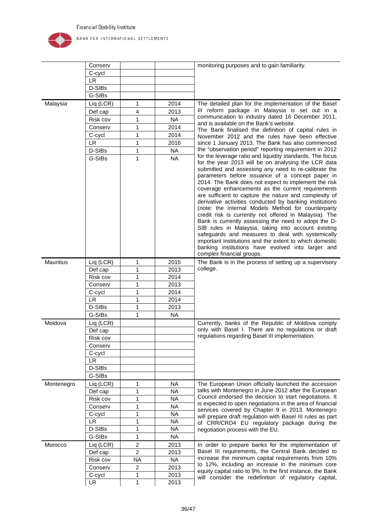

|                  | Conserv             |                |                   | monitoring purposes and to gain familiarity.                                                                                                                                                                                                                                                                                                                                                                                                                                                                                                                                                                                                                                                                                                                                                                                                                                                                                                              |
|------------------|---------------------|----------------|-------------------|-----------------------------------------------------------------------------------------------------------------------------------------------------------------------------------------------------------------------------------------------------------------------------------------------------------------------------------------------------------------------------------------------------------------------------------------------------------------------------------------------------------------------------------------------------------------------------------------------------------------------------------------------------------------------------------------------------------------------------------------------------------------------------------------------------------------------------------------------------------------------------------------------------------------------------------------------------------|
|                  | C-cycl              |                |                   |                                                                                                                                                                                                                                                                                                                                                                                                                                                                                                                                                                                                                                                                                                                                                                                                                                                                                                                                                           |
|                  | <b>LR</b>           |                |                   |                                                                                                                                                                                                                                                                                                                                                                                                                                                                                                                                                                                                                                                                                                                                                                                                                                                                                                                                                           |
|                  | D-SIBs              |                |                   |                                                                                                                                                                                                                                                                                                                                                                                                                                                                                                                                                                                                                                                                                                                                                                                                                                                                                                                                                           |
|                  | G-SIBs              |                |                   |                                                                                                                                                                                                                                                                                                                                                                                                                                                                                                                                                                                                                                                                                                                                                                                                                                                                                                                                                           |
| Malaysia         | Liq (LCR)           | 1              | 2014              | The detailed plan for the implementation of the Basel                                                                                                                                                                                                                                                                                                                                                                                                                                                                                                                                                                                                                                                                                                                                                                                                                                                                                                     |
|                  | Def cap             | 4              | 2013              | III reform package in Malaysia is set out in a                                                                                                                                                                                                                                                                                                                                                                                                                                                                                                                                                                                                                                                                                                                                                                                                                                                                                                            |
|                  | Risk cov            | 1              | <b>NA</b>         | communication to industry dated 16 December 2011,                                                                                                                                                                                                                                                                                                                                                                                                                                                                                                                                                                                                                                                                                                                                                                                                                                                                                                         |
|                  | Conserv             | 1              | 2014              | and is available on the Bank's website.<br>The Bank finalised the definition of capital rules in                                                                                                                                                                                                                                                                                                                                                                                                                                                                                                                                                                                                                                                                                                                                                                                                                                                          |
|                  | C-cycl              | 1              | 2014              | November 2012 and the rules have been effective                                                                                                                                                                                                                                                                                                                                                                                                                                                                                                                                                                                                                                                                                                                                                                                                                                                                                                           |
|                  | <b>LR</b>           | 1              | 2016              | since 1 January 2013. The Bank has also commenced                                                                                                                                                                                                                                                                                                                                                                                                                                                                                                                                                                                                                                                                                                                                                                                                                                                                                                         |
|                  | D-SIBs              | 1              | <b>NA</b>         | the "observation period" reporting requirement in 2012                                                                                                                                                                                                                                                                                                                                                                                                                                                                                                                                                                                                                                                                                                                                                                                                                                                                                                    |
| <b>Mauritius</b> | G-SIBs<br>Liq (LCR) | 1<br>1         | <b>NA</b><br>2015 | for the leverage ratio and liquidity standards. The focus<br>for the year 2013 will be on analysing the LCR data<br>submitted and assessing any need to re-calibrate the<br>parameters before issuance of a concept paper in<br>2014. The Bank does not expect to implement the risk<br>coverage enhancements as the current requirements<br>are sufficient to capture the nature and complexity of<br>derivative activities conducted by banking institutions<br>(note: the Internal Models Method for counterparty<br>credit risk is currently not offered in Malaysia). The<br>Bank is currently assessing the need to adopt the D-<br>SIB rules in Malaysia, taking into account existing<br>safeguards and measures to deal with systemically<br>important institutions and the extent to which domestic<br>banking institutions have evolved into larger and<br>complex financial groups.<br>The Bank is in the process of setting up a supervisory |
|                  | Def cap             | 1              | 2013              | college.                                                                                                                                                                                                                                                                                                                                                                                                                                                                                                                                                                                                                                                                                                                                                                                                                                                                                                                                                  |
|                  | Risk cov            | 1              | 2014              |                                                                                                                                                                                                                                                                                                                                                                                                                                                                                                                                                                                                                                                                                                                                                                                                                                                                                                                                                           |
|                  | Conserv             | 1              | 2013              |                                                                                                                                                                                                                                                                                                                                                                                                                                                                                                                                                                                                                                                                                                                                                                                                                                                                                                                                                           |
|                  | C-cycl              | 1              | 2014              |                                                                                                                                                                                                                                                                                                                                                                                                                                                                                                                                                                                                                                                                                                                                                                                                                                                                                                                                                           |
|                  | LR.                 | 1              | 2014              |                                                                                                                                                                                                                                                                                                                                                                                                                                                                                                                                                                                                                                                                                                                                                                                                                                                                                                                                                           |
|                  | D-SIBs              | 1              | 2013              |                                                                                                                                                                                                                                                                                                                                                                                                                                                                                                                                                                                                                                                                                                                                                                                                                                                                                                                                                           |
|                  | G-SIBs              | 1              | <b>NA</b>         |                                                                                                                                                                                                                                                                                                                                                                                                                                                                                                                                                                                                                                                                                                                                                                                                                                                                                                                                                           |
| Moldova          | Liq (LCR)           |                |                   | Currently, banks of the Republic of Moldova comply                                                                                                                                                                                                                                                                                                                                                                                                                                                                                                                                                                                                                                                                                                                                                                                                                                                                                                        |
|                  | Def cap             |                |                   | only with Basel I. There are no regulations or draft                                                                                                                                                                                                                                                                                                                                                                                                                                                                                                                                                                                                                                                                                                                                                                                                                                                                                                      |
|                  | Risk cov            |                |                   | regulations regarding Basel III implementation.                                                                                                                                                                                                                                                                                                                                                                                                                                                                                                                                                                                                                                                                                                                                                                                                                                                                                                           |
|                  | Conserv             |                |                   |                                                                                                                                                                                                                                                                                                                                                                                                                                                                                                                                                                                                                                                                                                                                                                                                                                                                                                                                                           |
|                  | C-cycl              |                |                   |                                                                                                                                                                                                                                                                                                                                                                                                                                                                                                                                                                                                                                                                                                                                                                                                                                                                                                                                                           |
|                  | <b>LR</b>           |                |                   |                                                                                                                                                                                                                                                                                                                                                                                                                                                                                                                                                                                                                                                                                                                                                                                                                                                                                                                                                           |
|                  | D-SIBs              |                |                   |                                                                                                                                                                                                                                                                                                                                                                                                                                                                                                                                                                                                                                                                                                                                                                                                                                                                                                                                                           |
|                  | G-SIBs              |                |                   |                                                                                                                                                                                                                                                                                                                                                                                                                                                                                                                                                                                                                                                                                                                                                                                                                                                                                                                                                           |
| Montenegro       | Liq (LCR)           | 1              | <b>NA</b>         | The European Union officially launched the accession                                                                                                                                                                                                                                                                                                                                                                                                                                                                                                                                                                                                                                                                                                                                                                                                                                                                                                      |
|                  | Def cap             | 1              | <b>NA</b>         | talks with Montenegro in June 2012 after the European                                                                                                                                                                                                                                                                                                                                                                                                                                                                                                                                                                                                                                                                                                                                                                                                                                                                                                     |
|                  | Risk cov            | 1              | <b>NA</b>         | Council endorsed the decision to start negotiations. It                                                                                                                                                                                                                                                                                                                                                                                                                                                                                                                                                                                                                                                                                                                                                                                                                                                                                                   |
|                  | Conserv             | 1              | <b>NA</b>         | is expected to open negotiations in the area of financial                                                                                                                                                                                                                                                                                                                                                                                                                                                                                                                                                                                                                                                                                                                                                                                                                                                                                                 |
|                  | C-cycl              | 1              | <b>NA</b>         | services covered by Chapter 9 in 2013. Montenegro<br>will prepare draft regulation with Basel III rules as part                                                                                                                                                                                                                                                                                                                                                                                                                                                                                                                                                                                                                                                                                                                                                                                                                                           |
|                  | <b>LR</b>           | 1              | <b>NA</b>         | of CRR/CRD4 EU regulatory package during the                                                                                                                                                                                                                                                                                                                                                                                                                                                                                                                                                                                                                                                                                                                                                                                                                                                                                                              |
|                  | D-SIBs              | 1              | <b>NA</b>         | negotiation process with the EU.                                                                                                                                                                                                                                                                                                                                                                                                                                                                                                                                                                                                                                                                                                                                                                                                                                                                                                                          |
|                  | G-SIBs              | 1              | <b>NA</b>         |                                                                                                                                                                                                                                                                                                                                                                                                                                                                                                                                                                                                                                                                                                                                                                                                                                                                                                                                                           |
| Morocco          | Liq (LCR)           | $\overline{c}$ | 2013              | In order to prepare banks for the implementation of                                                                                                                                                                                                                                                                                                                                                                                                                                                                                                                                                                                                                                                                                                                                                                                                                                                                                                       |
|                  | Def cap             | $\overline{c}$ | 2013              | Basel III requirements, the Central Bank decided to                                                                                                                                                                                                                                                                                                                                                                                                                                                                                                                                                                                                                                                                                                                                                                                                                                                                                                       |
|                  | Risk cov            | <b>NA</b>      | <b>NA</b>         | increase the minimum capital requirements from 10%                                                                                                                                                                                                                                                                                                                                                                                                                                                                                                                                                                                                                                                                                                                                                                                                                                                                                                        |
|                  | Conserv             | $\overline{c}$ | 2013              | to 12%, including an increase in the minimum core                                                                                                                                                                                                                                                                                                                                                                                                                                                                                                                                                                                                                                                                                                                                                                                                                                                                                                         |
|                  | C-cycl              | 1              | 2013              | equity capital ratio to 9%. In the first instance, the Bank                                                                                                                                                                                                                                                                                                                                                                                                                                                                                                                                                                                                                                                                                                                                                                                                                                                                                               |
|                  | <b>LR</b>           | 1              | 2013              | will consider the redefinition of regulatory capital,                                                                                                                                                                                                                                                                                                                                                                                                                                                                                                                                                                                                                                                                                                                                                                                                                                                                                                     |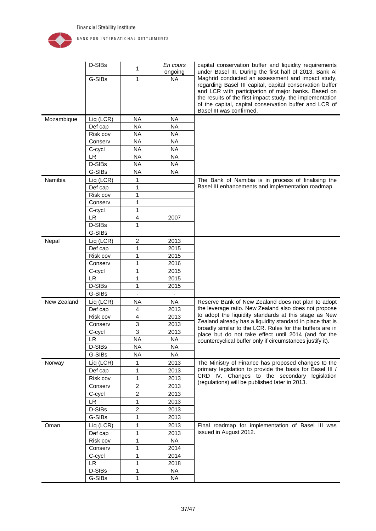

|             | D-SIBs              | 1                       | En cours<br>ongoing | capital conservation buffer and liquidity requirements<br>under Basel III. During the first half of 2013, Bank Al                                                                                                                                                                                                       |
|-------------|---------------------|-------------------------|---------------------|-------------------------------------------------------------------------------------------------------------------------------------------------------------------------------------------------------------------------------------------------------------------------------------------------------------------------|
|             | G-SIBs              | 1                       | <b>NA</b>           | Maghrid conducted an assessment and impact study,<br>regarding Basel III capital, capital conservation buffer<br>and LCR with participation of major banks. Based on<br>the results of the first impact study, the implementation<br>of the capital, capital conservation buffer and LCR of<br>Basel III was confirmed. |
| Mozambique  | Liq (LCR)           | NA.                     | <b>NA</b>           |                                                                                                                                                                                                                                                                                                                         |
|             | Def cap             | <b>NA</b>               | <b>NA</b>           |                                                                                                                                                                                                                                                                                                                         |
|             | Risk cov            | <b>NA</b>               | <b>NA</b>           |                                                                                                                                                                                                                                                                                                                         |
|             | Conserv             | <b>NA</b>               | <b>NA</b>           |                                                                                                                                                                                                                                                                                                                         |
|             | C-cycl              | <b>NA</b>               | <b>NA</b>           |                                                                                                                                                                                                                                                                                                                         |
|             | <b>LR</b>           | <b>NA</b>               | <b>NA</b>           |                                                                                                                                                                                                                                                                                                                         |
|             | D-SIBs              | <b>NA</b>               | <b>NA</b>           |                                                                                                                                                                                                                                                                                                                         |
|             | G-SIBs              | <b>NA</b>               | <b>NA</b>           |                                                                                                                                                                                                                                                                                                                         |
| Namibia     | Liq (LCR)           | 1                       |                     | The Bank of Namibia is in process of finalising the                                                                                                                                                                                                                                                                     |
|             | Def cap             | 1                       |                     | Basel III enhancements and implementation roadmap.                                                                                                                                                                                                                                                                      |
|             | Risk cov            | 1                       |                     |                                                                                                                                                                                                                                                                                                                         |
|             | Conserv             | 1                       |                     |                                                                                                                                                                                                                                                                                                                         |
|             | C-cycl              | 1                       |                     |                                                                                                                                                                                                                                                                                                                         |
|             | <b>LR</b>           | 4                       | 2007                |                                                                                                                                                                                                                                                                                                                         |
|             | D-SIBs              | 1                       |                     |                                                                                                                                                                                                                                                                                                                         |
|             | G-SIBs              |                         |                     |                                                                                                                                                                                                                                                                                                                         |
| Nepal       | Liq (LCR)           | 2                       | 2013                |                                                                                                                                                                                                                                                                                                                         |
|             | Def cap             | 1                       | 2015                |                                                                                                                                                                                                                                                                                                                         |
|             | Risk cov            | 1                       | 2015                |                                                                                                                                                                                                                                                                                                                         |
|             | Conserv             | 1                       | 2016                |                                                                                                                                                                                                                                                                                                                         |
|             | C-cycl              | 1                       | 2015<br>2015        |                                                                                                                                                                                                                                                                                                                         |
|             | <b>LR</b><br>D-SIBs | 1<br>1                  | 2015                |                                                                                                                                                                                                                                                                                                                         |
|             | G-SIBs              | $\blacksquare$          |                     |                                                                                                                                                                                                                                                                                                                         |
| New Zealand | Liq (LCR)           | <b>NA</b>               | <b>NA</b>           | Reserve Bank of New Zealand does not plan to adopt                                                                                                                                                                                                                                                                      |
|             | Def cap             | 4                       | 2013                | the leverage ratio. New Zealand also does not propose                                                                                                                                                                                                                                                                   |
|             | Risk cov            | $\overline{\mathbf{4}}$ | 2013                | to adopt the liquidity standards at this stage as New                                                                                                                                                                                                                                                                   |
|             | Conserv             | 3                       | 2013                | Zealand already has a liquidity standard in place that is                                                                                                                                                                                                                                                               |
|             | C-cycl              | 3                       | 2013                | broadly similar to the LCR. Rules for the buffers are in                                                                                                                                                                                                                                                                |
|             | <b>LR</b>           | <b>NA</b>               | <b>NA</b>           | place but do not take effect until 2014 (and for the<br>countercyclical buffer only if circumstances justify it).                                                                                                                                                                                                       |
|             | D-SIBs              | <b>NA</b>               | <b>NA</b>           |                                                                                                                                                                                                                                                                                                                         |
|             | G-SIBs              | <b>NA</b>               | <b>NA</b>           |                                                                                                                                                                                                                                                                                                                         |
| Norway      | Liq (LCR)           | 1                       | 2013                | The Ministry of Finance has proposed changes to the                                                                                                                                                                                                                                                                     |
|             | Def cap             | 1                       | 2013                | primary legislation to provide the basis for Basel III /                                                                                                                                                                                                                                                                |
|             | Risk cov            | 1                       | 2013                | CRD IV. Changes to the secondary legislation                                                                                                                                                                                                                                                                            |
|             | Conserv             | $\overline{2}$          | 2013                | (regulations) will be published later in 2013.                                                                                                                                                                                                                                                                          |
|             | C-cycl              | 2                       | 2013                |                                                                                                                                                                                                                                                                                                                         |
|             | <b>LR</b>           | 1                       | 2013                |                                                                                                                                                                                                                                                                                                                         |
|             | D-SIBs              | 2                       | 2013                |                                                                                                                                                                                                                                                                                                                         |
|             | G-SIBs              | 1                       | 2013                |                                                                                                                                                                                                                                                                                                                         |
| Oman        | Liq (LCR)           | 1                       | 2013                | Final roadmap for implementation of Basel III was                                                                                                                                                                                                                                                                       |
|             | Def cap             | 1                       | 2013                | issued in August 2012.                                                                                                                                                                                                                                                                                                  |
|             | Risk cov            | 1                       | <b>NA</b>           |                                                                                                                                                                                                                                                                                                                         |
|             | Conserv             | 1                       | 2014                |                                                                                                                                                                                                                                                                                                                         |
|             | C-cycl              | 1                       | 2014                |                                                                                                                                                                                                                                                                                                                         |
|             | <b>LR</b>           | 1                       | 2018                |                                                                                                                                                                                                                                                                                                                         |
|             | D-SIBs              | 1                       | <b>NA</b>           |                                                                                                                                                                                                                                                                                                                         |
|             | G-SIBs              | 1                       | <b>NA</b>           |                                                                                                                                                                                                                                                                                                                         |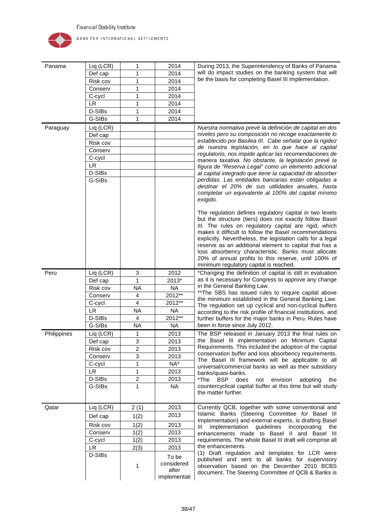

| Panama      | Liq (LCR)           | 1                 | 2014                | During 2013, the Superintendency of Banks of Panama                                                                     |
|-------------|---------------------|-------------------|---------------------|-------------------------------------------------------------------------------------------------------------------------|
|             | Def cap             | 1                 | 2014                | will do impact studies on the banking system that will                                                                  |
|             | Risk cov            | 1                 | 2014                | be the basis for completing Basel III implementation.                                                                   |
|             | Conserv             | 1                 | 2014                |                                                                                                                         |
|             | C-cycl              | 1                 | 2014                |                                                                                                                         |
|             | <b>LR</b>           | 1                 | 2014                |                                                                                                                         |
|             | D-SIBs              | 1                 | 2014                |                                                                                                                         |
|             | G-SIBs              | $\mathbf{1}$      | 2014                |                                                                                                                         |
| Paraguay    | Liq (LCR)           |                   |                     | Nuestra normativa prevé la definición de capital en dos                                                                 |
|             | Def cap             |                   |                     | niveles pero su composición no recoge exactamente lo                                                                    |
|             | Risk cov            |                   |                     | establecido por Basilea III. Cabe señalar que la rigidez                                                                |
|             | Conserv             |                   |                     | de nuestra legislación, en lo que hace al capital                                                                       |
|             | C-cycl              |                   |                     | regulatorio, nos impide aplicar las recomendaciones de                                                                  |
|             | LR.                 |                   |                     | manera taxativa. No obstante, la legislación prevé la<br>figura de "Reserva Legal" como un elemento adicional           |
|             | D-SIBs              |                   |                     | al capital integrado que tiene la capacidad de absorber                                                                 |
|             | G-SIBs              |                   |                     | perdidas. Las entidades bancarias están obligadas a                                                                     |
|             |                     |                   |                     | destinar el 20% de sus utilidades anuales, hasta                                                                        |
|             |                     |                   |                     | completar un equivalente al 100% del capital mínimo                                                                     |
|             |                     |                   |                     | exigido.                                                                                                                |
|             |                     |                   |                     |                                                                                                                         |
|             |                     |                   |                     | The regulation defines regulatory capital in two levels<br>but the structure (tiers) does not exactly follow Basel      |
|             |                     |                   |                     | III. The rules on regulatory capital are rigid, which                                                                   |
|             |                     |                   |                     | makes it difficult to follow the Basel recommendations                                                                  |
|             |                     |                   |                     | explicitly. Nevertheless, the legislation calls for a legal                                                             |
|             |                     |                   |                     | reserve as an additional element to capital that has a                                                                  |
|             |                     |                   |                     | loss absorbency characteristic. Banks must allocate                                                                     |
|             |                     |                   |                     | 20% of annual profits to this reserve, until 100% of                                                                    |
| Peru        | Liq (LCR)           |                   | 2012                | minimum regulatory capital is reached.                                                                                  |
|             |                     | 3<br>$\mathbf{1}$ | 2013*               | *Changing the definition of capital is still in evaluation<br>as it is necessary for Congress to approve any change     |
|             | Def cap<br>Risk cov | <b>NA</b>         | <b>NA</b>           | in the General Banking Law.                                                                                             |
|             | Conserv             | 4                 | 2012**              | ** The SBS has issued rules to require capital above                                                                    |
|             | C-cycl              | 4                 | 2012**              | the minimum established in the General Banking Law.                                                                     |
|             | <b>LR</b>           | <b>NA</b>         | <b>NA</b>           | The regulation set up cyclical and non-cyclical buffers                                                                 |
|             | D-SIBs              | 4                 | 2012**              | according to the risk profile of financial institutions, and<br>further buffers for the major banks in Peru. Rules have |
|             | G-SIBs              | <b>NA</b>         | <b>NA</b>           | been in force since July 2012.                                                                                          |
| Philippines |                     |                   | 2013                |                                                                                                                         |
|             | Liq (LCR)           | 1<br>3            | 2013                | The BSP released in January 2013 the final rules on<br>the Basel III implementation on Minimum Capital                  |
|             | Def cap<br>Risk cov |                   | 2013                | Requirements. This included the adoption of the capital                                                                 |
|             | Conserv             | 2<br>3            | 2013                | conservation buffer and loss absorbency requirements.                                                                   |
|             | C-cycl              | 1                 | NA*                 | The Basel III framework will be applicable to all                                                                       |
|             | LR                  | 1                 | 2013                | universal/commercial banks as well as their subsidiary                                                                  |
|             | D-SIBs              | $\overline{c}$    | 2013                | banks/quasi-banks.<br>*The<br>does<br>envision<br>BSP<br>not                                                            |
|             | G-SIBs              | $\mathbf{1}$      | <b>NA</b>           | adopting<br>the<br>countercyclical capital buffer at this time but will study                                           |
|             |                     |                   |                     | the matter further.                                                                                                     |
|             |                     |                   |                     |                                                                                                                         |
| Qatar       | Liq (LCR)           | 2(1)              | 2013                | Currently QCB, together with some conventional and                                                                      |
|             | Def cap             | 1(2)              | 2013                | Islamic Banks (Steering Committee for Basel III                                                                         |
|             | Risk cov            | 1(2)              | 2013                | Implementation) and external experts, is drafting Basel                                                                 |
|             | Conserv             | 1(2)              | 2013                | implementation guidelines incorporating the<br>Ш                                                                        |
|             |                     | 1(2)              | 2013                | enhancements made to Basel II and Basel III<br>requirements. The whole Basel III draft will comprise all                |
|             | C-cycl<br>LR.       |                   | 2013                | the enhancements.                                                                                                       |
|             | D-SIBs              | 2(3)              |                     | (1) Draft regulation and templates for LCR were                                                                         |
|             |                     |                   | To be               | published and sent to all banks for supervisory                                                                         |
|             |                     | 1                 | considered<br>after | observation based on the December 2010 BCBS                                                                             |
|             |                     |                   | implementati        | document. The Steering Committee of QCB & Banks is                                                                      |
|             |                     |                   |                     |                                                                                                                         |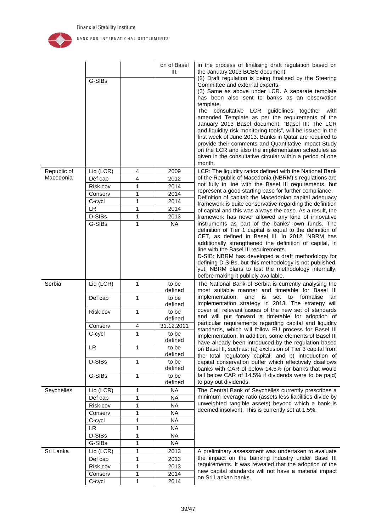

|                          |                     |                   | on of Basel<br>III. | in the process of finalising draft regulation based on                                                                |
|--------------------------|---------------------|-------------------|---------------------|-----------------------------------------------------------------------------------------------------------------------|
|                          |                     |                   |                     | the January 2013 BCBS document.<br>(2) Draft regulation is being finalised by the Steering                            |
|                          | G-SIBs              |                   |                     | Committee and external experts.                                                                                       |
|                          |                     |                   |                     | (3) Same as above under LCR. A separate template                                                                      |
|                          |                     |                   |                     | has been also sent to banks as an observation                                                                         |
|                          |                     |                   |                     | template.<br>The consultative LCR guidelines together with                                                            |
|                          |                     |                   |                     | amended Template as per the requirements of the                                                                       |
|                          |                     |                   |                     | January 2013 Basel document, "Basel III: The LCR                                                                      |
|                          |                     |                   |                     | and liquidity risk monitoring tools", will be issued in the                                                           |
|                          |                     |                   |                     | first week of June 2013. Banks in Qatar are required to<br>provide their comments and Quantitative Impact Study       |
|                          |                     |                   |                     | on the LCR and also the implementation schedules as                                                                   |
|                          |                     |                   |                     | given in the consultative circular within a period of one                                                             |
|                          |                     |                   |                     | month.                                                                                                                |
| Republic of<br>Macedonia | Liq (LCR)           | 4                 | 2009                | LCR: The liquidity ratios defined with the National Bank                                                              |
|                          | Def cap             | 4                 | 2012                | of the Republic of Macedonia (NBRM)'s regulations are<br>not fully in line with the Basel III requirements, but       |
|                          | Risk cov<br>Conserv | 1<br>1            | 2014<br>2014        | represent a good starting base for further compliance.                                                                |
|                          | C-cycl              | 1                 | 2014                | Definition of capital: the Macedonian capital adequacy                                                                |
|                          | <b>LR</b>           | 1                 | 2014                | framework is quite conservative regarding the definition<br>of capital and this was always the case. As a result, the |
|                          | D-SIBs              | 1                 | 2013                | framework has never allowed any kind of innovative                                                                    |
|                          | G-SIBs              | 1                 | <b>NA</b>           | instruments as part of the banks' own funds. The                                                                      |
|                          |                     |                   |                     | definition of Tier 1 capital is equal to the definition of                                                            |
|                          |                     |                   |                     | CET, as defined in Basel III. In 2012, NBRM has<br>additionally strengthened the definition of capital, in            |
|                          |                     |                   |                     | line with the Basel III requirements.                                                                                 |
|                          |                     |                   |                     | D-SIB: NBRM has developed a draft methodology for                                                                     |
|                          |                     |                   |                     | defining D-SIBs, but this methodology is not published,                                                               |
|                          |                     |                   |                     | yet. NBRM plans to test the methodology internally,<br>before making it publicly available.                           |
|                          |                     |                   |                     |                                                                                                                       |
| Serbia                   |                     | $\mathbf{1}$      | to be               |                                                                                                                       |
|                          | Liq (LCR)           |                   | defined             | The National Bank of Serbia is currently analysing the<br>most suitable manner and timetable for Basel III            |
|                          | Def cap             | 1                 | to be               | implementation,<br>and<br>formalise<br>is<br>set<br>to<br>an                                                          |
|                          |                     |                   | defined             | implementation strategy in 2013. The strategy will                                                                    |
|                          | Risk cov            | 1                 | to be               | cover all relevant issues of the new set of standards<br>and will put forward a timetable for adoption of             |
|                          |                     |                   | defined             | particular requirements regarding capital and liquidity                                                               |
|                          | Conserv<br>C-cycl   | 4<br>$\mathbf{1}$ | 31.12.2011<br>to be | standards, which will follow EU process for Basel III                                                                 |
|                          |                     |                   | defined             | implementation. In addition, some elements of Basel III                                                               |
|                          | <b>LR</b>           | 1                 | to be               | have already been introduced by the regulation based<br>on Basel II, such as: (a) exclusion of Tier 3 capital from    |
|                          |                     |                   | defined             | the total regulatory capital; and b) introduction of                                                                  |
|                          | D-SIBs              | 1                 | to be               | capital conservation buffer which effectively disallows                                                               |
|                          |                     | 1                 | defined             | banks with CAR of below 14.5% (or banks that would                                                                    |
|                          | G-SIBs              |                   | to be<br>defined    | fall below CAR of 14.5% if dividends were to be paid)<br>to pay out dividends.                                        |
| Seychelles               | Liq (LCR)           | 1                 | <b>NA</b>           | The Central Bank of Seychelles currently prescribes a                                                                 |
|                          | Def cap             | 1                 | <b>NA</b>           | minimum leverage ratio (assets less liabilities divide by                                                             |
|                          | Risk cov            | 1                 | <b>NA</b>           | unweighted tangible assets) beyond which a bank is                                                                    |
|                          | Conserv             | 1                 | <b>NA</b>           | deemed insolvent. This is currently set at 1.5%.                                                                      |
|                          | C-cycl              | 1                 | <b>NA</b>           |                                                                                                                       |
|                          | <b>LR</b>           | 1                 | NA                  |                                                                                                                       |
|                          | D-SIBs              | 1                 | <b>NA</b>           |                                                                                                                       |
|                          | G-SIBs              | 1                 | <b>NA</b>           |                                                                                                                       |
| Sri Lanka                | Liq (LCR)           | 1                 | 2013                | A preliminary assessment was undertaken to evaluate<br>the impact on the banking industry under Basel III             |
|                          | Def cap<br>Risk cov | 1<br>1            | 2013<br>2013        | requirements. It was revealed that the adoption of the                                                                |
|                          | Conserv             | 1                 | 2014                | new capital standards will not have a material impact<br>on Sri Lankan banks.                                         |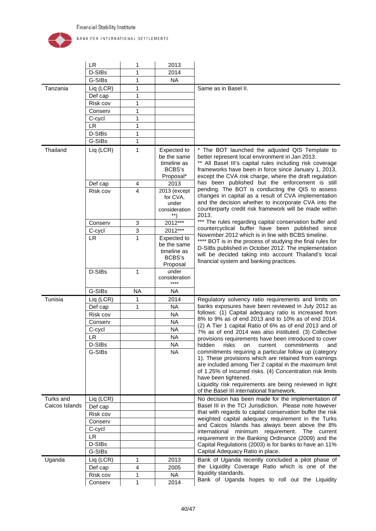

|                | <b>LR</b> | 1              | 2013                                                             |                                                                                                                                                                                                                                                                                                                                                                        |
|----------------|-----------|----------------|------------------------------------------------------------------|------------------------------------------------------------------------------------------------------------------------------------------------------------------------------------------------------------------------------------------------------------------------------------------------------------------------------------------------------------------------|
|                | D-SIBs    | 1              | 2014                                                             |                                                                                                                                                                                                                                                                                                                                                                        |
|                | G-SIBs    | 1              | <b>NA</b>                                                        |                                                                                                                                                                                                                                                                                                                                                                        |
| Tanzania       | Liq (LCR) | 1              |                                                                  | Same as in Basel II.                                                                                                                                                                                                                                                                                                                                                   |
|                | Def cap   | 1              |                                                                  |                                                                                                                                                                                                                                                                                                                                                                        |
|                | Risk cov  | 1              |                                                                  |                                                                                                                                                                                                                                                                                                                                                                        |
|                | Conserv   | 1              |                                                                  |                                                                                                                                                                                                                                                                                                                                                                        |
|                | C-cycl    | 1              |                                                                  |                                                                                                                                                                                                                                                                                                                                                                        |
|                | <b>LR</b> | 1              |                                                                  |                                                                                                                                                                                                                                                                                                                                                                        |
|                | D-SIBs    | 1              |                                                                  |                                                                                                                                                                                                                                                                                                                                                                        |
|                | G-SIBs    | $\mathbf{1}$   |                                                                  |                                                                                                                                                                                                                                                                                                                                                                        |
| Thailand       | Liq (LCR) | 1              | Expected to<br>be the same<br>timeline as<br>BCBS's<br>Proposal* | * The BOT launched the adjusted QIS Template to<br>better represent local environment in Jan 2013.<br>** All Basel III's capital rules including risk coverage<br>frameworks have been in force since January 1, 2013,<br>except the CVA risk charge, where the draft regulation                                                                                       |
|                | Def cap   | 4              | 2013                                                             | has been published but the enforcement is still                                                                                                                                                                                                                                                                                                                        |
|                | Risk cov  | $\overline{4}$ | 2013 (except<br>for CVA.<br>under<br>consideration<br>**)        | pending. The BOT is conducting the QIS to assess<br>changes in capital as a result of CVA implementation<br>and the decision whether to incorporate CVA into the<br>counterparty credit risk framework will be made within<br>2013.                                                                                                                                    |
|                | Conserv   | 3              | 2012***                                                          | The rules regarding capital conservation buffer and                                                                                                                                                                                                                                                                                                                    |
|                | C-cycl    | 3              | 2012***                                                          | countercyclical buffer have been published since<br>November 2012 which is in line with BCBS timeline.                                                                                                                                                                                                                                                                 |
|                | LR.       | 1              | Expected to<br>be the same<br>timeline as<br>BCBS's<br>Proposal  | **** BOT is in the process of studying the final rules for<br>D-SIBs published in October 2012. The implementation<br>will be decided taking into account Thailand's local<br>financial system and banking practices.                                                                                                                                                  |
|                | D-SIBs    | 1              | under<br>consideration<br>****                                   |                                                                                                                                                                                                                                                                                                                                                                        |
|                | G-SIBs    | <b>NA</b>      | <b>NA</b>                                                        |                                                                                                                                                                                                                                                                                                                                                                        |
| Tunisia        | Liq (LCR) | 1              | 2014                                                             | Regulatory solvency ratio requirements and limits on                                                                                                                                                                                                                                                                                                                   |
|                | Def cap   | 1              | <b>NA</b>                                                        | banks exposures have been reviewed in July 2012 as                                                                                                                                                                                                                                                                                                                     |
|                | Risk cov  |                | <b>NA</b>                                                        | follows: (1) Capital adequacy ratio is increased from                                                                                                                                                                                                                                                                                                                  |
|                | Conserv   |                | <b>NA</b>                                                        | 8% to 9% as of end 2013 and to 10% as of end 2014.                                                                                                                                                                                                                                                                                                                     |
|                | C-cycl    |                | <b>NA</b>                                                        | (2) A Tier 1 capital Ratio of 6% as of end 2013 and of<br>7% as of end 2014 was also instituted. (3) Collective                                                                                                                                                                                                                                                        |
|                | LR.       |                | <b>NA</b>                                                        | provisions requirements have been introduced to cover                                                                                                                                                                                                                                                                                                                  |
|                | D-SIBs    |                | <b>NA</b>                                                        | hidden risks on current commitments<br>and                                                                                                                                                                                                                                                                                                                             |
|                | G-SIBs    |                | <b>NA</b>                                                        | commitments requiring a particular follow up (category<br>1). These provisions which are retained from earnings<br>are included among Tier 2 capital in the maximum limit<br>of 1.25% of incurred risks. (4) Concentration risk limits<br>have been tightened.<br>Liquidity risk requirements are being reviewed in light<br>of the Basel III international framework. |
| Turks and      | Liq (LCR) |                |                                                                  | No decision has been made for the implementation of                                                                                                                                                                                                                                                                                                                    |
| Caicos Islands | Def cap   |                |                                                                  | Basel III in the TCI Jurisdiction. Please note however                                                                                                                                                                                                                                                                                                                 |
|                | Risk cov  |                |                                                                  | that with regards to capital conservation buffer the risk                                                                                                                                                                                                                                                                                                              |
|                | Conserv   |                |                                                                  | weighted capital adequacy requirement in the Turks<br>and Caicos Islands has always been above the 8%                                                                                                                                                                                                                                                                  |
|                | C-cycl    |                |                                                                  | international minimum requirement. The current                                                                                                                                                                                                                                                                                                                         |
|                | LR.       |                |                                                                  | requirement in the Banking Ordinance (2009) and the                                                                                                                                                                                                                                                                                                                    |
|                | D-SIBs    |                |                                                                  | Capital Regulations (2003) is for banks to have an 11%                                                                                                                                                                                                                                                                                                                 |
|                | G-SIBs    |                |                                                                  | Capital Adequacy Ratio in place.                                                                                                                                                                                                                                                                                                                                       |
| Uganda         | Liq (LCR) | 1              | 2013                                                             | Bank of Uganda recently concluded a pilot phase of                                                                                                                                                                                                                                                                                                                     |
|                | Def cap   | 4              | 2005                                                             | the Liquidity Coverage Ratio which is one of the                                                                                                                                                                                                                                                                                                                       |
|                | Risk cov  | 1              | <b>NA</b>                                                        | liquidity standards.                                                                                                                                                                                                                                                                                                                                                   |
|                |           |                |                                                                  | Bank of Uganda hopes to roll out the Liquidity                                                                                                                                                                                                                                                                                                                         |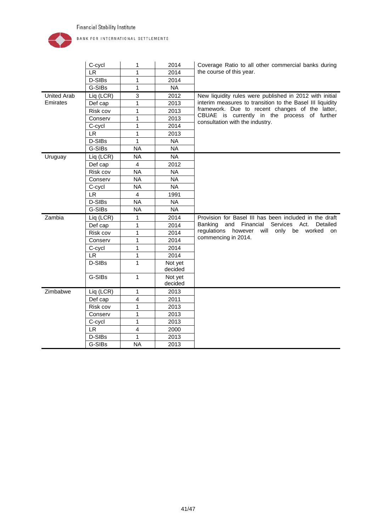

|                    | C-cycl    | 1                       | 2014      | Coverage Ratio to all other commercial banks during       |  |  |  |
|--------------------|-----------|-------------------------|-----------|-----------------------------------------------------------|--|--|--|
|                    | LR.       | 1                       | 2014      | the course of this year.                                  |  |  |  |
|                    | D-SIBs    | 1                       | 2014      |                                                           |  |  |  |
|                    | G-SIBs    | $\mathbf{1}$            | <b>NA</b> |                                                           |  |  |  |
| <b>United Arab</b> | Liq (LCR) | 3                       | 2012      | New liquidity rules were published in 2012 with initial   |  |  |  |
| Emirates           | Def cap   | 1                       | 2013      | interim measures to transition to the Basel III liquidity |  |  |  |
|                    | Risk cov  | $\mathbf{1}$            | 2013      | framework. Due to recent changes of the latter,           |  |  |  |
|                    | Conserv   | 1                       | 2013      | CBUAE is currently in the process of further              |  |  |  |
|                    | C-cycl    | 1                       | 2014      | consultation with the industry.                           |  |  |  |
|                    | <b>LR</b> | $\mathbf{1}$            | 2013      |                                                           |  |  |  |
|                    | D-SIBs    | $\mathbf{1}$            | <b>NA</b> |                                                           |  |  |  |
|                    | G-SIBs    | <b>NA</b>               | <b>NA</b> |                                                           |  |  |  |
| Uruguay            | Liq (LCR) | <b>NA</b>               | <b>NA</b> |                                                           |  |  |  |
|                    | Def cap   | $\overline{4}$          | 2012      |                                                           |  |  |  |
|                    | Risk cov  | <b>NA</b>               | <b>NA</b> |                                                           |  |  |  |
|                    | Conserv   | <b>NA</b>               | <b>NA</b> |                                                           |  |  |  |
|                    | C-cycl    | <b>NA</b>               | <b>NA</b> |                                                           |  |  |  |
|                    | <b>LR</b> | $\overline{4}$          | 1991      |                                                           |  |  |  |
|                    | D-SIBs    | <b>NA</b>               | <b>NA</b> |                                                           |  |  |  |
|                    | G-SIBs    | <b>NA</b>               | <b>NA</b> |                                                           |  |  |  |
| Zambia             | Liq (LCR) | 1                       | 2014      | Provision for Basel III has been included in the draft    |  |  |  |
|                    | Def cap   | $\mathbf{1}$            | 2014      | Banking and Financial<br>Services Act.<br>Detailed        |  |  |  |
|                    | Risk cov  | 1                       | 2014      | regulations<br>however will only<br>be worked<br>on       |  |  |  |
|                    | Conserv   | $\mathbf{1}$            | 2014      | commencing in 2014.                                       |  |  |  |
|                    | C-cycl    | 1                       | 2014      |                                                           |  |  |  |
|                    | <b>LR</b> | 1                       | 2014      |                                                           |  |  |  |
|                    | D-SIBs    | $\mathbf{1}$            | Not yet   |                                                           |  |  |  |
|                    |           |                         | decided   |                                                           |  |  |  |
|                    | G-SIBs    | $\mathbf{1}$            | Not yet   |                                                           |  |  |  |
|                    |           |                         | decided   |                                                           |  |  |  |
| Zimbabwe           | Liq (LCR) | $\mathbf{1}$            | 2013      |                                                           |  |  |  |
|                    | Def cap   | $\overline{\mathbf{4}}$ | 2011      |                                                           |  |  |  |
|                    | Risk cov  | 1                       | 2013      |                                                           |  |  |  |
|                    | Conserv   | 1                       | 2013      |                                                           |  |  |  |
|                    | C-cycl    | 1                       | 2013      |                                                           |  |  |  |
|                    | LR.       | $\overline{4}$          | 2000      |                                                           |  |  |  |
|                    | D-SIBs    | $\mathbf{1}$            | 2013      |                                                           |  |  |  |
|                    | G-SIBs    | <b>NA</b>               | 2013      |                                                           |  |  |  |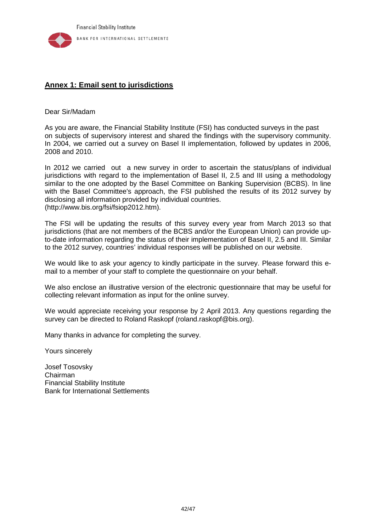

# <span id="page-42-0"></span>**Annex 1: Email sent to jurisdictions**

Dear Sir/Madam

As you are aware, the Financial Stability Institute (FSI) has conducted surveys in the past on subjects of supervisory interest and shared the findings with the supervisory community. In 2004, we carried out a survey on Basel II implementation, followed by updates in 2006, 2008 and 2010.

In 2012 we carried out a new survey in order to ascertain the status/plans of individual jurisdictions with regard to the implementation of Basel II, 2.5 and III using a methodology similar to the one adopted by the Basel Committee on Banking Supervision (BCBS). In line with the Basel Committee's approach, the FSI published the results of its 2012 survey by disclosing all information provided by individual countries. [\(http://www.bis.org/fsi/fsiop2012.htm\)](http://www.bis.org/fsi/fsiop2012.htm).

The FSI will be updating the results of this survey every year from March 2013 so that jurisdictions (that are not members of the BCBS and/or the European Union) can provide upto-date information regarding the status of their implementation of Basel II, 2.5 and III. Similar to the 2012 survey, countries' individual responses will be published on our website.

We would like to ask your agency to kindly participate in the survey. Please forward this email to a member of your staff to complete the questionnaire on your behalf.

We also enclose an illustrative version of the electronic questionnaire that may be useful for collecting relevant information as input for the online survey.

We would appreciate receiving your response by 2 April 2013. Any questions regarding the survey can be directed to Roland Raskopf (roland.raskopf@bis.org).

Many thanks in advance for completing the survey.

Yours sincerely

Josef Tosovsky Chairman Financial Stability Institute Bank for International Settlements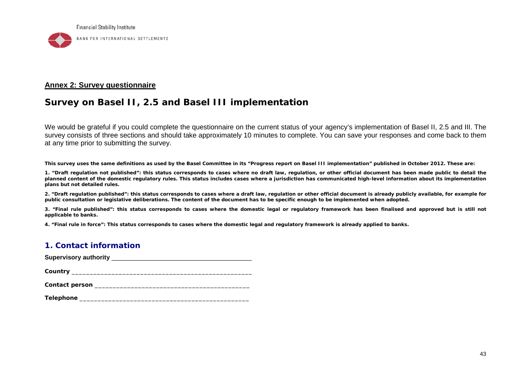

#### **Annex 2: Survey questionnaire**

# **Survey on Basel II, 2.5 and Basel III implementation**

We would be grateful if you could complete the questionnaire on the current status of your agency's implementation of Basel II, 2.5 and III. The survey consists of three sections and should take approximately 10 minutes to complete. You can save your responses and come back to them at any time prior to submitting the survey.

**This survey uses the same definitions as used by the Basel Committee in its "Progress report on Basel III implementation" published in October 2012. These are:** 

**1. "Draft regulation not published": this status corresponds to cases where no draft law, regulation, or other official document has been made public to detail the planned content of the domestic regulatory rules. This status includes cases where a jurisdiction has communicated high-level information about its implementation plans but not detailed rules.** 

**2. "Draft regulation published": this status corresponds to cases where a draft law, regulation or other official document is already publicly available, for example for public consultation or legislative deliberations. The content of the document has to be specific enough to be implemented when adopted.** 

**3. "Final rule published": this status corresponds to cases where the domestic legal or regulatory framework has been finalised and approved but is still not applicable to banks.** 

<span id="page-43-0"></span>**4. "Final rule in force": This status corresponds to cases where the domestic legal and regulatory framework is already applied to banks.** 

### **1. Contact information**

**Supervisory authority** \_\_\_\_\_\_\_\_\_\_\_\_\_\_\_\_\_\_\_\_\_\_\_\_\_\_\_\_\_\_\_\_\_\_\_\_\_\_\_\_

**Country** \_\_\_\_\_\_\_\_\_\_\_\_\_\_\_\_\_\_\_\_\_\_\_\_\_\_\_\_\_\_\_\_\_\_\_\_\_\_\_\_\_\_\_\_\_\_\_\_\_\_

| Contact person |  |
|----------------|--|
|----------------|--|

| <b>Telephone</b> |  |
|------------------|--|
|                  |  |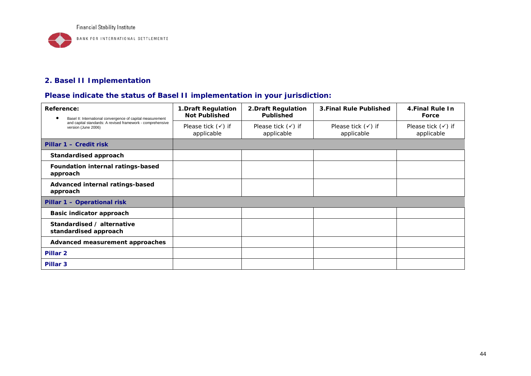

# **2. Basel II Implementation**

# **Please indicate the status of Basel II implementation in your jurisdiction:**

| Reference:<br>Basel II: International convergence of capital measurement          | <b>1.Draft Regulation</b><br><b>Not Published</b> | 2. Draft Regulation<br>Published            | <b>3.Final Rule Published</b>               | 4. Final Rule In<br>Force                   |
|-----------------------------------------------------------------------------------|---------------------------------------------------|---------------------------------------------|---------------------------------------------|---------------------------------------------|
| and capital standards: A revised framework - comprehensive<br>version (June 2006) | Please tick $(\checkmark)$ if<br>applicable       | Please tick $(\checkmark)$ if<br>applicable | Please tick $(\checkmark)$ if<br>applicable | Please tick $(\checkmark)$ if<br>applicable |
| Pillar 1 – Credit risk                                                            |                                                   |                                             |                                             |                                             |
| <b>Standardised approach</b>                                                      |                                                   |                                             |                                             |                                             |
| Foundation internal ratings-based<br>approach                                     |                                                   |                                             |                                             |                                             |
| Advanced internal ratings-based<br>approach                                       |                                                   |                                             |                                             |                                             |
| Pillar 1 - Operational risk                                                       |                                                   |                                             |                                             |                                             |
| <b>Basic indicator approach</b>                                                   |                                                   |                                             |                                             |                                             |
| Standardised / alternative<br>standardised approach                               |                                                   |                                             |                                             |                                             |
| Advanced measurement approaches                                                   |                                                   |                                             |                                             |                                             |
| Pillar <sub>2</sub>                                                               |                                                   |                                             |                                             |                                             |
| Pillar <sub>3</sub>                                                               |                                                   |                                             |                                             |                                             |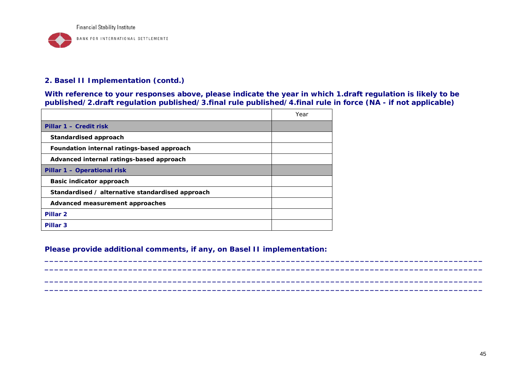

### **2. Basel II Implementation (contd.)**

**With reference to your responses above, please indicate the year in which 1.draft regulation is likely to be published/2.draft regulation published/3.final rule published/4.final rule in force (NA - if not applicable)**

**\_\_\_\_\_\_\_\_\_\_\_\_\_\_\_\_\_\_\_\_\_\_\_\_\_\_\_\_\_\_\_\_\_\_\_\_\_\_\_\_\_\_\_\_\_\_\_\_\_\_\_\_\_\_\_\_\_\_\_\_\_\_\_\_\_\_\_\_\_\_\_\_\_\_\_\_\_\_\_\_\_\_\_\_\_\_\_\_\_ \_\_\_\_\_\_\_\_\_\_\_\_\_\_\_\_\_\_\_\_\_\_\_\_\_\_\_\_\_\_\_\_\_\_\_\_\_\_\_\_\_\_\_\_\_\_\_\_\_\_\_\_\_\_\_\_\_\_\_\_\_\_\_\_\_\_\_\_\_\_\_\_\_\_\_\_\_\_\_\_\_\_\_\_\_\_\_\_\_ \_\_\_\_\_\_\_\_\_\_\_\_\_\_\_\_\_\_\_\_\_\_\_\_\_\_\_\_\_\_\_\_\_\_\_\_\_\_\_\_\_\_\_\_\_\_\_\_\_\_\_\_\_\_\_\_\_\_\_\_\_\_\_\_\_\_\_\_\_\_\_\_\_\_\_\_\_\_\_\_\_\_\_\_\_\_\_\_\_ \_\_\_\_\_\_\_\_\_\_\_\_\_\_\_\_\_\_\_\_\_\_\_\_\_\_\_\_\_\_\_\_\_\_\_\_\_\_\_\_\_\_\_\_\_\_\_\_\_\_\_\_\_\_\_\_\_\_\_\_\_\_\_\_\_\_\_\_\_\_\_\_\_\_\_\_\_\_\_\_\_\_\_\_\_\_\_\_\_**

|                                                  | Year |
|--------------------------------------------------|------|
| Pillar 1 - Credit risk                           |      |
| Standardised approach                            |      |
| Foundation internal ratings-based approach       |      |
| Advanced internal ratings-based approach         |      |
| Pillar 1 - Operational risk                      |      |
| Basic indicator approach                         |      |
| Standardised / alternative standardised approach |      |
| Advanced measurement approaches                  |      |
| Pillar <sub>2</sub>                              |      |
| Pillar <sub>3</sub>                              |      |

**Please provide additional comments, if any, on Basel II implementation:**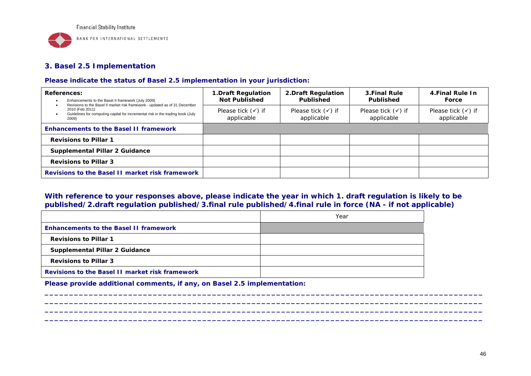

BANK FOR INTERNATIONAL SETTLEMENTS

# **3. Basel 2.5 Implementation**

#### **Please indicate the status of Basel 2.5 implementation in your jurisdiction:**

| <b>References:</b><br>Enhancements to the Basel II framework (July 2009)<br>Revisions to the Basel II market risk framework - updated as of 31 December | <b>1.Draft Regulation</b><br><b>Not Published</b> | 2. Draft Regulation<br>Published            | 3. Final Rule<br><b>Published</b>           | 4. Final Rule In<br>Force                   |
|---------------------------------------------------------------------------------------------------------------------------------------------------------|---------------------------------------------------|---------------------------------------------|---------------------------------------------|---------------------------------------------|
| 2010 (Feb 2011)<br>Guidelines for computing capital for incremental risk in the trading book (July<br>2009)                                             | Please tick $(\checkmark)$ if<br>applicable       | Please tick $(\checkmark)$ if<br>applicable | Please tick $(\checkmark)$ if<br>applicable | Please tick $(\checkmark)$ if<br>applicable |
| <b>Enhancements to the Basel II framework</b>                                                                                                           |                                                   |                                             |                                             |                                             |
| <b>Revisions to Pillar 1</b>                                                                                                                            |                                                   |                                             |                                             |                                             |
| <b>Supplemental Pillar 2 Guidance</b>                                                                                                                   |                                                   |                                             |                                             |                                             |
| <b>Revisions to Pillar 3</b>                                                                                                                            |                                                   |                                             |                                             |                                             |
| Revisions to the Basel II market risk framework                                                                                                         |                                                   |                                             |                                             |                                             |

### **With reference to your responses above, please indicate the year in which 1. draft regulation is likely to be published/2.draft regulation published/3.final rule published/4.final rule in force (NA - if not applicable)**

**\_\_\_\_\_\_\_\_\_\_\_\_\_\_\_\_\_\_\_\_\_\_\_\_\_\_\_\_\_\_\_\_\_\_\_\_\_\_\_\_\_\_\_\_\_\_\_\_\_\_\_\_\_\_\_\_\_\_\_\_\_\_\_\_\_\_\_\_\_\_\_\_\_\_\_\_\_\_\_\_\_\_\_\_\_\_\_\_\_ \_\_\_\_\_\_\_\_\_\_\_\_\_\_\_\_\_\_\_\_\_\_\_\_\_\_\_\_\_\_\_\_\_\_\_\_\_\_\_\_\_\_\_\_\_\_\_\_\_\_\_\_\_\_\_\_\_\_\_\_\_\_\_\_\_\_\_\_\_\_\_\_\_\_\_\_\_\_\_\_\_\_\_\_\_\_\_\_\_ \_\_\_\_\_\_\_\_\_\_\_\_\_\_\_\_\_\_\_\_\_\_\_\_\_\_\_\_\_\_\_\_\_\_\_\_\_\_\_\_\_\_\_\_\_\_\_\_\_\_\_\_\_\_\_\_\_\_\_\_\_\_\_\_\_\_\_\_\_\_\_\_\_\_\_\_\_\_\_\_\_\_\_\_\_\_\_\_\_ \_\_\_\_\_\_\_\_\_\_\_\_\_\_\_\_\_\_\_\_\_\_\_\_\_\_\_\_\_\_\_\_\_\_\_\_\_\_\_\_\_\_\_\_\_\_\_\_\_\_\_\_\_\_\_\_\_\_\_\_\_\_\_\_\_\_\_\_\_\_\_\_\_\_\_\_\_\_\_\_\_\_\_\_\_\_\_\_\_** 

|                                                        | Year |
|--------------------------------------------------------|------|
| <b>Enhancements to the Basel II framework</b>          |      |
| <b>Revisions to Pillar 1</b>                           |      |
| <b>Supplemental Pillar 2 Guidance</b>                  |      |
| <b>Revisions to Pillar 3</b>                           |      |
| <b>Revisions to the Basel II market risk framework</b> |      |

**Please provide additional comments, if any, on Basel 2.5 implementation:**